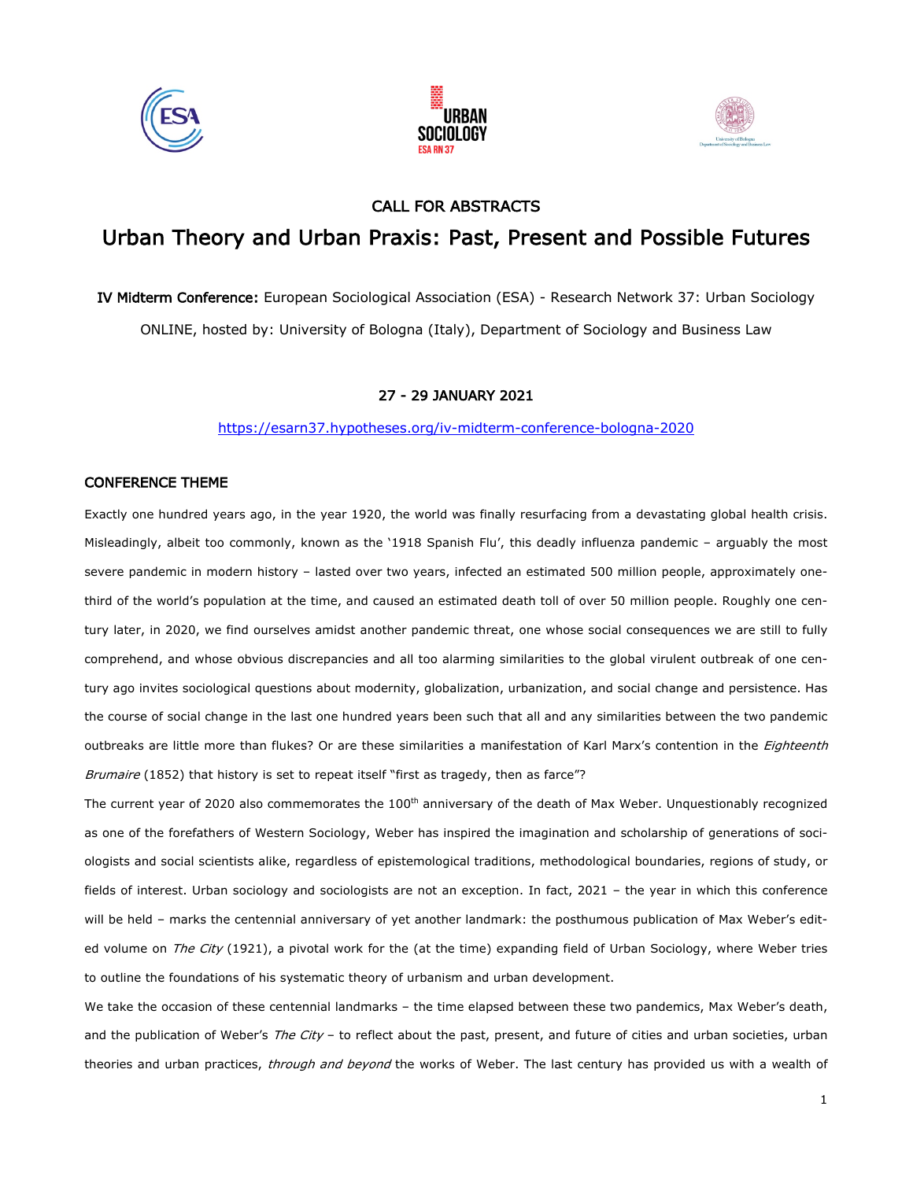





## CALL FOR ABSTRACTS

# Urban Theory and Urban Praxis: Past, Present and Possible Futures

IV Midterm Conference: European Sociological Association (ESA) - Research Network 37: Urban Sociology ONLINE, hosted by: University of Bologna (Italy), Department of Sociology and Business Law

#### 27 - 29 JANUARY 2021

https://esarn37.hypotheses.org/iv-midterm-conference-bologna-2020

#### CONFERENCE THEME

Exactly one hundred years ago, in the year 1920, the world was finally resurfacing from a devastating global health crisis. Misleadingly, albeit too commonly, known as the '1918 Spanish Flu', this deadly influenza pandemic – arguably the most severe pandemic in modern history – lasted over two years, infected an estimated 500 million people, approximately onethird of the world's population at the time, and caused an estimated death toll of over 50 million people. Roughly one century later, in 2020, we find ourselves amidst another pandemic threat, one whose social consequences we are still to fully comprehend, and whose obvious discrepancies and all too alarming similarities to the global virulent outbreak of one century ago invites sociological questions about modernity, globalization, urbanization, and social change and persistence. Has the course of social change in the last one hundred years been such that all and any similarities between the two pandemic outbreaks are little more than flukes? Or are these similarities a manifestation of Karl Marx's contention in the Eighteenth Brumaire (1852) that history is set to repeat itself "first as tragedy, then as farce"?

The current year of 2020 also commemorates the 100<sup>th</sup> anniversary of the death of Max Weber. Unquestionably recognized as one of the forefathers of Western Sociology, Weber has inspired the imagination and scholarship of generations of sociologists and social scientists alike, regardless of epistemological traditions, methodological boundaries, regions of study, or fields of interest. Urban sociology and sociologists are not an exception. In fact, 2021 – the year in which this conference will be held – marks the centennial anniversary of yet another landmark: the posthumous publication of Max Weber's edited volume on The City (1921), a pivotal work for the (at the time) expanding field of Urban Sociology, where Weber tries to outline the foundations of his systematic theory of urbanism and urban development.

We take the occasion of these centennial landmarks – the time elapsed between these two pandemics, Max Weber's death, and the publication of Weber's The City - to reflect about the past, present, and future of cities and urban societies, urban theories and urban practices, through and beyond the works of Weber. The last century has provided us with a wealth of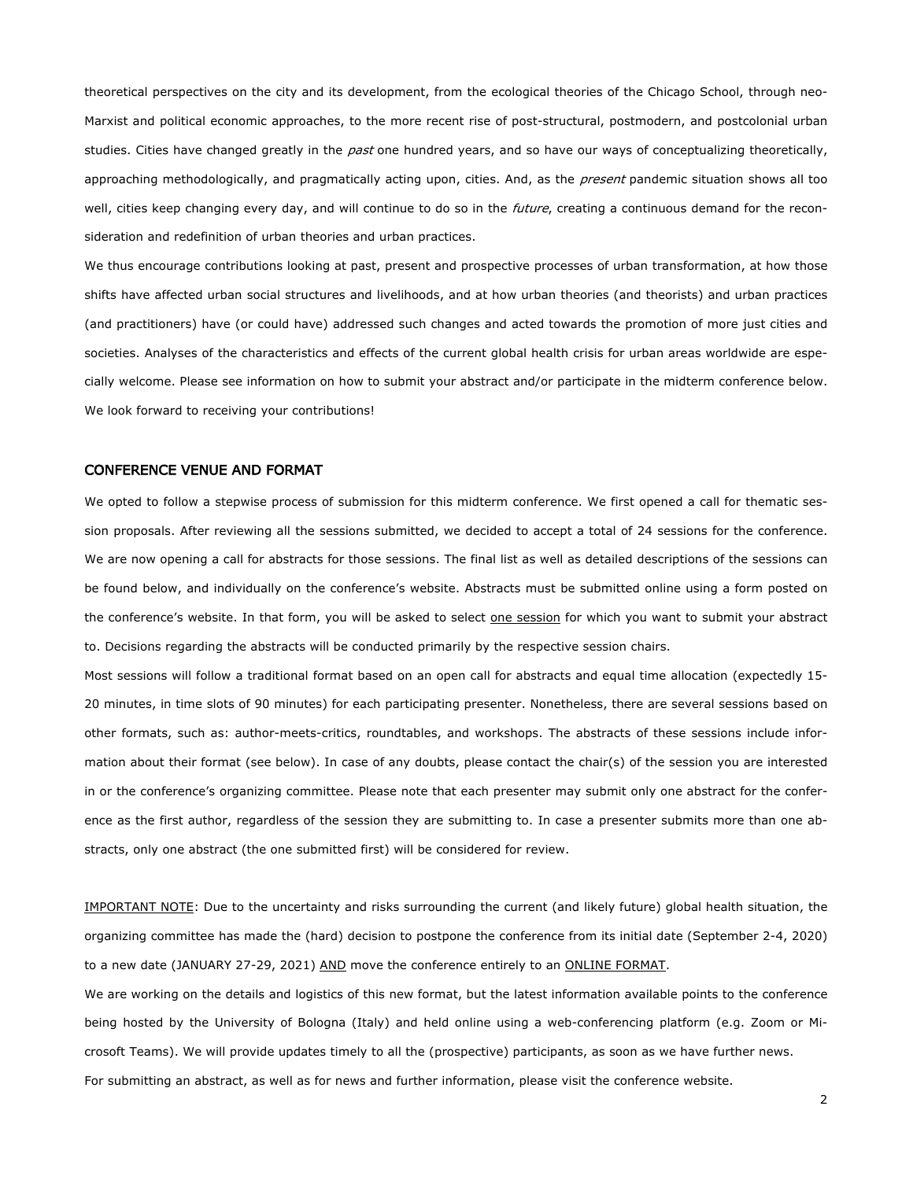theoretical perspectives on the city and its development, from the ecological theories of the Chicago School, through neo-Marxist and political economic approaches, to the more recent rise of post-structural, postmodern, and postcolonial urban studies. Cities have changed greatly in the *past* one hundred years, and so have our ways of conceptualizing theoretically, approaching methodologically, and pragmatically acting upon, cities. And, as the present pandemic situation shows all too well, cities keep changing every day, and will continue to do so in the *future*, creating a continuous demand for the reconsideration and redefinition of urban theories and urban practices.

We thus encourage contributions looking at past, present and prospective processes of urban transformation, at how those shifts have affected urban social structures and livelihoods, and at how urban theories (and theorists) and urban practices (and practitioners) have (or could have) addressed such changes and acted towards the promotion of more just cities and societies. Analyses of the characteristics and effects of the current global health crisis for urban areas worldwide are especially welcome. Please see information on how to submit your abstract and/or participate in the midterm conference below. We look forward to receiving your contributions!

#### CONFERENCE VENUE AND FORMAT

We opted to follow a stepwise process of submission for this midterm conference. We first opened a call for thematic session proposals. After reviewing all the sessions submitted, we decided to accept a total of 24 sessions for the conference. We are now opening a call for abstracts for those sessions. The final list as well as detailed descriptions of the sessions can be found below, and individually on the conference's website. Abstracts must be submitted online using a form posted on the conference's website. In that form, you will be asked to select one session for which you want to submit your abstract to. Decisions regarding the abstracts will be conducted primarily by the respective session chairs.

Most sessions will follow a traditional format based on an open call for abstracts and equal time allocation (expectedly 15- 20 minutes, in time slots of 90 minutes) for each participating presenter. Nonetheless, there are several sessions based on other formats, such as: author-meets-critics, roundtables, and workshops. The abstracts of these sessions include information about their format (see below). In case of any doubts, please contact the chair(s) of the session you are interested in or the conference's organizing committee. Please note that each presenter may submit only one abstract for the conference as the first author, regardless of the session they are submitting to. In case a presenter submits more than one abstracts, only one abstract (the one submitted first) will be considered for review.

IMPORTANT NOTE: Due to the uncertainty and risks surrounding the current (and likely future) global health situation, the organizing committee has made the (hard) decision to postpone the conference from its initial date (September 2-4, 2020) to a new date (JANUARY 27-29, 2021) AND move the conference entirely to an ONLINE FORMAT.

We are working on the details and logistics of this new format, but the latest information available points to the conference being hosted by the University of Bologna (Italy) and held online using a web-conferencing platform (e.g. Zoom or Microsoft Teams). We will provide updates timely to all the (prospective) participants, as soon as we have further news. For submitting an abstract, as well as for news and further information, please visit the conference website.

2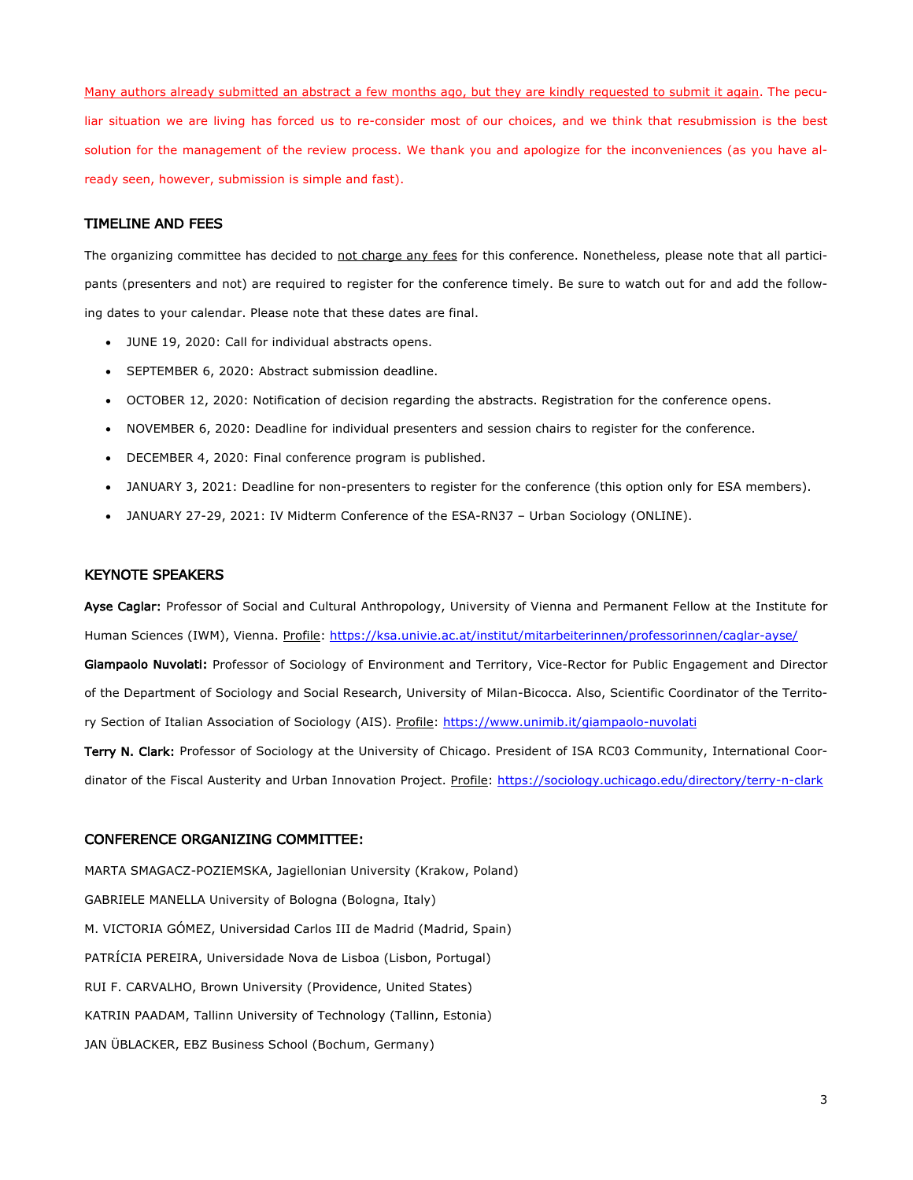Many authors already submitted an abstract a few months ago, but they are kindly requested to submit it again. The peculiar situation we are living has forced us to re-consider most of our choices, and we think that resubmission is the best solution for the management of the review process. We thank you and apologize for the inconveniences (as you have already seen, however, submission is simple and fast).

#### TIMELINE AND FEES

The organizing committee has decided to not charge any fees for this conference. Nonetheless, please note that all participants (presenters and not) are required to register for the conference timely. Be sure to watch out for and add the following dates to your calendar. Please note that these dates are final.

- JUNE 19, 2020: Call for individual abstracts opens.
- SEPTEMBER 6, 2020: Abstract submission deadline.
- OCTOBER 12, 2020: Notification of decision regarding the abstracts. Registration for the conference opens.
- NOVEMBER 6, 2020: Deadline for individual presenters and session chairs to register for the conference.
- DECEMBER 4, 2020: Final conference program is published.
- JANUARY 3, 2021: Deadline for non-presenters to register for the conference (this option only for ESA members).
- JANUARY 27-29, 2021: IV Midterm Conference of the ESA-RN37 Urban Sociology (ONLINE).

#### KEYNOTE SPEAKERS

Ayse Caglar: Professor of Social and Cultural Anthropology, University of Vienna and Permanent Fellow at the Institute for Human Sciences (IWM), Vienna. Profile: https://ksa.univie.ac.at/institut/mitarbeiterinnen/professorinnen/caglar-ayse/

Giampaolo Nuvolati: Professor of Sociology of Environment and Territory, Vice-Rector for Public Engagement and Director of the Department of Sociology and Social Research, University of Milan-Bicocca. Also, Scientific Coordinator of the Territory Section of Italian Association of Sociology (AIS). Profile: https://www.unimib.it/giampaolo-nuvolati

Terry N. Clark: Professor of Sociology at the University of Chicago. President of ISA RC03 Community, International Coordinator of the Fiscal Austerity and Urban Innovation Project. Profile: https://sociology.uchicago.edu/directory/terry-n-clark

#### CONFERENCE ORGANIZING COMMITTEE:

MARTA SMAGACZ-POZIEMSKA, Jagiellonian University (Krakow, Poland) GABRIELE MANELLA University of Bologna (Bologna, Italy) M. VICTORIA GÓMEZ, Universidad Carlos III de Madrid (Madrid, Spain) PATRÍCIA PEREIRA, Universidade Nova de Lisboa (Lisbon, Portugal) RUI F. CARVALHO, Brown University (Providence, United States) KATRIN PAADAM, Tallinn University of Technology (Tallinn, Estonia) JAN ÜBLACKER, EBZ Business School (Bochum, Germany)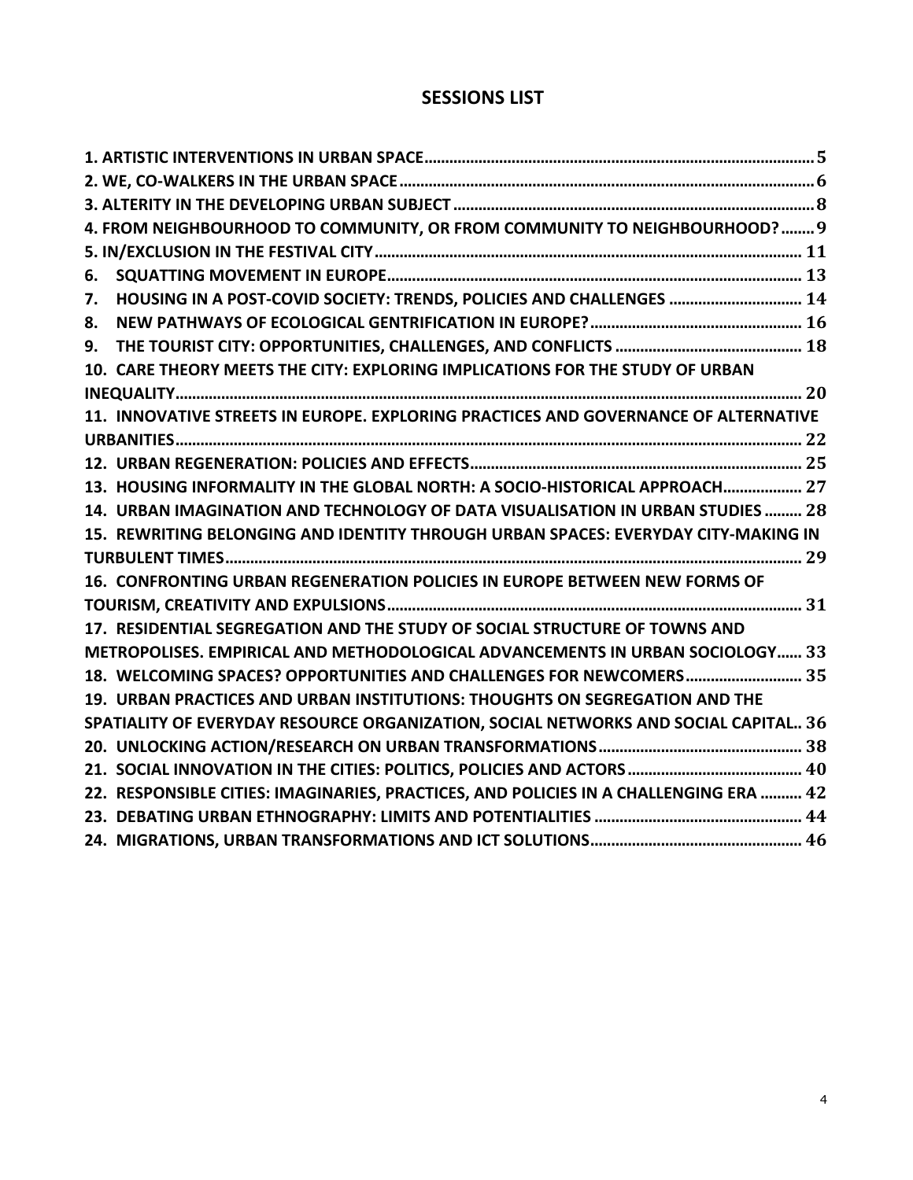# **SESSIONS LIST**

|    | 4. FROM NEIGHBOURHOOD TO COMMUNITY, OR FROM COMMUNITY TO NEIGHBOURHOOD?  9            |  |
|----|---------------------------------------------------------------------------------------|--|
|    |                                                                                       |  |
| 6. |                                                                                       |  |
| 7. | HOUSING IN A POST-COVID SOCIETY: TRENDS, POLICIES AND CHALLENGES  14                  |  |
| 8. |                                                                                       |  |
| 9. |                                                                                       |  |
|    | 10. CARE THEORY MEETS THE CITY: EXPLORING IMPLICATIONS FOR THE STUDY OF URBAN         |  |
|    |                                                                                       |  |
|    | 11. INNOVATIVE STREETS IN EUROPE. EXPLORING PRACTICES AND GOVERNANCE OF ALTERNATIVE   |  |
|    |                                                                                       |  |
|    |                                                                                       |  |
|    | 13. HOUSING INFORMALITY IN THE GLOBAL NORTH: A SOCIO-HISTORICAL APPROACH 27           |  |
|    | 14. URBAN IMAGINATION AND TECHNOLOGY OF DATA VISUALISATION IN URBAN STUDIES  28       |  |
|    | 15. REWRITING BELONGING AND IDENTITY THROUGH URBAN SPACES: EVERYDAY CITY-MAKING IN    |  |
|    |                                                                                       |  |
|    | 16. CONFRONTING URBAN REGENERATION POLICIES IN EUROPE BETWEEN NEW FORMS OF            |  |
|    |                                                                                       |  |
|    | 17. RESIDENTIAL SEGREGATION AND THE STUDY OF SOCIAL STRUCTURE OF TOWNS AND            |  |
|    | METROPOLISES. EMPIRICAL AND METHODOLOGICAL ADVANCEMENTS IN URBAN SOCIOLOGY 33         |  |
|    | 18. WELCOMING SPACES? OPPORTUNITIES AND CHALLENGES FOR NEWCOMERS 35                   |  |
|    | 19. URBAN PRACTICES AND URBAN INSTITUTIONS: THOUGHTS ON SEGREGATION AND THE           |  |
|    | SPATIALITY OF EVERYDAY RESOURCE ORGANIZATION, SOCIAL NETWORKS AND SOCIAL CAPITAL 36   |  |
|    |                                                                                       |  |
|    |                                                                                       |  |
|    | 22. RESPONSIBLE CITIES: IMAGINARIES, PRACTICES, AND POLICIES IN A CHALLENGING ERA  42 |  |
|    |                                                                                       |  |
|    |                                                                                       |  |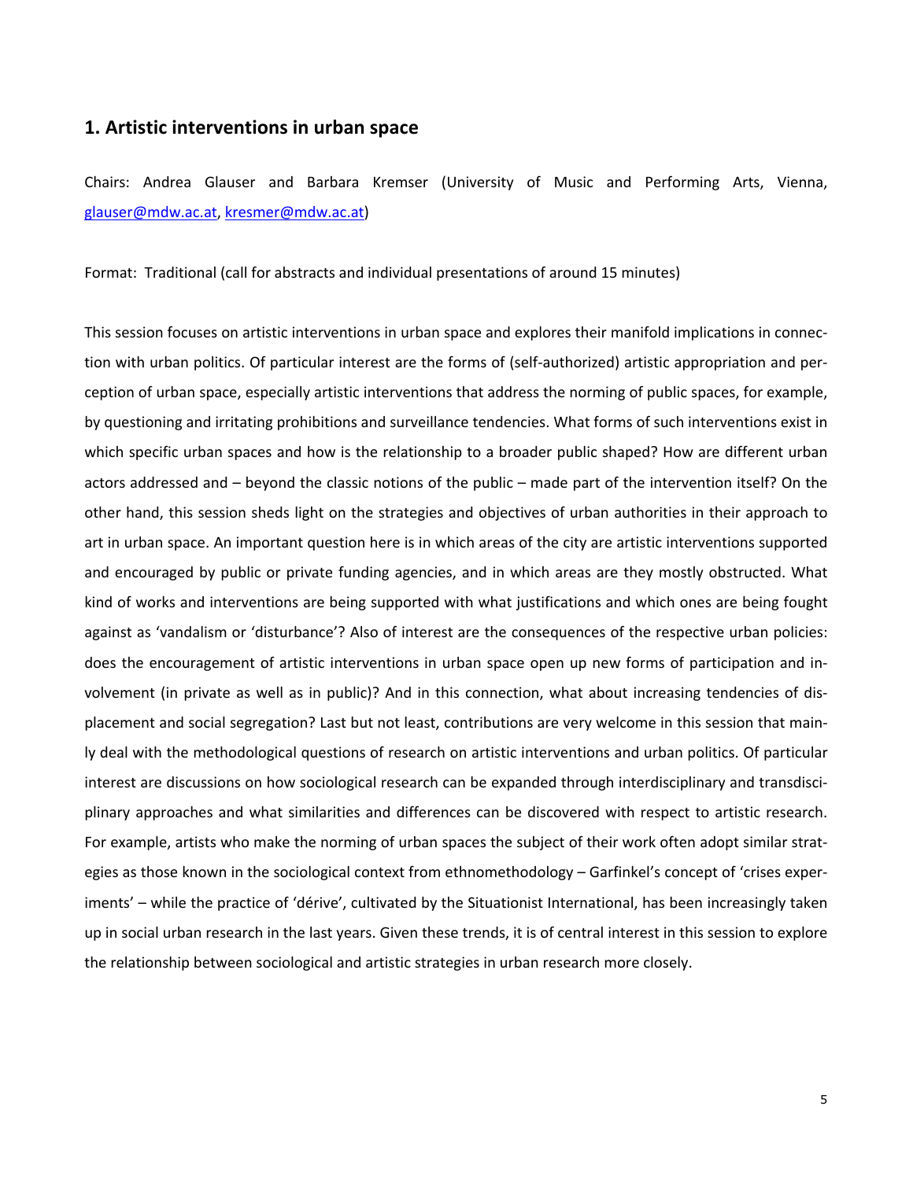## **1. Artistic interventions in urban space**

Chairs: Andrea Glauser and Barbara Kremser (University of Music and Performing Arts, Vienna, glauser@mdw.ac.at, kresmer@mdw.ac.at)

Format: Traditional (call for abstracts and individual presentations of around 15 minutes)

This session focuses on artistic interventions in urban space and explores their manifold implications in connection with urban politics. Of particular interest are the forms of (self-authorized) artistic appropriation and perception of urban space, especially artistic interventions that address the norming of public spaces, for example, by questioning and irritating prohibitions and surveillance tendencies. What forms of such interventions exist in which specific urban spaces and how is the relationship to a broader public shaped? How are different urban actors addressed and – beyond the classic notions of the public – made part of the intervention itself? On the other hand, this session sheds light on the strategies and objectives of urban authorities in their approach to art in urban space. An important question here is in which areas of the city are artistic interventions supported and encouraged by public or private funding agencies, and in which areas are they mostly obstructed. What kind of works and interventions are being supported with what justifications and which ones are being fought against as 'vandalism or 'disturbance'? Also of interest are the consequences of the respective urban policies: does the encouragement of artistic interventions in urban space open up new forms of participation and involvement (in private as well as in public)? And in this connection, what about increasing tendencies of displacement and social segregation? Last but not least, contributions are very welcome in this session that mainly deal with the methodological questions of research on artistic interventions and urban politics. Of particular interest are discussions on how sociological research can be expanded through interdisciplinary and transdisciplinary approaches and what similarities and differences can be discovered with respect to artistic research. For example, artists who make the norming of urban spaces the subject of their work often adopt similar strategies as those known in the sociological context from ethnomethodology – Garfinkel's concept of 'crises experiments' – while the practice of 'dérive', cultivated by the Situationist International, has been increasingly taken up in social urban research in the last years. Given these trends, it is of central interest in this session to explore the relationship between sociological and artistic strategies in urban research more closely.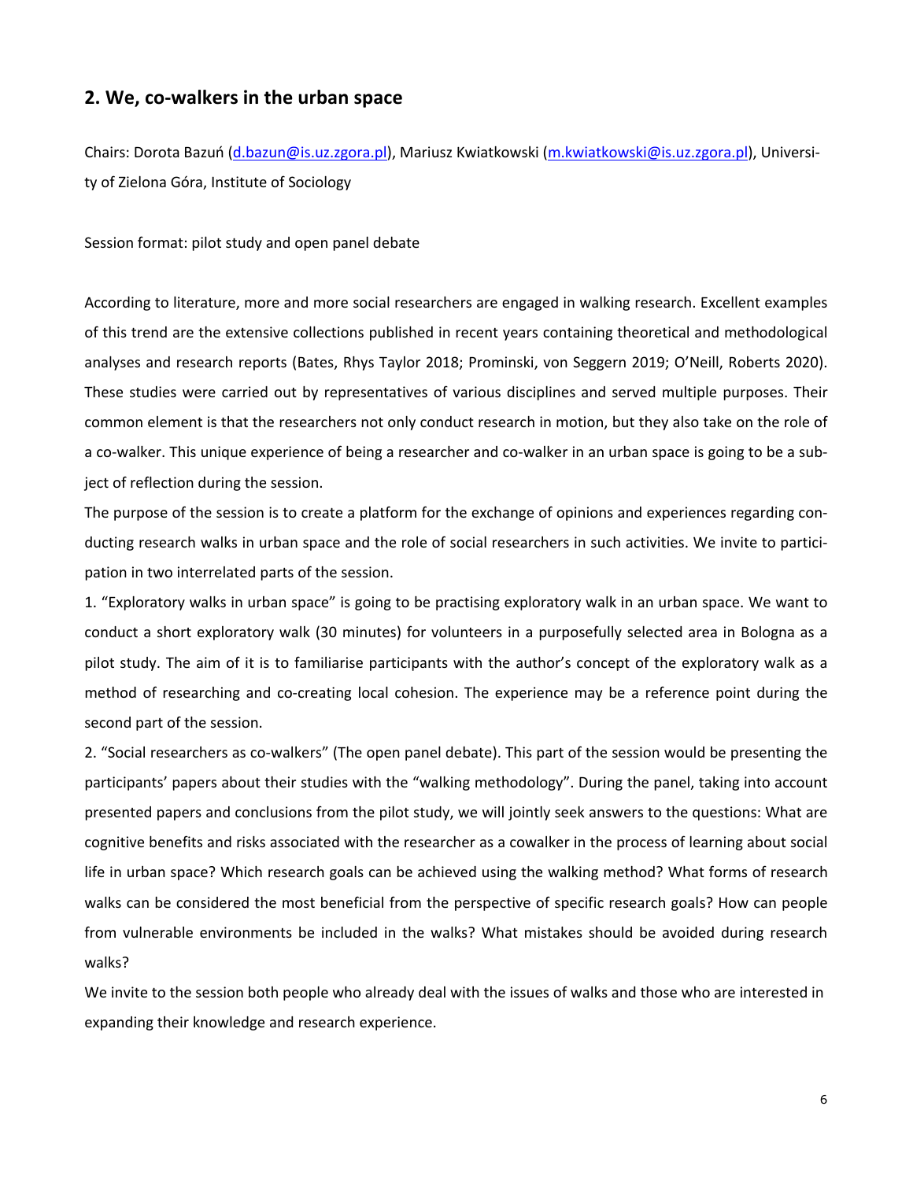## **2. We, co-walkers in the urban space**

Chairs: Dorota Bazuń (d.bazun@is.uz.zgora.pl), Mariusz Kwiatkowski (m.kwiatkowski@is.uz.zgora.pl), University of Zielona Góra, Institute of Sociology

Session format: pilot study and open panel debate

According to literature, more and more social researchers are engaged in walking research. Excellent examples of this trend are the extensive collections published in recent years containing theoretical and methodological analyses and research reports (Bates, Rhys Taylor 2018; Prominski, von Seggern 2019; O'Neill, Roberts 2020). These studies were carried out by representatives of various disciplines and served multiple purposes. Their common element is that the researchers not only conduct research in motion, but they also take on the role of a co-walker. This unique experience of being a researcher and co-walker in an urban space is going to be a subject of reflection during the session.

The purpose of the session is to create a platform for the exchange of opinions and experiences regarding conducting research walks in urban space and the role of social researchers in such activities. We invite to participation in two interrelated parts of the session.

1. "Exploratory walks in urban space" is going to be practising exploratory walk in an urban space. We want to conduct a short exploratory walk (30 minutes) for volunteers in a purposefully selected area in Bologna as a pilot study. The aim of it is to familiarise participants with the author's concept of the exploratory walk as a method of researching and co-creating local cohesion. The experience may be a reference point during the second part of the session.

2. "Social researchers as co-walkers" (The open panel debate). This part of the session would be presenting the participants' papers about their studies with the "walking methodology". During the panel, taking into account presented papers and conclusions from the pilot study, we will jointly seek answers to the questions: What are cognitive benefits and risks associated with the researcher as a cowalker in the process of learning about social life in urban space? Which research goals can be achieved using the walking method? What forms of research walks can be considered the most beneficial from the perspective of specific research goals? How can people from vulnerable environments be included in the walks? What mistakes should be avoided during research walks?

We invite to the session both people who already deal with the issues of walks and those who are interested in expanding their knowledge and research experience.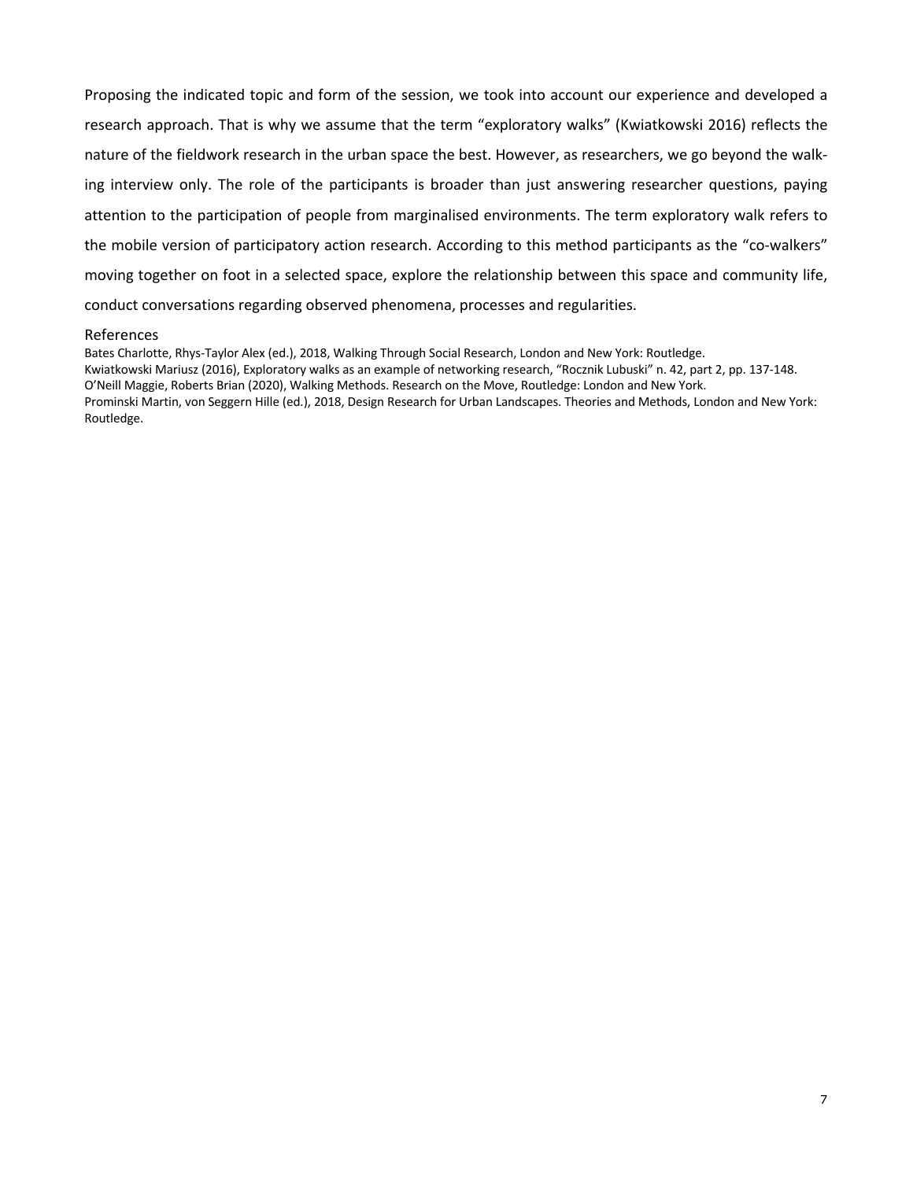Proposing the indicated topic and form of the session, we took into account our experience and developed a research approach. That is why we assume that the term "exploratory walks" (Kwiatkowski 2016) reflects the nature of the fieldwork research in the urban space the best. However, as researchers, we go beyond the walking interview only. The role of the participants is broader than just answering researcher questions, paying attention to the participation of people from marginalised environments. The term exploratory walk refers to the mobile version of participatory action research. According to this method participants as the "co-walkers" moving together on foot in a selected space, explore the relationship between this space and community life, conduct conversations regarding observed phenomena, processes and regularities.

#### References

Bates Charlotte, Rhys-Taylor Alex (ed.), 2018, Walking Through Social Research, London and New York: Routledge. Kwiatkowski Mariusz (2016), Exploratory walks as an example of networking research, "Rocznik Lubuski" n. 42, part 2, pp. 137-148. O'Neill Maggie, Roberts Brian (2020), Walking Methods. Research on the Move, Routledge: London and New York. Prominski Martin, von Seggern Hille (ed.), 2018, Design Research for Urban Landscapes. Theories and Methods, London and New York: Routledge.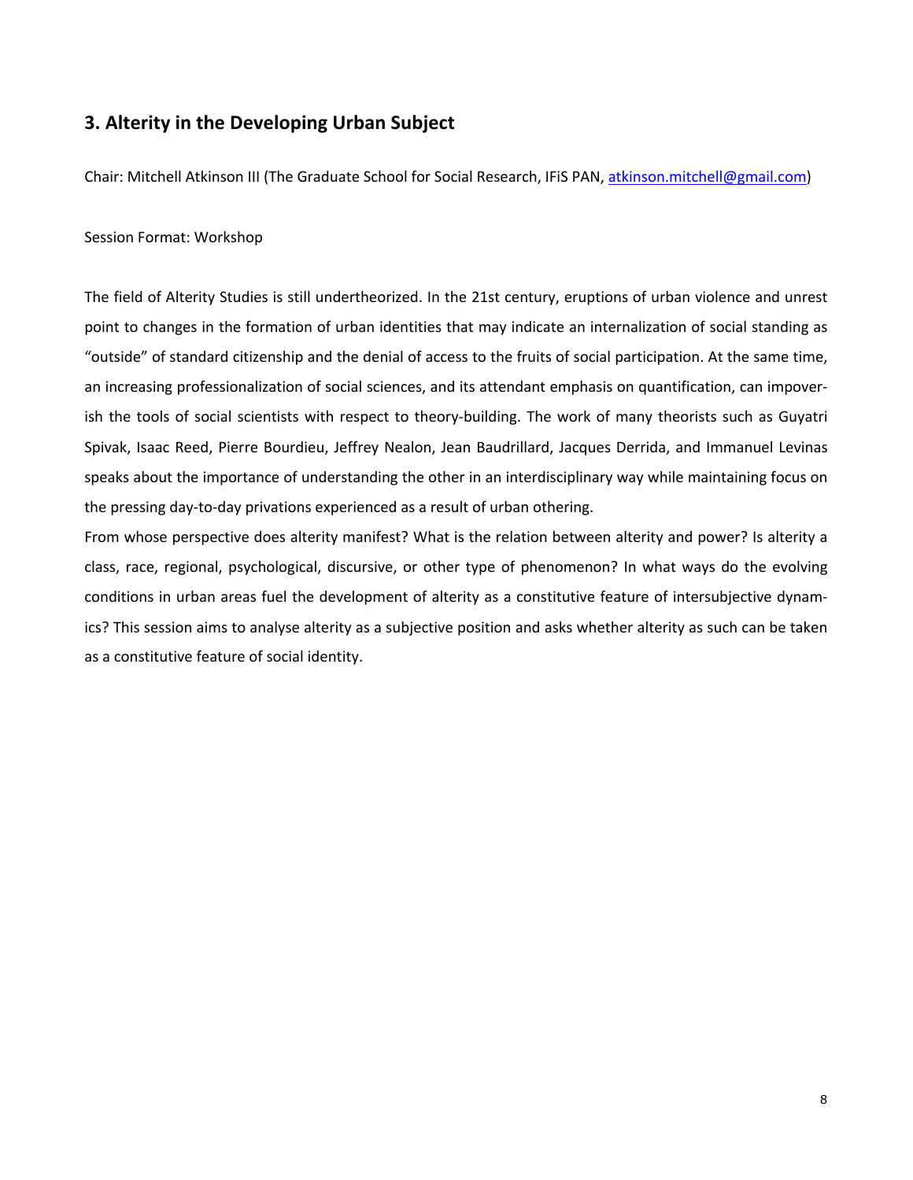# **3. Alterity in the Developing Urban Subject**

Chair: Mitchell Atkinson III (The Graduate School for Social Research, IFiS PAN, atkinson.mitchell@gmail.com)

### Session Format: Workshop

The field of Alterity Studies is still undertheorized. In the 21st century, eruptions of urban violence and unrest point to changes in the formation of urban identities that may indicate an internalization of social standing as "outside" of standard citizenship and the denial of access to the fruits of social participation. At the same time, an increasing professionalization of social sciences, and its attendant emphasis on quantification, can impoverish the tools of social scientists with respect to theory-building. The work of many theorists such as Guyatri Spivak, Isaac Reed, Pierre Bourdieu, Jeffrey Nealon, Jean Baudrillard, Jacques Derrida, and Immanuel Levinas speaks about the importance of understanding the other in an interdisciplinary way while maintaining focus on the pressing day-to-day privations experienced as a result of urban othering.

From whose perspective does alterity manifest? What is the relation between alterity and power? Is alterity a class, race, regional, psychological, discursive, or other type of phenomenon? In what ways do the evolving conditions in urban areas fuel the development of alterity as a constitutive feature of intersubjective dynamics? This session aims to analyse alterity as a subjective position and asks whether alterity as such can be taken as a constitutive feature of social identity.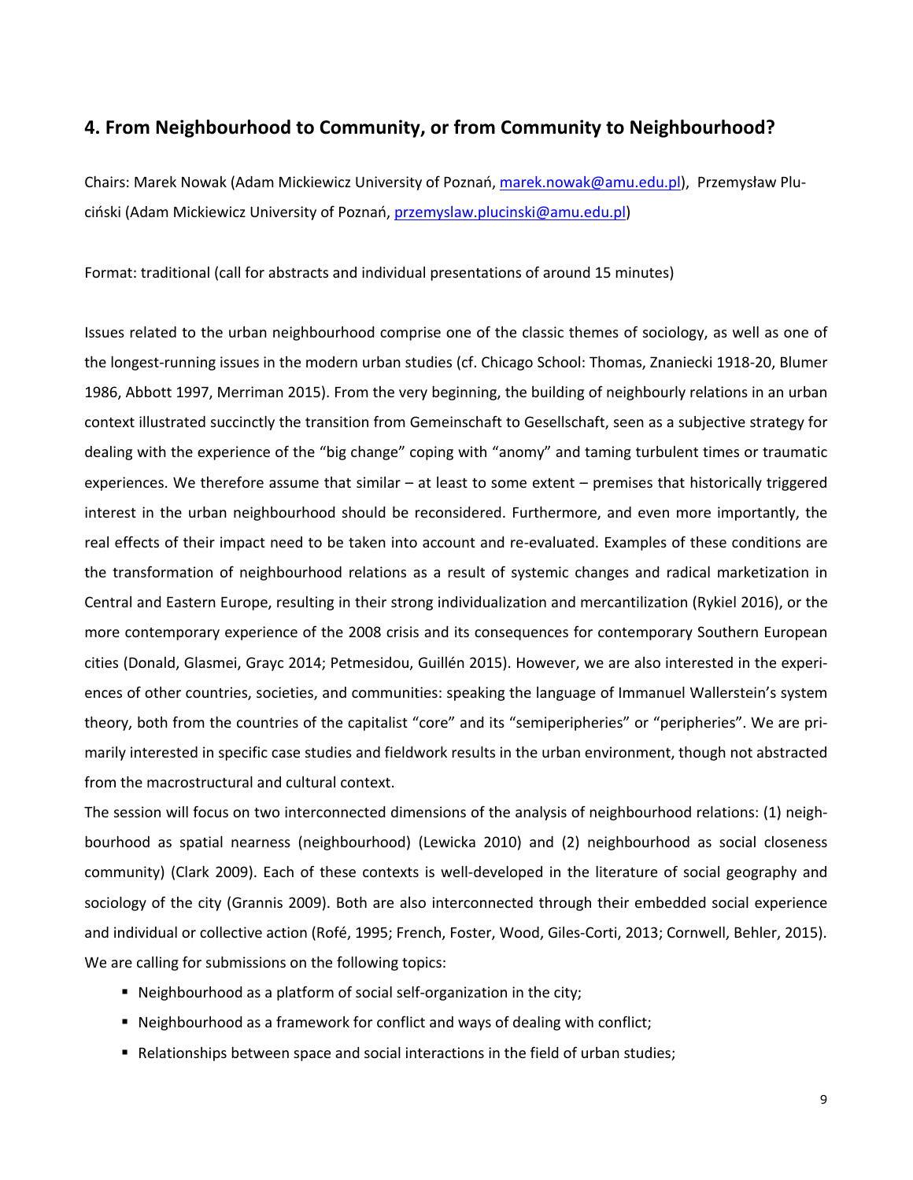## **4. From Neighbourhood to Community, or from Community to Neighbourhood?**

Chairs: Marek Nowak (Adam Mickiewicz University of Poznań, marek.nowak@amu.edu.pl), Przemysław Pluciński (Adam Mickiewicz University of Poznań, przemyslaw.plucinski@amu.edu.pl)

Format: traditional (call for abstracts and individual presentations of around 15 minutes)

Issues related to the urban neighbourhood comprise one of the classic themes of sociology, as well as one of the longest-running issues in the modern urban studies (cf. Chicago School: Thomas, Znaniecki 1918-20, Blumer 1986, Abbott 1997, Merriman 2015). From the very beginning, the building of neighbourly relations in an urban context illustrated succinctly the transition from Gemeinschaft to Gesellschaft, seen as a subjective strategy for dealing with the experience of the "big change" coping with "anomy" and taming turbulent times or traumatic experiences. We therefore assume that similar – at least to some extent – premises that historically triggered interest in the urban neighbourhood should be reconsidered. Furthermore, and even more importantly, the real effects of their impact need to be taken into account and re-evaluated. Examples of these conditions are the transformation of neighbourhood relations as a result of systemic changes and radical marketization in Central and Eastern Europe, resulting in their strong individualization and mercantilization (Rykiel 2016), or the more contemporary experience of the 2008 crisis and its consequences for contemporary Southern European cities (Donald, Glasmei, Grayc 2014; Petmesidou, Guillén 2015). However, we are also interested in the experiences of other countries, societies, and communities: speaking the language of Immanuel Wallerstein's system theory, both from the countries of the capitalist "core" and its "semiperipheries" or "peripheries". We are primarily interested in specific case studies and fieldwork results in the urban environment, though not abstracted from the macrostructural and cultural context.

The session will focus on two interconnected dimensions of the analysis of neighbourhood relations: (1) neighbourhood as spatial nearness (neighbourhood) (Lewicka 2010) and (2) neighbourhood as social closeness community) (Clark 2009). Each of these contexts is well-developed in the literature of social geography and sociology of the city (Grannis 2009). Both are also interconnected through their embedded social experience and individual or collective action (Rofé, 1995; French, Foster, Wood, Giles-Corti, 2013; Cornwell, Behler, 2015). We are calling for submissions on the following topics:

- Neighbourhood as a platform of social self-organization in the city;
- Neighbourhood as a framework for conflict and ways of dealing with conflict;
- Relationships between space and social interactions in the field of urban studies;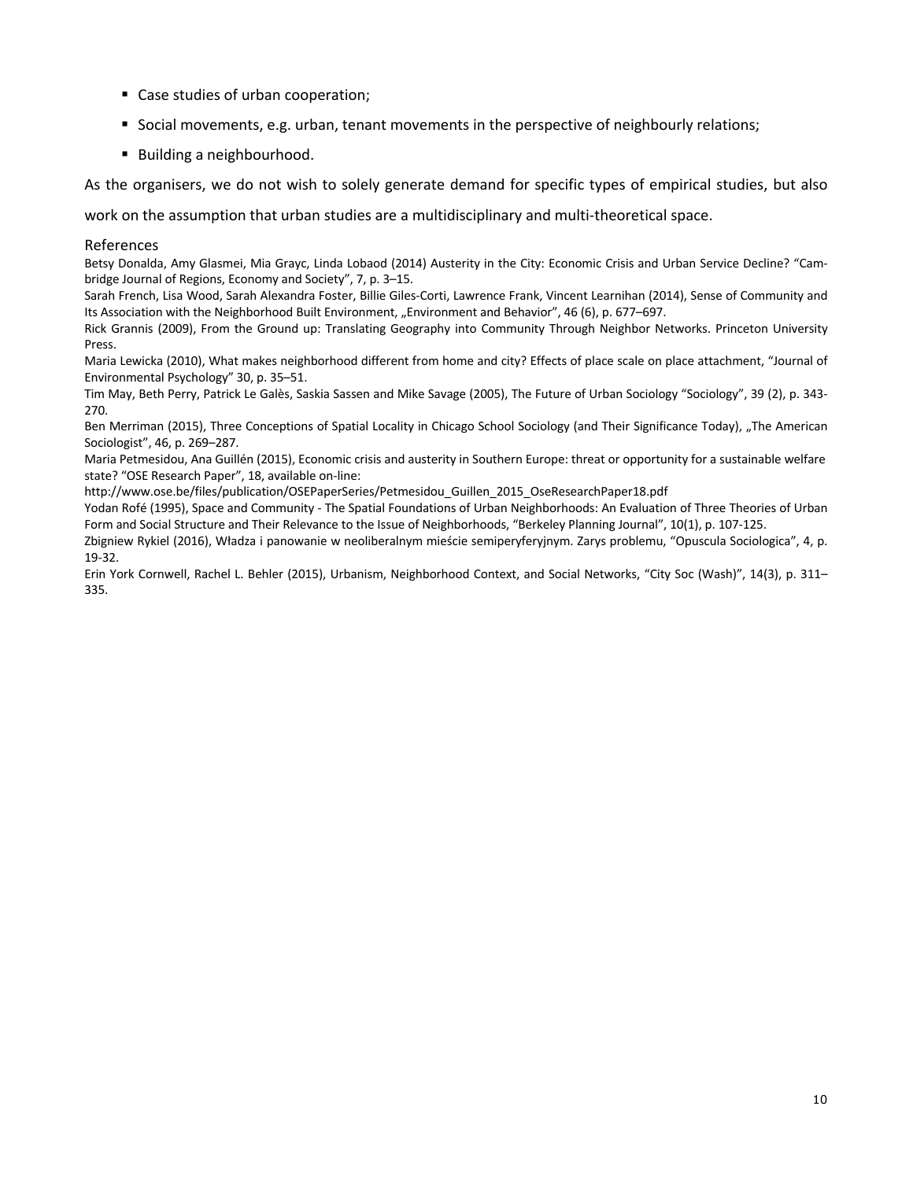- Case studies of urban cooperation;
- § Social movements, e.g. urban, tenant movements in the perspective of neighbourly relations;
- Building a neighbourhood.

As the organisers, we do not wish to solely generate demand for specific types of empirical studies, but also

work on the assumption that urban studies are a multidisciplinary and multi-theoretical space.

### References

Betsy Donalda, Amy Glasmei, Mia Grayc, Linda Lobaod (2014) Austerity in the City: Economic Crisis and Urban Service Decline? "Cambridge Journal of Regions, Economy and Society", 7, p. 3–15.

Sarah French, Lisa Wood, Sarah Alexandra Foster, Billie Giles-Corti, Lawrence Frank, Vincent Learnihan (2014), Sense of Community and Its Association with the Neighborhood Built Environment, "Environment and Behavior", 46 (6), p. 677–697.

Rick Grannis (2009), From the Ground up: Translating Geography into Community Through Neighbor Networks. Princeton University Press.

Maria Lewicka (2010), What makes neighborhood different from home and city? Effects of place scale on place attachment, "Journal of Environmental Psychology" 30, p. 35–51.

Tim May, Beth Perry, Patrick Le Galès, Saskia Sassen and Mike Savage (2005), The Future of Urban Sociology "Sociology", 39 (2), p. 343- 270.

Ben Merriman (2015), Three Conceptions of Spatial Locality in Chicago School Sociology (and Their Significance Today), "The American Sociologist", 46, p. 269–287.

Maria Petmesidou, Ana Guillén (2015), Economic crisis and austerity in Southern Europe: threat or opportunity for a sustainable welfare state? "OSE Research Paper", 18, available on-line:

http://www.ose.be/files/publication/OSEPaperSeries/Petmesidou\_Guillen\_2015\_OseResearchPaper18.pdf

Yodan Rofé (1995), Space and Community - The Spatial Foundations of Urban Neighborhoods: An Evaluation of Three Theories of Urban Form and Social Structure and Their Relevance to the Issue of Neighborhoods, "Berkeley Planning Journal", 10(1), p. 107-125.

Zbigniew Rykiel (2016), Władza i panowanie w neoliberalnym mieście semiperyferyjnym. Zarys problemu, "Opuscula Sociologica", 4, p. 19-32.

Erin York Cornwell, Rachel L. Behler (2015), Urbanism, Neighborhood Context, and Social Networks, "City Soc (Wash)", 14(3), p. 311– 335.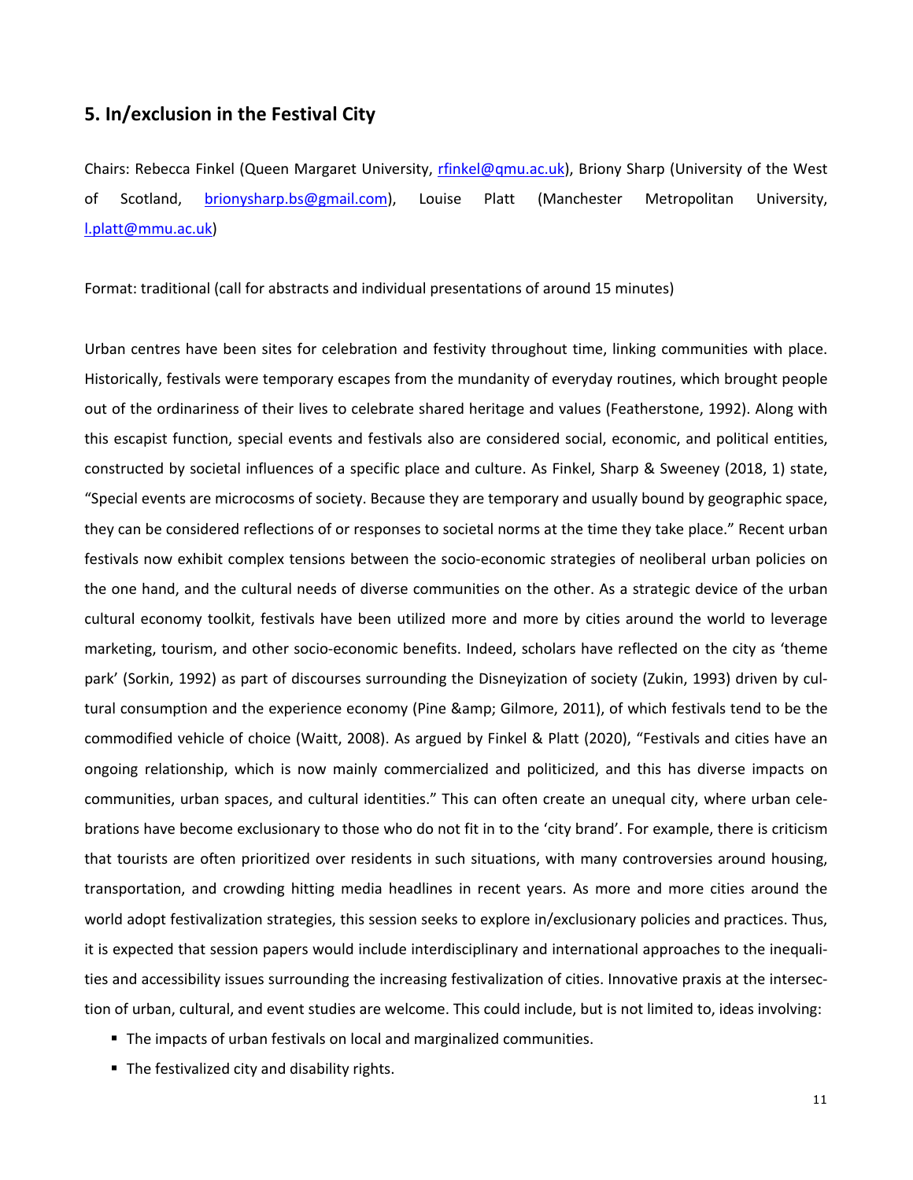## **5. In/exclusion in the Festival City**

Chairs: Rebecca Finkel (Queen Margaret University, rfinkel@qmu.ac.uk), Briony Sharp (University of the West of Scotland, brionysharp.bs@gmail.com), Louise Platt (Manchester Metropolitan University, l.platt@mmu.ac.uk)

Format: traditional (call for abstracts and individual presentations of around 15 minutes)

Urban centres have been sites for celebration and festivity throughout time, linking communities with place. Historically, festivals were temporary escapes from the mundanity of everyday routines, which brought people out of the ordinariness of their lives to celebrate shared heritage and values (Featherstone, 1992). Along with this escapist function, special events and festivals also are considered social, economic, and political entities, constructed by societal influences of a specific place and culture. As Finkel, Sharp & Sweeney (2018, 1) state, "Special events are microcosms of society. Because they are temporary and usually bound by geographic space, they can be considered reflections of or responses to societal norms at the time they take place." Recent urban festivals now exhibit complex tensions between the socio-economic strategies of neoliberal urban policies on the one hand, and the cultural needs of diverse communities on the other. As a strategic device of the urban cultural economy toolkit, festivals have been utilized more and more by cities around the world to leverage marketing, tourism, and other socio-economic benefits. Indeed, scholars have reflected on the city as 'theme park' (Sorkin, 1992) as part of discourses surrounding the Disneyization of society (Zukin, 1993) driven by cultural consumption and the experience economy (Pine & amp; Gilmore, 2011), of which festivals tend to be the commodified vehicle of choice (Waitt, 2008). As argued by Finkel & Platt (2020), "Festivals and cities have an ongoing relationship, which is now mainly commercialized and politicized, and this has diverse impacts on communities, urban spaces, and cultural identities." This can often create an unequal city, where urban celebrations have become exclusionary to those who do not fit in to the 'city brand'. For example, there is criticism that tourists are often prioritized over residents in such situations, with many controversies around housing, transportation, and crowding hitting media headlines in recent years. As more and more cities around the world adopt festivalization strategies, this session seeks to explore in/exclusionary policies and practices. Thus, it is expected that session papers would include interdisciplinary and international approaches to the inequalities and accessibility issues surrounding the increasing festivalization of cities. Innovative praxis at the intersection of urban, cultural, and event studies are welcome. This could include, but is not limited to, ideas involving:

- The impacts of urban festivals on local and marginalized communities.
- The festivalized city and disability rights.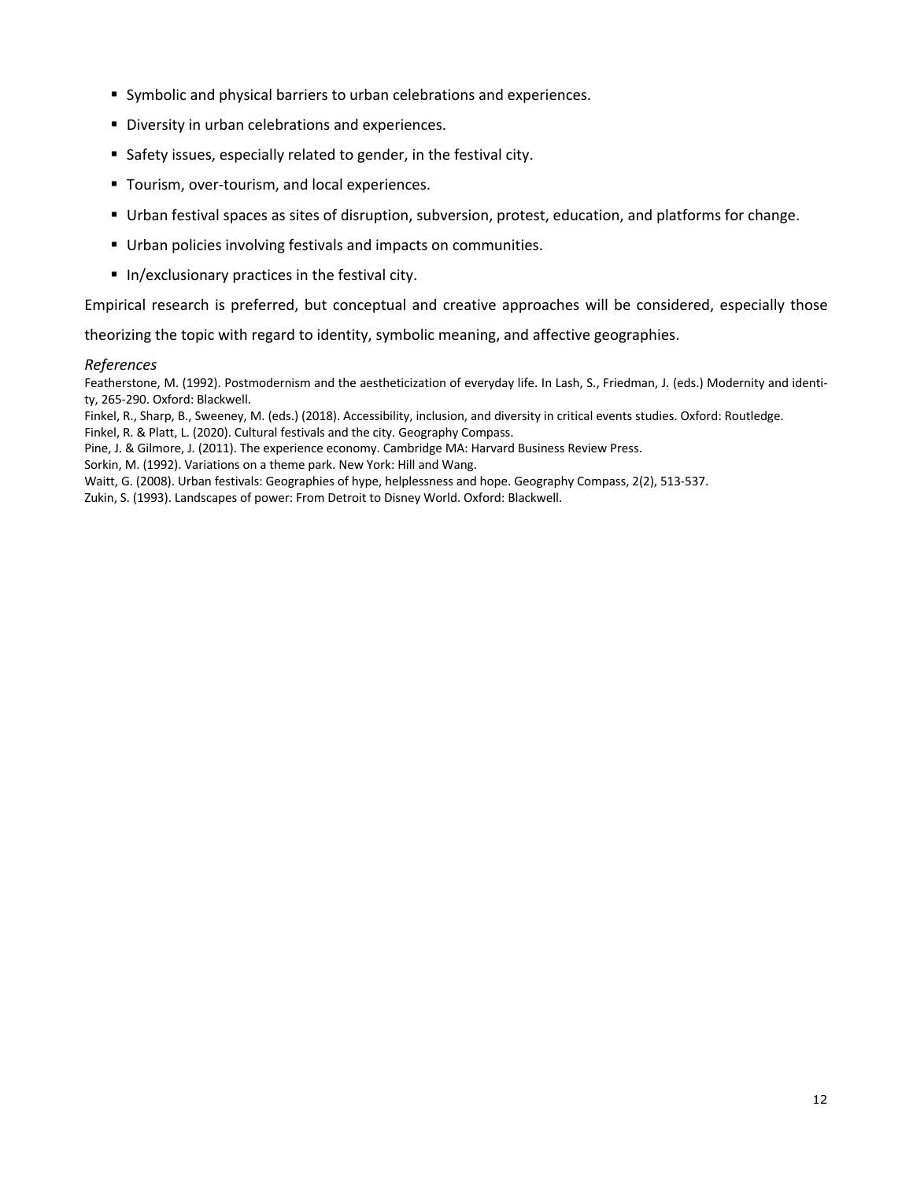- Symbolic and physical barriers to urban celebrations and experiences.
- Diversity in urban celebrations and experiences.
- Safety issues, especially related to gender, in the festival city.
- Tourism, over-tourism, and local experiences.
- § Urban festival spaces as sites of disruption, subversion, protest, education, and platforms for change.
- Urban policies involving festivals and impacts on communities.
- In/exclusionary practices in the festival city.

Empirical research is preferred, but conceptual and creative approaches will be considered, especially those

theorizing the topic with regard to identity, symbolic meaning, and affective geographies.

### *References*

Featherstone, M. (1992). Postmodernism and the aestheticization of everyday life. In Lash, S., Friedman, J. (eds.) Modernity and identity, 265-290. Oxford: Blackwell.

Finkel, R., Sharp, B., Sweeney, M. (eds.) (2018). Accessibility, inclusion, and diversity in critical events studies. Oxford: Routledge.

Finkel, R. & Platt, L. (2020). Cultural festivals and the city. Geography Compass.

Pine, J. & Gilmore, J. (2011). The experience economy. Cambridge MA: Harvard Business Review Press.

Sorkin, M. (1992). Variations on a theme park. New York: Hill and Wang.

Waitt, G. (2008). Urban festivals: Geographies of hype, helplessness and hope. Geography Compass, 2(2), 513-537.

Zukin, S. (1993). Landscapes of power: From Detroit to Disney World. Oxford: Blackwell.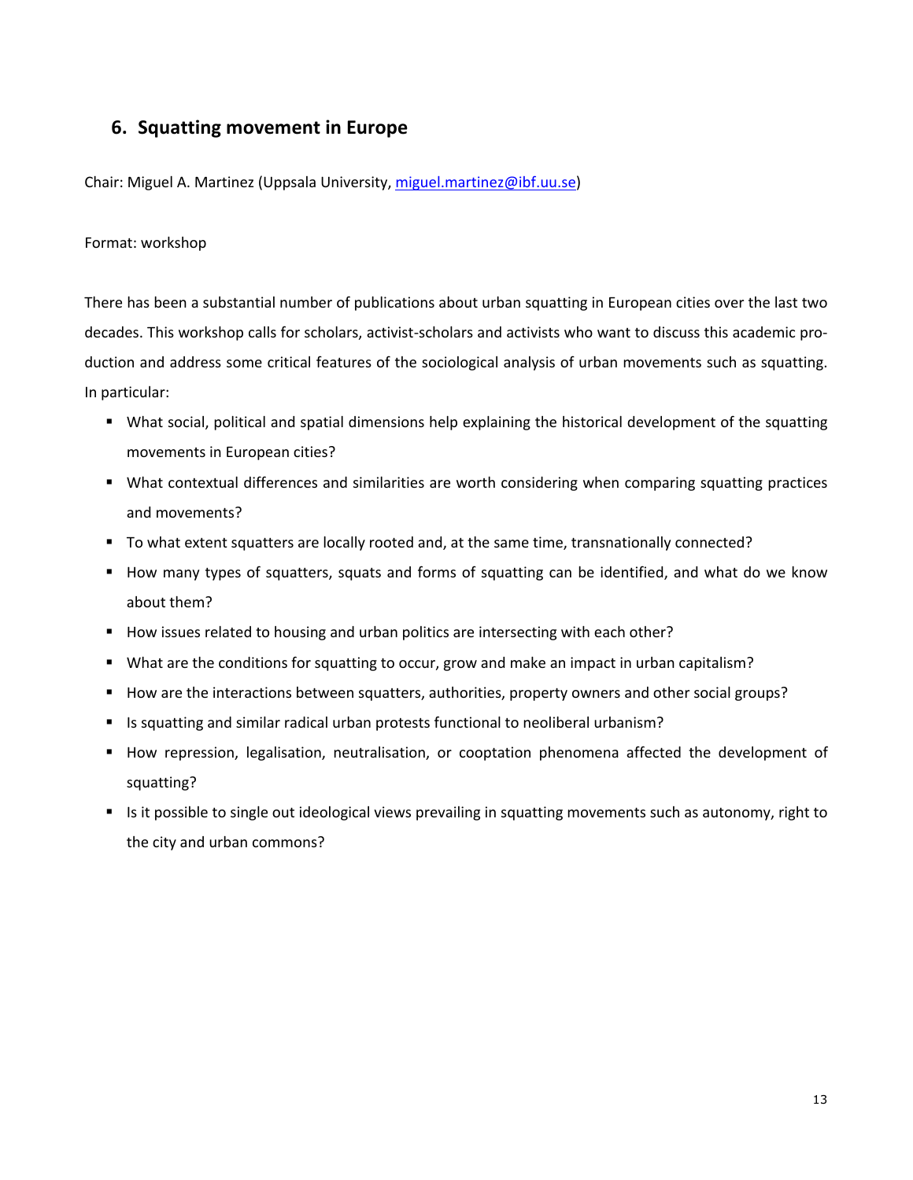# **6. Squatting movement in Europe**

Chair: Miguel A. Martinez (Uppsala University, miguel.martinez@ibf.uu.se)

## Format: workshop

There has been a substantial number of publications about urban squatting in European cities over the last two decades. This workshop calls for scholars, activist-scholars and activists who want to discuss this academic production and address some critical features of the sociological analysis of urban movements such as squatting. In particular:

- § What social, political and spatial dimensions help explaining the historical development of the squatting movements in European cities?
- § What contextual differences and similarities are worth considering when comparing squatting practices and movements?
- § To what extent squatters are locally rooted and, at the same time, transnationally connected?
- How many types of squatters, squats and forms of squatting can be identified, and what do we know about them?
- How issues related to housing and urban politics are intersecting with each other?
- What are the conditions for squatting to occur, grow and make an impact in urban capitalism?
- How are the interactions between squatters, authorities, property owners and other social groups?
- Is squatting and similar radical urban protests functional to neoliberal urbanism?
- § How repression, legalisation, neutralisation, or cooptation phenomena affected the development of squatting?
- Is it possible to single out ideological views prevailing in squatting movements such as autonomy, right to the city and urban commons?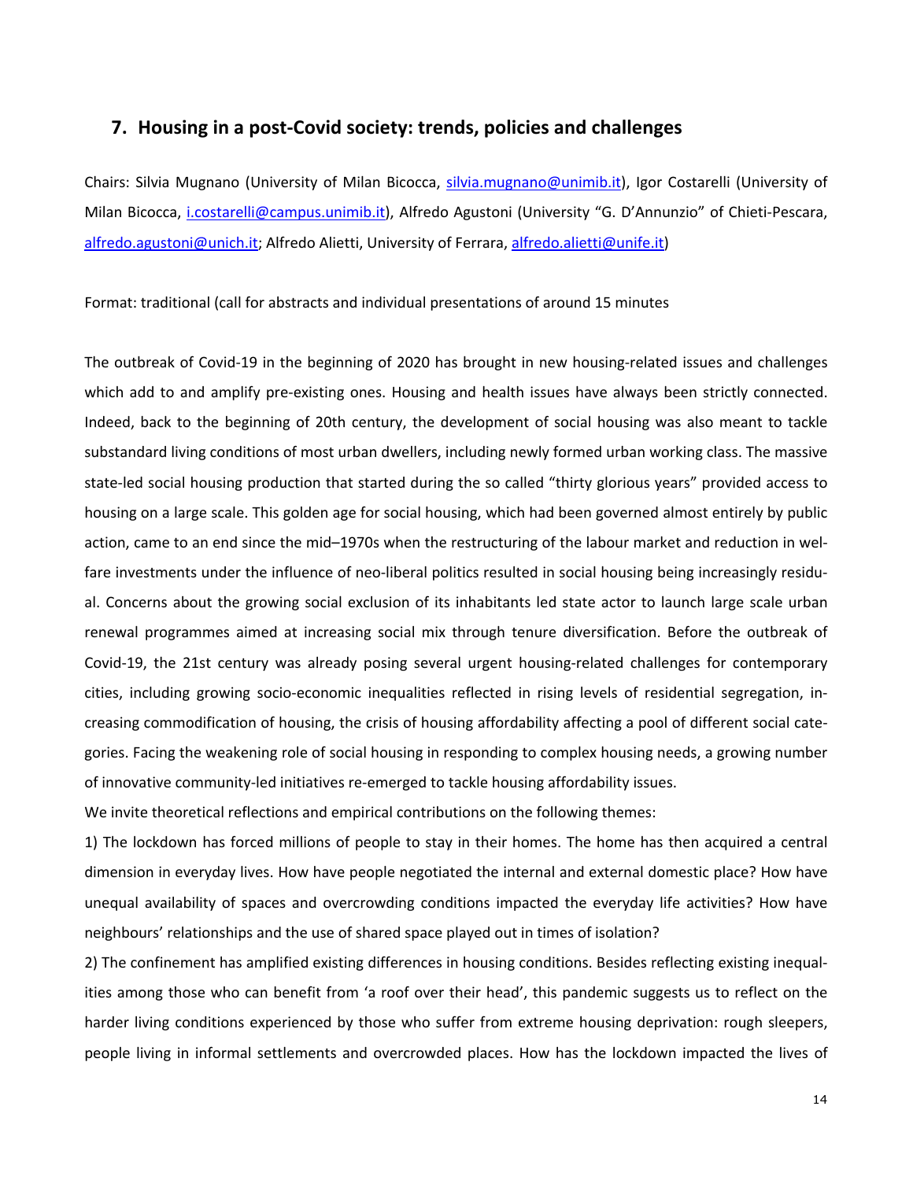## **7. Housing in a post-Covid society: trends, policies and challenges**

Chairs: Silvia Mugnano (University of Milan Bicocca, silvia.mugnano@unimib.it), Igor Costarelli (University of Milan Bicocca, *i.costarelli@campus.unimib.it*), Alfredo Agustoni (University "G. D'Annunzio" of Chieti-Pescara, alfredo.agustoni@unich.it; Alfredo Alietti, University of Ferrara, alfredo.alietti@unife.it)

Format: traditional (call for abstracts and individual presentations of around 15 minutes

The outbreak of Covid-19 in the beginning of 2020 has brought in new housing-related issues and challenges which add to and amplify pre-existing ones. Housing and health issues have always been strictly connected. Indeed, back to the beginning of 20th century, the development of social housing was also meant to tackle substandard living conditions of most urban dwellers, including newly formed urban working class. The massive state-led social housing production that started during the so called "thirty glorious years" provided access to housing on a large scale. This golden age for social housing, which had been governed almost entirely by public action, came to an end since the mid–1970s when the restructuring of the labour market and reduction in welfare investments under the influence of neo-liberal politics resulted in social housing being increasingly residual. Concerns about the growing social exclusion of its inhabitants led state actor to launch large scale urban renewal programmes aimed at increasing social mix through tenure diversification. Before the outbreak of Covid-19, the 21st century was already posing several urgent housing-related challenges for contemporary cities, including growing socio-economic inequalities reflected in rising levels of residential segregation, increasing commodification of housing, the crisis of housing affordability affecting a pool of different social categories. Facing the weakening role of social housing in responding to complex housing needs, a growing number of innovative community-led initiatives re-emerged to tackle housing affordability issues.

We invite theoretical reflections and empirical contributions on the following themes:

1) The lockdown has forced millions of people to stay in their homes. The home has then acquired a central dimension in everyday lives. How have people negotiated the internal and external domestic place? How have unequal availability of spaces and overcrowding conditions impacted the everyday life activities? How have neighbours' relationships and the use of shared space played out in times of isolation?

2) The confinement has amplified existing differences in housing conditions. Besides reflecting existing inequalities among those who can benefit from 'a roof over their head', this pandemic suggests us to reflect on the harder living conditions experienced by those who suffer from extreme housing deprivation: rough sleepers, people living in informal settlements and overcrowded places. How has the lockdown impacted the lives of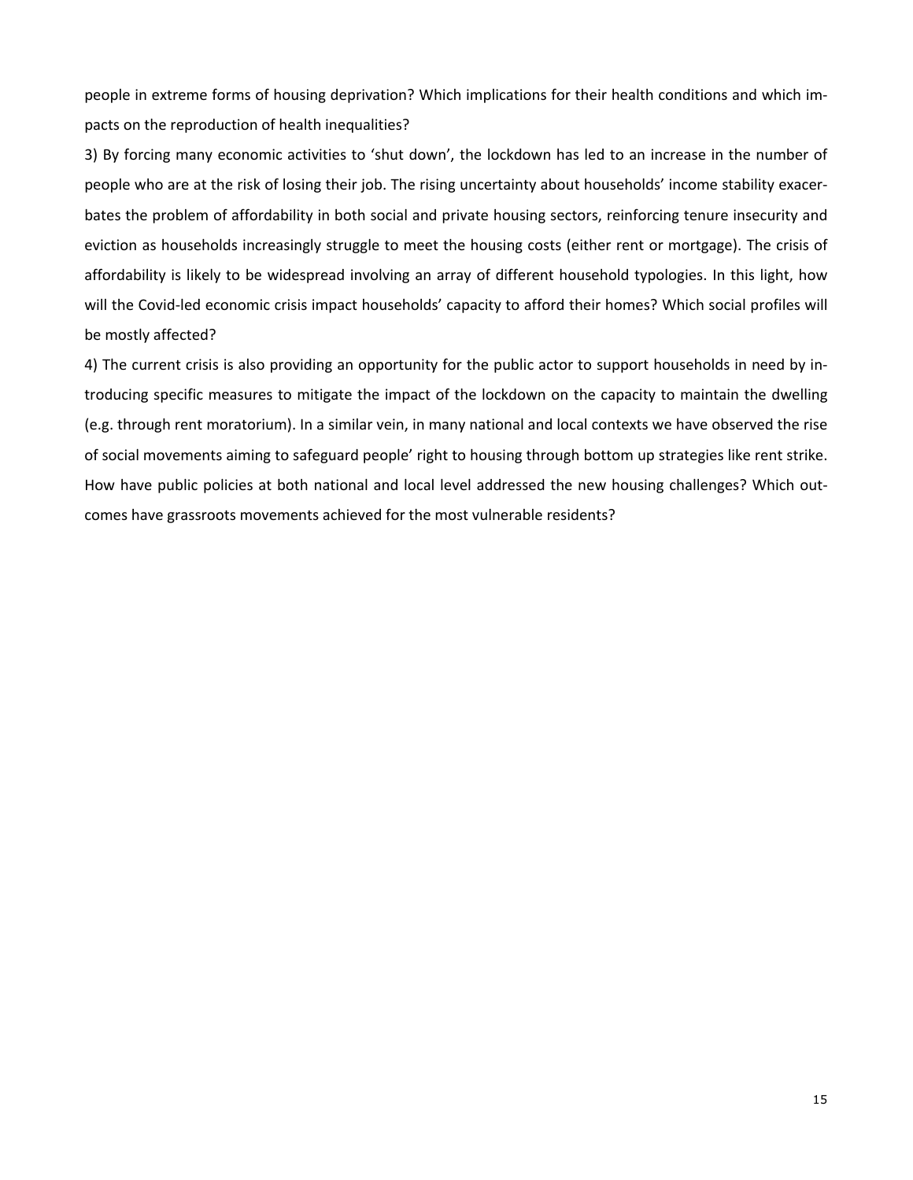people in extreme forms of housing deprivation? Which implications for their health conditions and which impacts on the reproduction of health inequalities?

3) By forcing many economic activities to 'shut down', the lockdown has led to an increase in the number of people who are at the risk of losing their job. The rising uncertainty about households' income stability exacerbates the problem of affordability in both social and private housing sectors, reinforcing tenure insecurity and eviction as households increasingly struggle to meet the housing costs (either rent or mortgage). The crisis of affordability is likely to be widespread involving an array of different household typologies. In this light, how will the Covid-led economic crisis impact households' capacity to afford their homes? Which social profiles will be mostly affected?

4) The current crisis is also providing an opportunity for the public actor to support households in need by introducing specific measures to mitigate the impact of the lockdown on the capacity to maintain the dwelling (e.g. through rent moratorium). In a similar vein, in many national and local contexts we have observed the rise of social movements aiming to safeguard people' right to housing through bottom up strategies like rent strike. How have public policies at both national and local level addressed the new housing challenges? Which outcomes have grassroots movements achieved for the most vulnerable residents?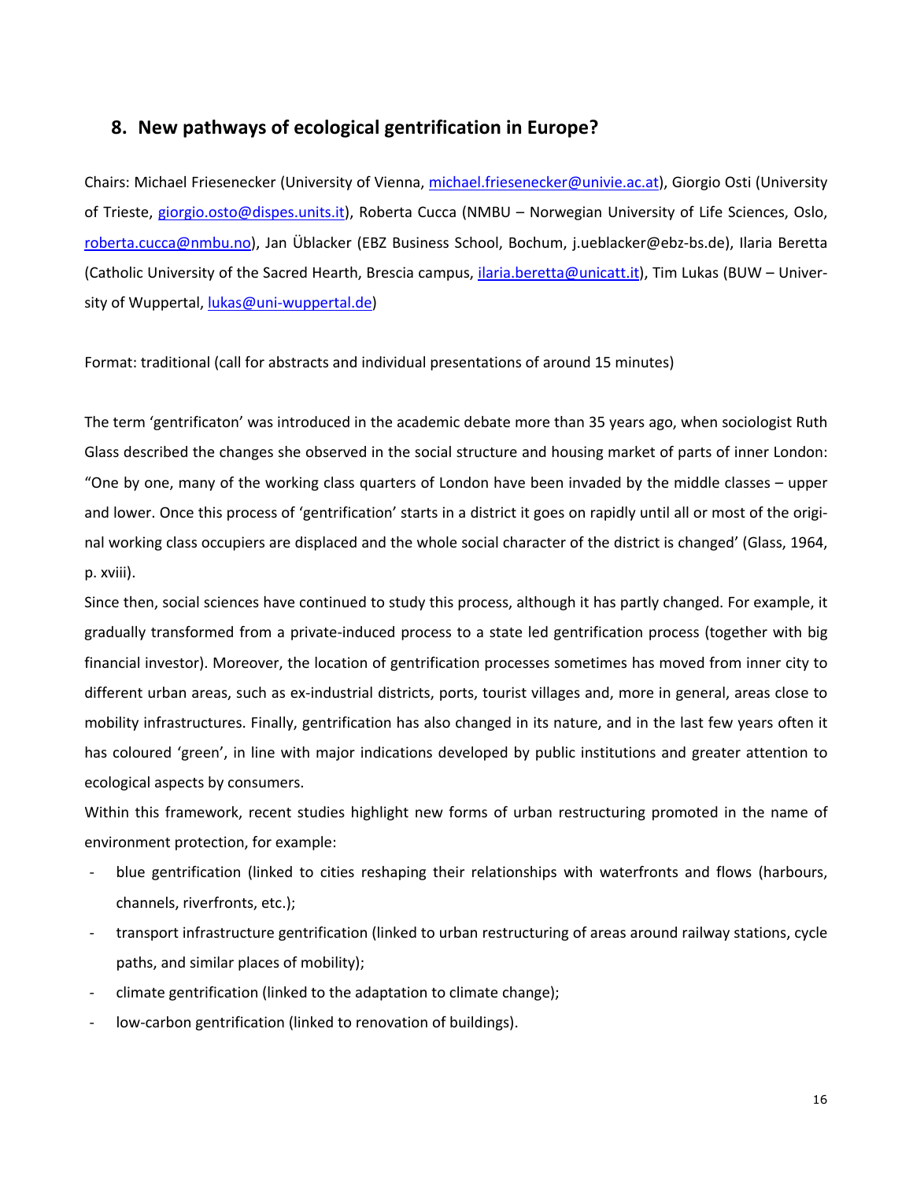# **8. New pathways of ecological gentrification in Europe?**

Chairs: Michael Friesenecker (University of Vienna, michael.friesenecker@univie.ac.at), Giorgio Osti (University of Trieste, giorgio.osto@dispes.units.it), Roberta Cucca (NMBU – Norwegian University of Life Sciences, Oslo, roberta.cucca@nmbu.no), Jan Üblacker (EBZ Business School, Bochum, j.ueblacker@ebz-bs.de), Ilaria Beretta (Catholic University of the Sacred Hearth, Brescia campus, ilaria.beretta@unicatt.it), Tim Lukas (BUW – University of Wuppertal, lukas@uni-wuppertal.de)

Format: traditional (call for abstracts and individual presentations of around 15 minutes)

The term 'gentrificaton' was introduced in the academic debate more than 35 years ago, when sociologist Ruth Glass described the changes she observed in the social structure and housing market of parts of inner London: "One by one, many of the working class quarters of London have been invaded by the middle classes – upper and lower. Once this process of 'gentrification' starts in a district it goes on rapidly until all or most of the original working class occupiers are displaced and the whole social character of the district is changed' (Glass, 1964, p. xviii).

Since then, social sciences have continued to study this process, although it has partly changed. For example, it gradually transformed from a private-induced process to a state led gentrification process (together with big financial investor). Moreover, the location of gentrification processes sometimes has moved from inner city to different urban areas, such as ex-industrial districts, ports, tourist villages and, more in general, areas close to mobility infrastructures. Finally, gentrification has also changed in its nature, and in the last few years often it has coloured 'green', in line with major indications developed by public institutions and greater attention to ecological aspects by consumers.

Within this framework, recent studies highlight new forms of urban restructuring promoted in the name of environment protection, for example:

- blue gentrification (linked to cities reshaping their relationships with waterfronts and flows (harbours, channels, riverfronts, etc.);
- transport infrastructure gentrification (linked to urban restructuring of areas around railway stations, cycle paths, and similar places of mobility);
- climate gentrification (linked to the adaptation to climate change);
- low-carbon gentrification (linked to renovation of buildings).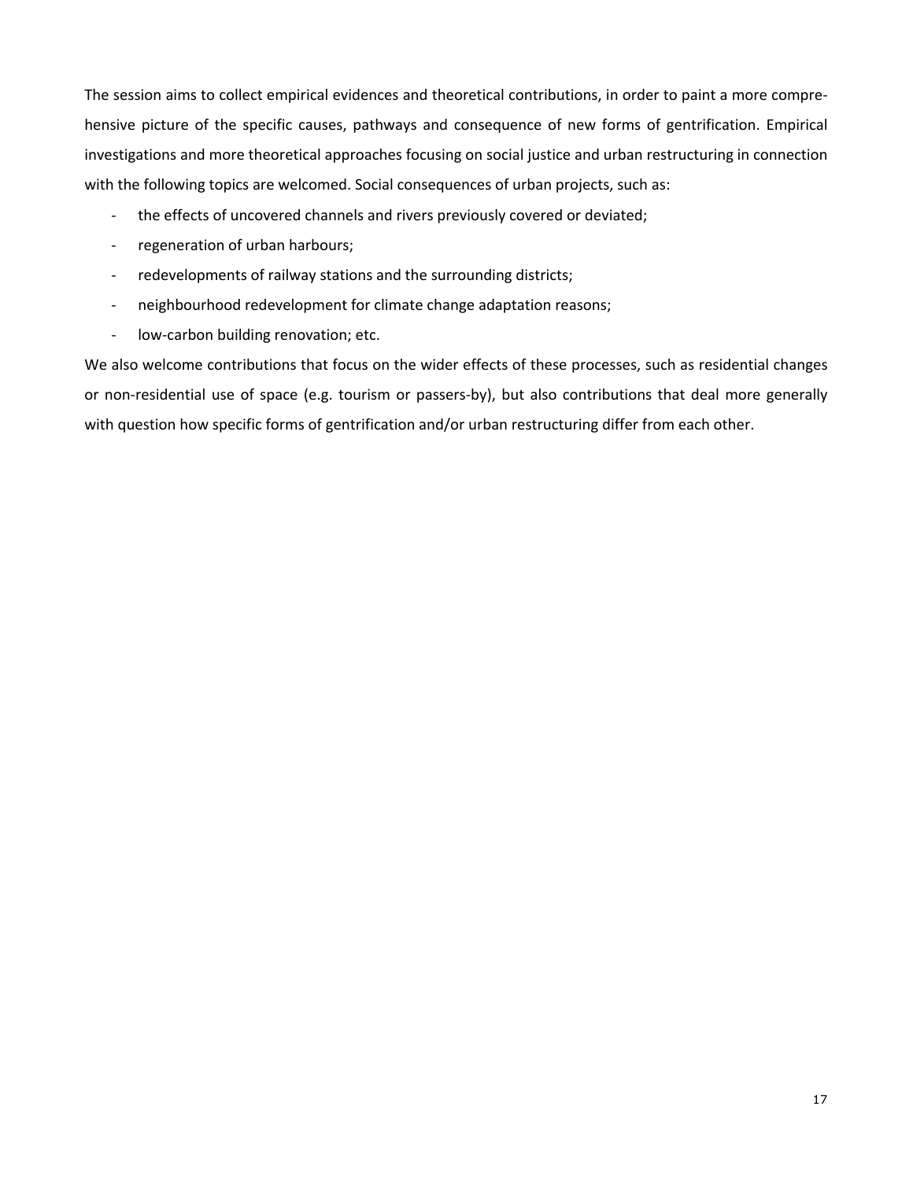The session aims to collect empirical evidences and theoretical contributions, in order to paint a more comprehensive picture of the specific causes, pathways and consequence of new forms of gentrification. Empirical investigations and more theoretical approaches focusing on social justice and urban restructuring in connection with the following topics are welcomed. Social consequences of urban projects, such as:

- the effects of uncovered channels and rivers previously covered or deviated;
- regeneration of urban harbours;
- redevelopments of railway stations and the surrounding districts;
- neighbourhood redevelopment for climate change adaptation reasons;
- low-carbon building renovation; etc.

We also welcome contributions that focus on the wider effects of these processes, such as residential changes or non-residential use of space (e.g. tourism or passers-by), but also contributions that deal more generally with question how specific forms of gentrification and/or urban restructuring differ from each other.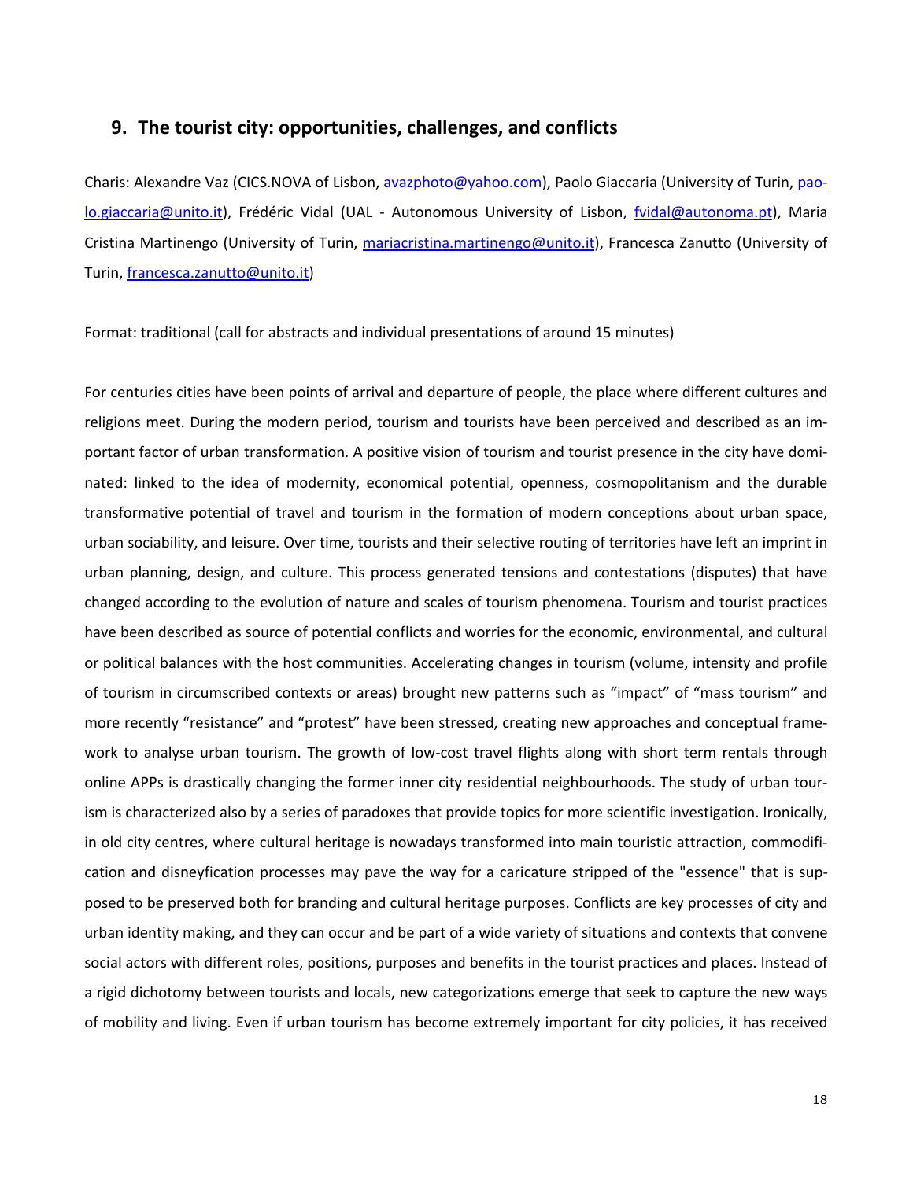## **9. The tourist city: opportunities, challenges, and conflicts**

Charis: Alexandre Vaz (CICS.NOVA of Lisbon, avazphoto@yahoo.com), Paolo Giaccaria (University of Turin, paolo.giaccaria@unito.it), Frédéric Vidal (UAL - Autonomous University of Lisbon, fvidal@autonoma.pt), Maria Cristina Martinengo (University of Turin, mariacristina.martinengo@unito.it), Francesca Zanutto (University of Turin, francesca.zanutto@unito.it)

Format: traditional (call for abstracts and individual presentations of around 15 minutes)

For centuries cities have been points of arrival and departure of people, the place where different cultures and religions meet. During the modern period, tourism and tourists have been perceived and described as an important factor of urban transformation. A positive vision of tourism and tourist presence in the city have dominated: linked to the idea of modernity, economical potential, openness, cosmopolitanism and the durable transformative potential of travel and tourism in the formation of modern conceptions about urban space, urban sociability, and leisure. Over time, tourists and their selective routing of territories have left an imprint in urban planning, design, and culture. This process generated tensions and contestations (disputes) that have changed according to the evolution of nature and scales of tourism phenomena. Tourism and tourist practices have been described as source of potential conflicts and worries for the economic, environmental, and cultural or political balances with the host communities. Accelerating changes in tourism (volume, intensity and profile of tourism in circumscribed contexts or areas) brought new patterns such as "impact" of "mass tourism" and more recently "resistance" and "protest" have been stressed, creating new approaches and conceptual framework to analyse urban tourism. The growth of low-cost travel flights along with short term rentals through online APPs is drastically changing the former inner city residential neighbourhoods. The study of urban tourism is characterized also by a series of paradoxes that provide topics for more scientific investigation. Ironically, in old city centres, where cultural heritage is nowadays transformed into main touristic attraction, commodification and disneyfication processes may pave the way for a caricature stripped of the "essence" that is supposed to be preserved both for branding and cultural heritage purposes. Conflicts are key processes of city and urban identity making, and they can occur and be part of a wide variety of situations and contexts that convene social actors with different roles, positions, purposes and benefits in the tourist practices and places. Instead of a rigid dichotomy between tourists and locals, new categorizations emerge that seek to capture the new ways of mobility and living. Even if urban tourism has become extremely important for city policies, it has received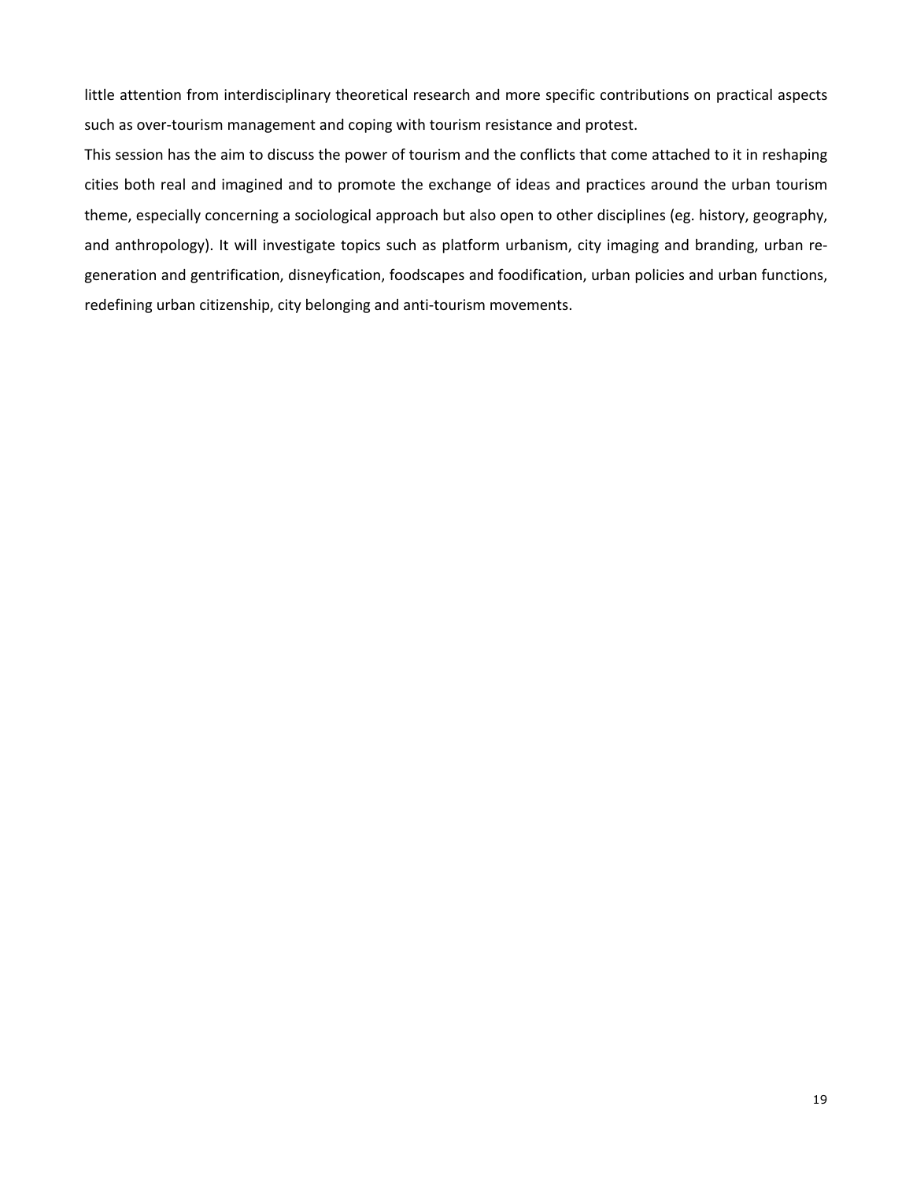little attention from interdisciplinary theoretical research and more specific contributions on practical aspects such as over-tourism management and coping with tourism resistance and protest.

This session has the aim to discuss the power of tourism and the conflicts that come attached to it in reshaping cities both real and imagined and to promote the exchange of ideas and practices around the urban tourism theme, especially concerning a sociological approach but also open to other disciplines (eg. history, geography, and anthropology). It will investigate topics such as platform urbanism, city imaging and branding, urban regeneration and gentrification, disneyfication, foodscapes and foodification, urban policies and urban functions, redefining urban citizenship, city belonging and anti-tourism movements.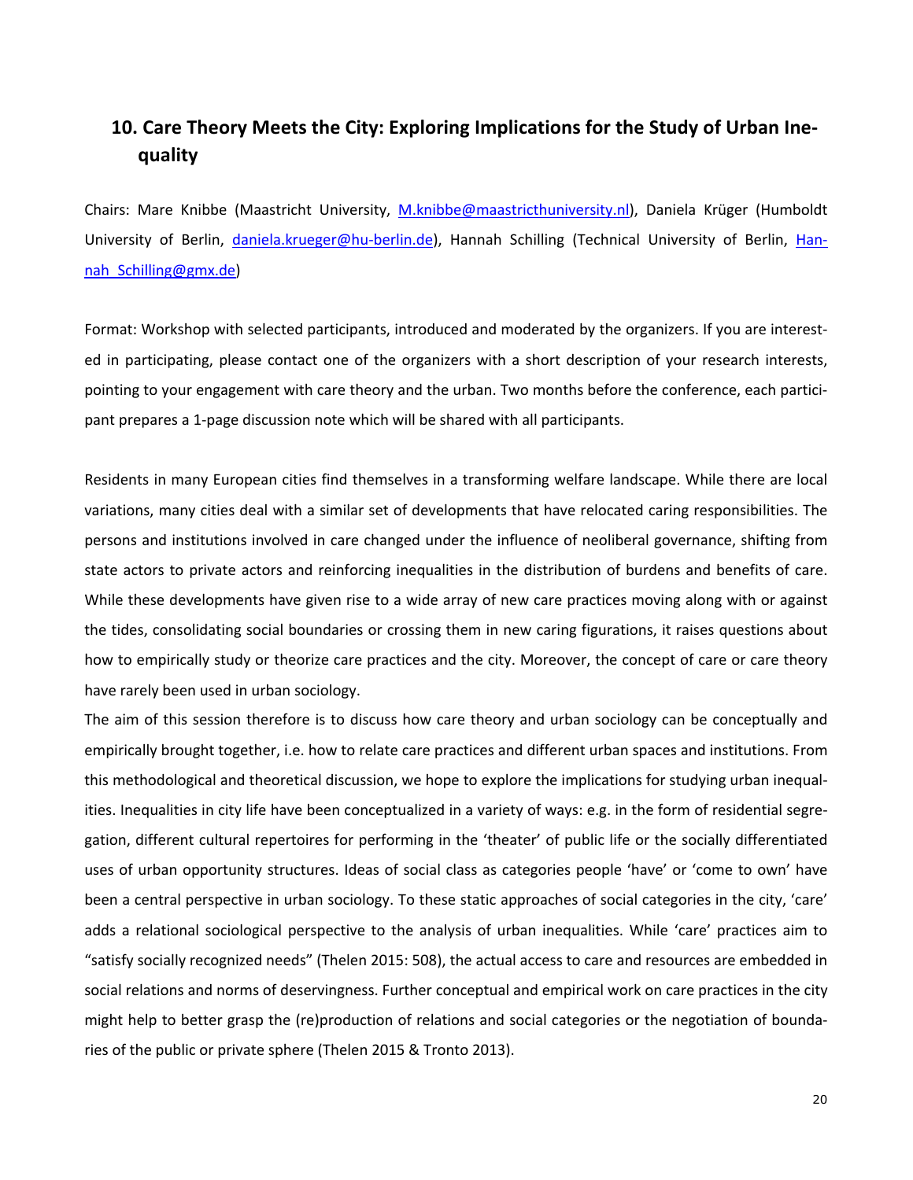# **10. Care Theory Meets the City: Exploring Implications for the Study of Urban Inequality**

Chairs: Mare Knibbe (Maastricht University, M.knibbe@maastricthuniversity.nl), Daniela Krüger (Humboldt University of Berlin, daniela.krueger@hu-berlin.de), Hannah Schilling (Technical University of Berlin, Hannah Schilling@gmx.de)

Format: Workshop with selected participants, introduced and moderated by the organizers. If you are interested in participating, please contact one of the organizers with a short description of your research interests, pointing to your engagement with care theory and the urban. Two months before the conference, each participant prepares a 1-page discussion note which will be shared with all participants.

Residents in many European cities find themselves in a transforming welfare landscape. While there are local variations, many cities deal with a similar set of developments that have relocated caring responsibilities. The persons and institutions involved in care changed under the influence of neoliberal governance, shifting from state actors to private actors and reinforcing inequalities in the distribution of burdens and benefits of care. While these developments have given rise to a wide array of new care practices moving along with or against the tides, consolidating social boundaries or crossing them in new caring figurations, it raises questions about how to empirically study or theorize care practices and the city. Moreover, the concept of care or care theory have rarely been used in urban sociology.

The aim of this session therefore is to discuss how care theory and urban sociology can be conceptually and empirically brought together, i.e. how to relate care practices and different urban spaces and institutions. From this methodological and theoretical discussion, we hope to explore the implications for studying urban inequalities. Inequalities in city life have been conceptualized in a variety of ways: e.g. in the form of residential segregation, different cultural repertoires for performing in the 'theater' of public life or the socially differentiated uses of urban opportunity structures. Ideas of social class as categories people 'have' or 'come to own' have been a central perspective in urban sociology. To these static approaches of social categories in the city, 'care' adds a relational sociological perspective to the analysis of urban inequalities. While 'care' practices aim to "satisfy socially recognized needs" (Thelen 2015: 508), the actual access to care and resources are embedded in social relations and norms of deservingness. Further conceptual and empirical work on care practices in the city might help to better grasp the (re)production of relations and social categories or the negotiation of boundaries of the public or private sphere (Thelen 2015 & Tronto 2013).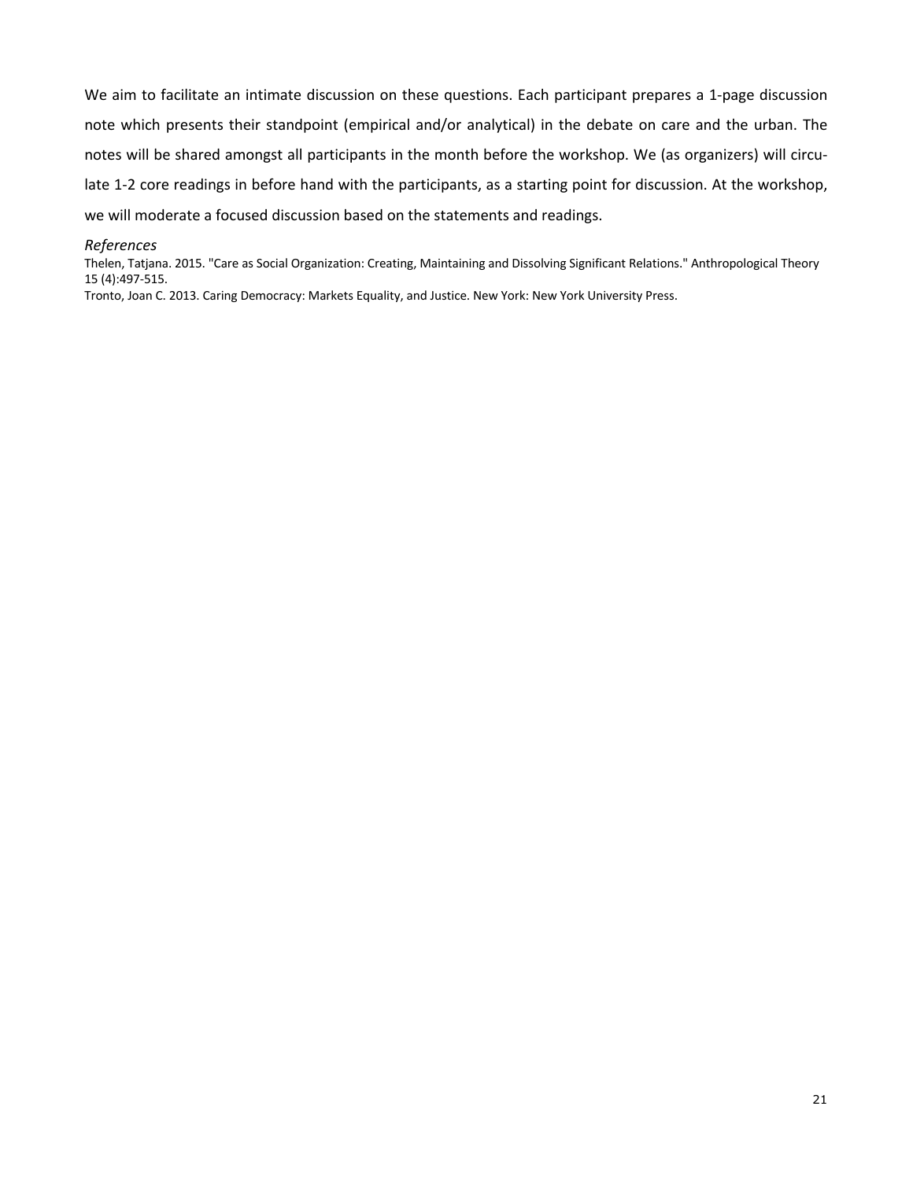We aim to facilitate an intimate discussion on these questions. Each participant prepares a 1-page discussion note which presents their standpoint (empirical and/or analytical) in the debate on care and the urban. The notes will be shared amongst all participants in the month before the workshop. We (as organizers) will circulate 1-2 core readings in before hand with the participants, as a starting point for discussion. At the workshop, we will moderate a focused discussion based on the statements and readings.

#### *References*

Thelen, Tatjana. 2015. "Care as Social Organization: Creating, Maintaining and Dissolving Significant Relations." Anthropological Theory 15 (4):497-515.

Tronto, Joan C. 2013. Caring Democracy: Markets Equality, and Justice. New York: New York University Press.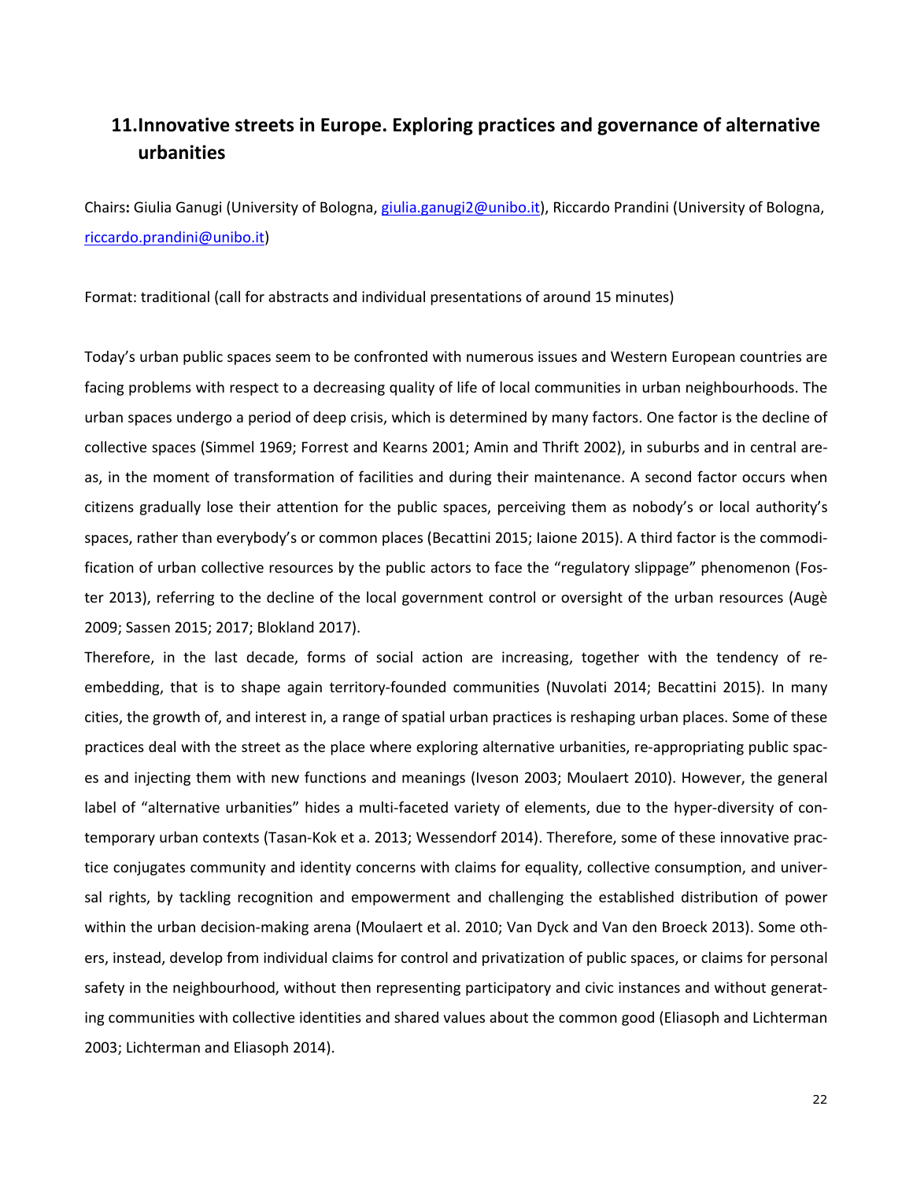# **11.Innovative streets in Europe. Exploring practices and governance of alternative urbanities**

Chairs**:** Giulia Ganugi (University of Bologna, giulia.ganugi2@unibo.it), Riccardo Prandini (University of Bologna, riccardo.prandini@unibo.it)

Format: traditional (call for abstracts and individual presentations of around 15 minutes)

Today's urban public spaces seem to be confronted with numerous issues and Western European countries are facing problems with respect to a decreasing quality of life of local communities in urban neighbourhoods. The urban spaces undergo a period of deep crisis, which is determined by many factors. One factor is the decline of collective spaces (Simmel 1969; Forrest and Kearns 2001; Amin and Thrift 2002), in suburbs and in central areas, in the moment of transformation of facilities and during their maintenance. A second factor occurs when citizens gradually lose their attention for the public spaces, perceiving them as nobody's or local authority's spaces, rather than everybody's or common places (Becattini 2015; Iaione 2015). A third factor is the commodification of urban collective resources by the public actors to face the "regulatory slippage" phenomenon (Foster 2013), referring to the decline of the local government control or oversight of the urban resources (Augè 2009; Sassen 2015; 2017; Blokland 2017).

Therefore, in the last decade, forms of social action are increasing, together with the tendency of reembedding, that is to shape again territory-founded communities (Nuvolati 2014; Becattini 2015). In many cities, the growth of, and interest in, a range of spatial urban practices is reshaping urban places. Some of these practices deal with the street as the place where exploring alternative urbanities, re-appropriating public spaces and injecting them with new functions and meanings (Iveson 2003; Moulaert 2010). However, the general label of "alternative urbanities" hides a multi-faceted variety of elements, due to the hyper-diversity of contemporary urban contexts (Tasan-Kok et a. 2013; Wessendorf 2014). Therefore, some of these innovative practice conjugates community and identity concerns with claims for equality, collective consumption, and universal rights, by tackling recognition and empowerment and challenging the established distribution of power within the urban decision-making arena (Moulaert et al. 2010; Van Dyck and Van den Broeck 2013). Some others, instead, develop from individual claims for control and privatization of public spaces, or claims for personal safety in the neighbourhood, without then representing participatory and civic instances and without generating communities with collective identities and shared values about the common good (Eliasoph and Lichterman 2003; Lichterman and Eliasoph 2014).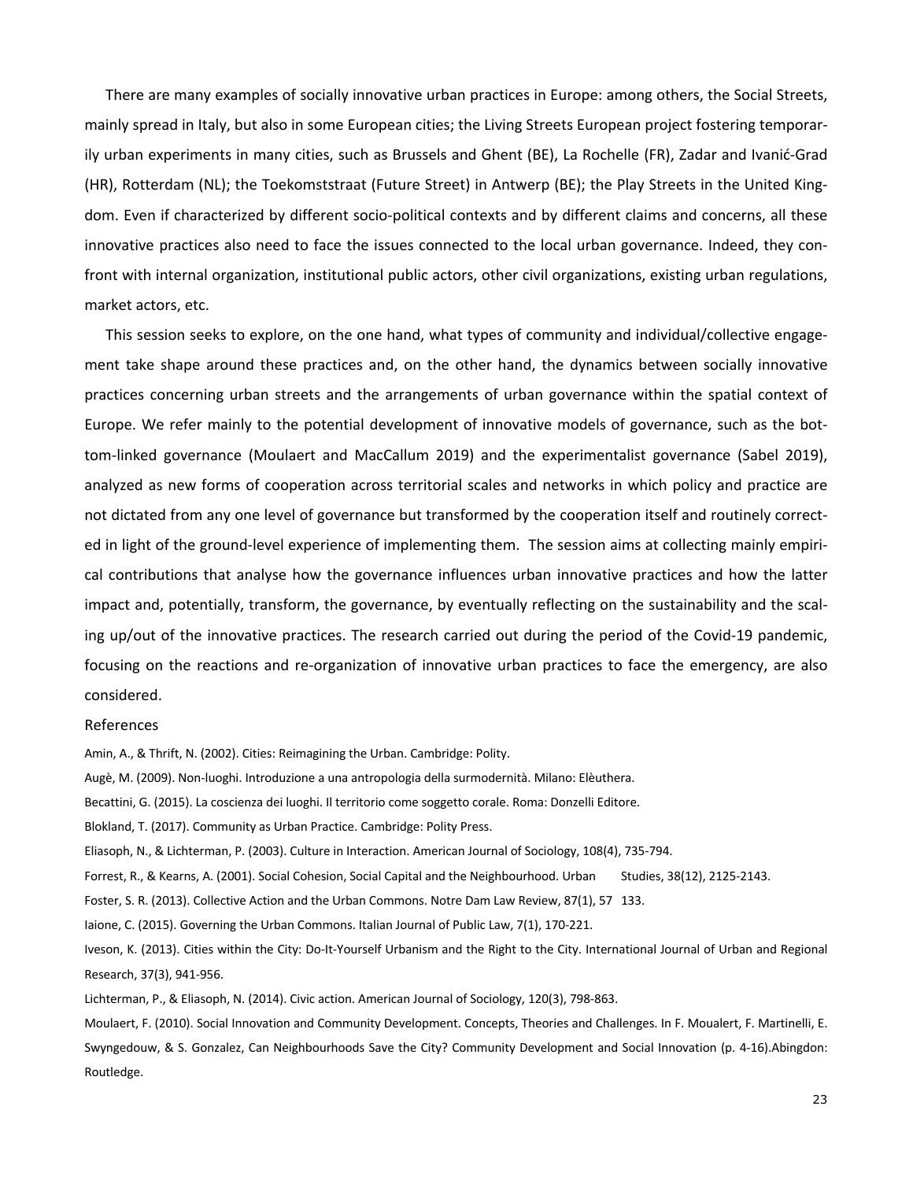There are many examples of socially innovative urban practices in Europe: among others, the Social Streets, mainly spread in Italy, but also in some European cities; the Living Streets European project fostering temporarily urban experiments in many cities, such as Brussels and Ghent (BE), La Rochelle (FR), Zadar and Ivanić-Grad (HR), Rotterdam (NL); the Toekomststraat (Future Street) in Antwerp (BE); the Play Streets in the United Kingdom. Even if characterized by different socio-political contexts and by different claims and concerns, all these innovative practices also need to face the issues connected to the local urban governance. Indeed, they confront with internal organization, institutional public actors, other civil organizations, existing urban regulations, market actors, etc.

This session seeks to explore, on the one hand, what types of community and individual/collective engagement take shape around these practices and, on the other hand, the dynamics between socially innovative practices concerning urban streets and the arrangements of urban governance within the spatial context of Europe. We refer mainly to the potential development of innovative models of governance, such as the bottom-linked governance (Moulaert and MacCallum 2019) and the experimentalist governance (Sabel 2019), analyzed as new forms of cooperation across territorial scales and networks in which policy and practice are not dictated from any one level of governance but transformed by the cooperation itself and routinely corrected in light of the ground-level experience of implementing them. The session aims at collecting mainly empirical contributions that analyse how the governance influences urban innovative practices and how the latter impact and, potentially, transform, the governance, by eventually reflecting on the sustainability and the scaling up/out of the innovative practices. The research carried out during the period of the Covid-19 pandemic, focusing on the reactions and re-organization of innovative urban practices to face the emergency, are also considered.

#### References

Amin, A., & Thrift, N. (2002). Cities: Reimagining the Urban. Cambridge: Polity.

Augè, M. (2009). Non-luoghi. Introduzione a una antropologia della surmodernità. Milano: Elèuthera.

Becattini, G. (2015). La coscienza dei luoghi. Il territorio come soggetto corale. Roma: Donzelli Editore.

Blokland, T. (2017). Community as Urban Practice. Cambridge: Polity Press.

Eliasoph, N., & Lichterman, P. (2003). Culture in Interaction. American Journal of Sociology, 108(4), 735-794.

Forrest, R., & Kearns, A. (2001). Social Cohesion, Social Capital and the Neighbourhood. Urban Studies, 38(12), 2125-2143.

Foster, S. R. (2013). Collective Action and the Urban Commons. Notre Dam Law Review, 87(1), 57 133.

Iaione, C. (2015). Governing the Urban Commons. Italian Journal of Public Law, 7(1), 170-221.

Iveson, K. (2013). Cities within the City: Do-It-Yourself Urbanism and the Right to the City. International Journal of Urban and Regional Research, 37(3), 941-956.

Lichterman, P., & Eliasoph, N. (2014). Civic action. American Journal of Sociology, 120(3), 798-863.

Moulaert, F. (2010). Social Innovation and Community Development. Concepts, Theories and Challenges. In F. Moualert, F. Martinelli, E. Swyngedouw, & S. Gonzalez, Can Neighbourhoods Save the City? Community Development and Social Innovation (p. 4-16).Abingdon: Routledge.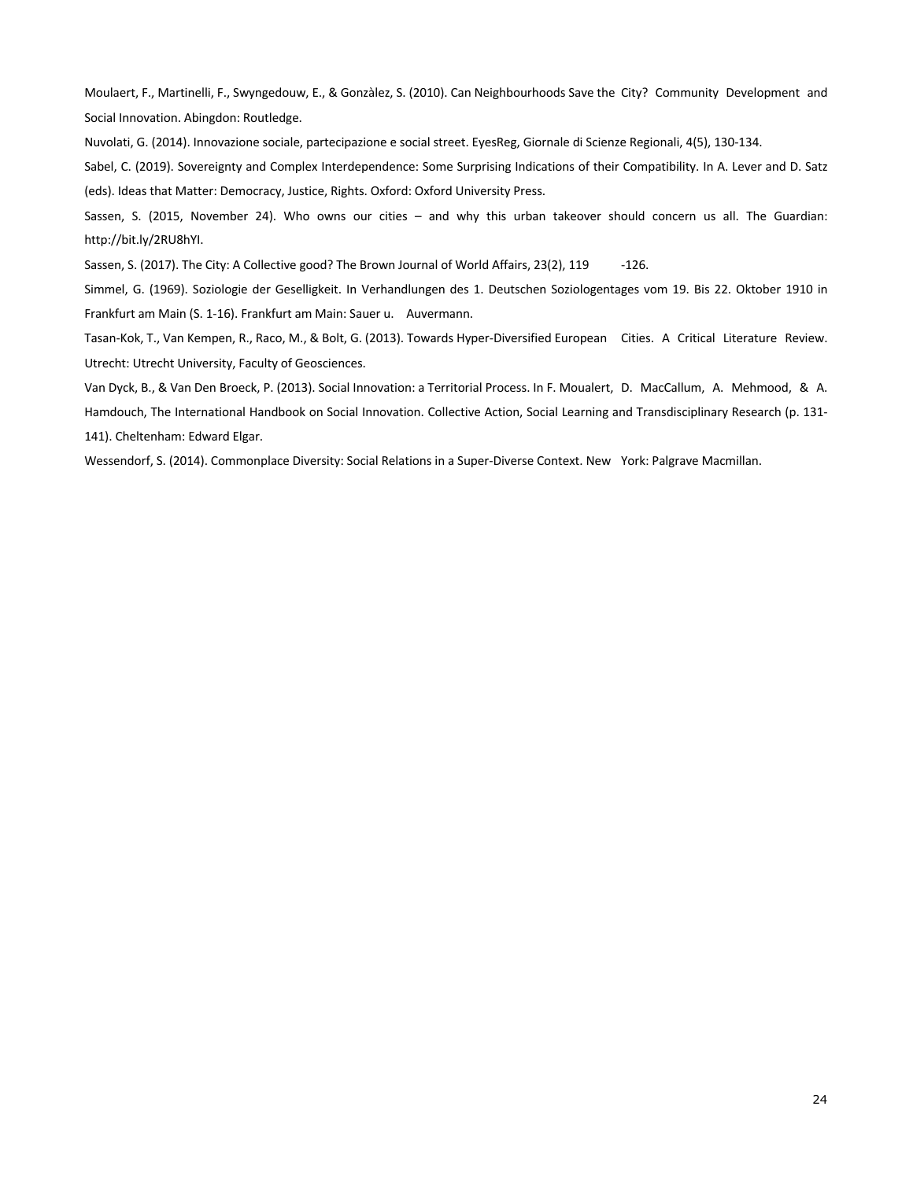Moulaert, F., Martinelli, F., Swyngedouw, E., & Gonzàlez, S. (2010). Can Neighbourhoods Save the City? Community Development and Social Innovation. Abingdon: Routledge.

Nuvolati, G. (2014). Innovazione sociale, partecipazione e social street. EyesReg, Giornale di Scienze Regionali, 4(5), 130-134.

Sabel, C. (2019). Sovereignty and Complex Interdependence: Some Surprising Indications of their Compatibility. In A. Lever and D. Satz (eds). Ideas that Matter: Democracy, Justice, Rights. Oxford: Oxford University Press.

Sassen, S. (2015, November 24). Who owns our cities – and why this urban takeover should concern us all. The Guardian: http://bit.ly/2RU8hYI.

Sassen, S. (2017). The City: A Collective good? The Brown Journal of World Affairs, 23(2), 119 -126.

Simmel, G. (1969). Soziologie der Geselligkeit. In Verhandlungen des 1. Deutschen Soziologentages vom 19. Bis 22. Oktober 1910 in Frankfurt am Main (S. 1-16). Frankfurt am Main: Sauer u. Auvermann.

Tasan-Kok, T., Van Kempen, R., Raco, M., & Bolt, G. (2013). Towards Hyper-Diversified European Cities. A Critical Literature Review. Utrecht: Utrecht University, Faculty of Geosciences.

Van Dyck, B., & Van Den Broeck, P. (2013). Social Innovation: a Territorial Process. In F. Moualert, D. MacCallum, A. Mehmood, & A. Hamdouch, The International Handbook on Social Innovation. Collective Action, Social Learning and Transdisciplinary Research (p. 131- 141). Cheltenham: Edward Elgar.

Wessendorf, S. (2014). Commonplace Diversity: Social Relations in a Super-Diverse Context. New York: Palgrave Macmillan.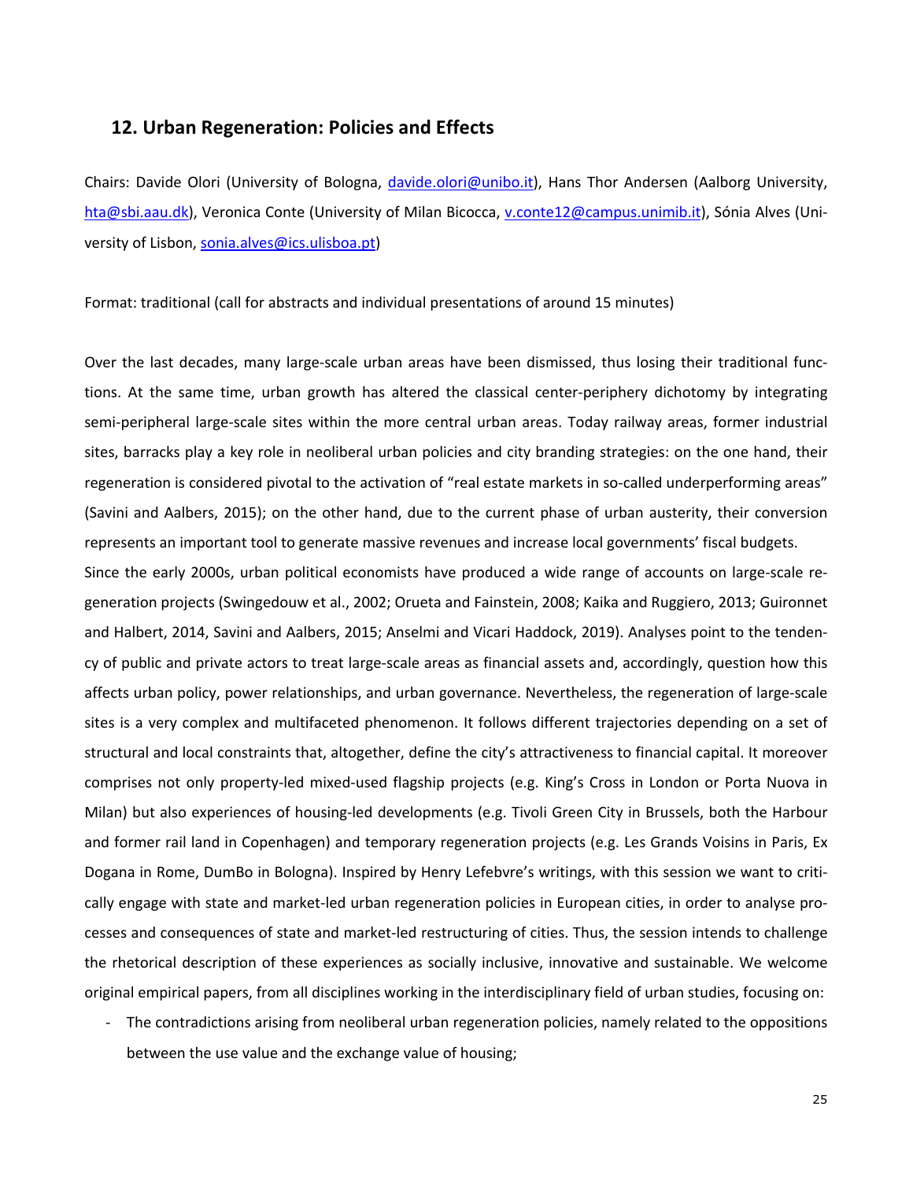## **12. Urban Regeneration: Policies and Effects**

Chairs: Davide Olori (University of Bologna, davide.olori@unibo.it), Hans Thor Andersen (Aalborg University, hta@sbi.aau.dk), Veronica Conte (University of Milan Bicocca, v.conte12@campus.unimib.it), Sónia Alves (University of Lisbon, sonia.alves@ics.ulisboa.pt)

Format: traditional (call for abstracts and individual presentations of around 15 minutes)

Over the last decades, many large-scale urban areas have been dismissed, thus losing their traditional functions. At the same time, urban growth has altered the classical center-periphery dichotomy by integrating semi-peripheral large-scale sites within the more central urban areas. Today railway areas, former industrial sites, barracks play a key role in neoliberal urban policies and city branding strategies: on the one hand, their regeneration is considered pivotal to the activation of "real estate markets in so-called underperforming areas" (Savini and Aalbers, 2015); on the other hand, due to the current phase of urban austerity, their conversion represents an important tool to generate massive revenues and increase local governments' fiscal budgets.

Since the early 2000s, urban political economists have produced a wide range of accounts on large-scale regeneration projects (Swingedouw et al., 2002; Orueta and Fainstein, 2008; Kaika and Ruggiero, 2013; Guironnet and Halbert, 2014, Savini and Aalbers, 2015; Anselmi and Vicari Haddock, 2019). Analyses point to the tendency of public and private actors to treat large-scale areas as financial assets and, accordingly, question how this affects urban policy, power relationships, and urban governance. Nevertheless, the regeneration of large-scale sites is a very complex and multifaceted phenomenon. It follows different trajectories depending on a set of structural and local constraints that, altogether, define the city's attractiveness to financial capital. It moreover comprises not only property-led mixed-used flagship projects (e.g. King's Cross in London or Porta Nuova in Milan) but also experiences of housing-led developments (e.g. Tivoli Green City in Brussels, both the Harbour and former rail land in Copenhagen) and temporary regeneration projects (e.g. Les Grands Voisins in Paris, Ex Dogana in Rome, DumBo in Bologna). Inspired by Henry Lefebvre's writings, with this session we want to critically engage with state and market-led urban regeneration policies in European cities, in order to analyse processes and consequences of state and market-led restructuring of cities. Thus, the session intends to challenge the rhetorical description of these experiences as socially inclusive, innovative and sustainable. We welcome original empirical papers, from all disciplines working in the interdisciplinary field of urban studies, focusing on:

- The contradictions arising from neoliberal urban regeneration policies, namely related to the oppositions between the use value and the exchange value of housing;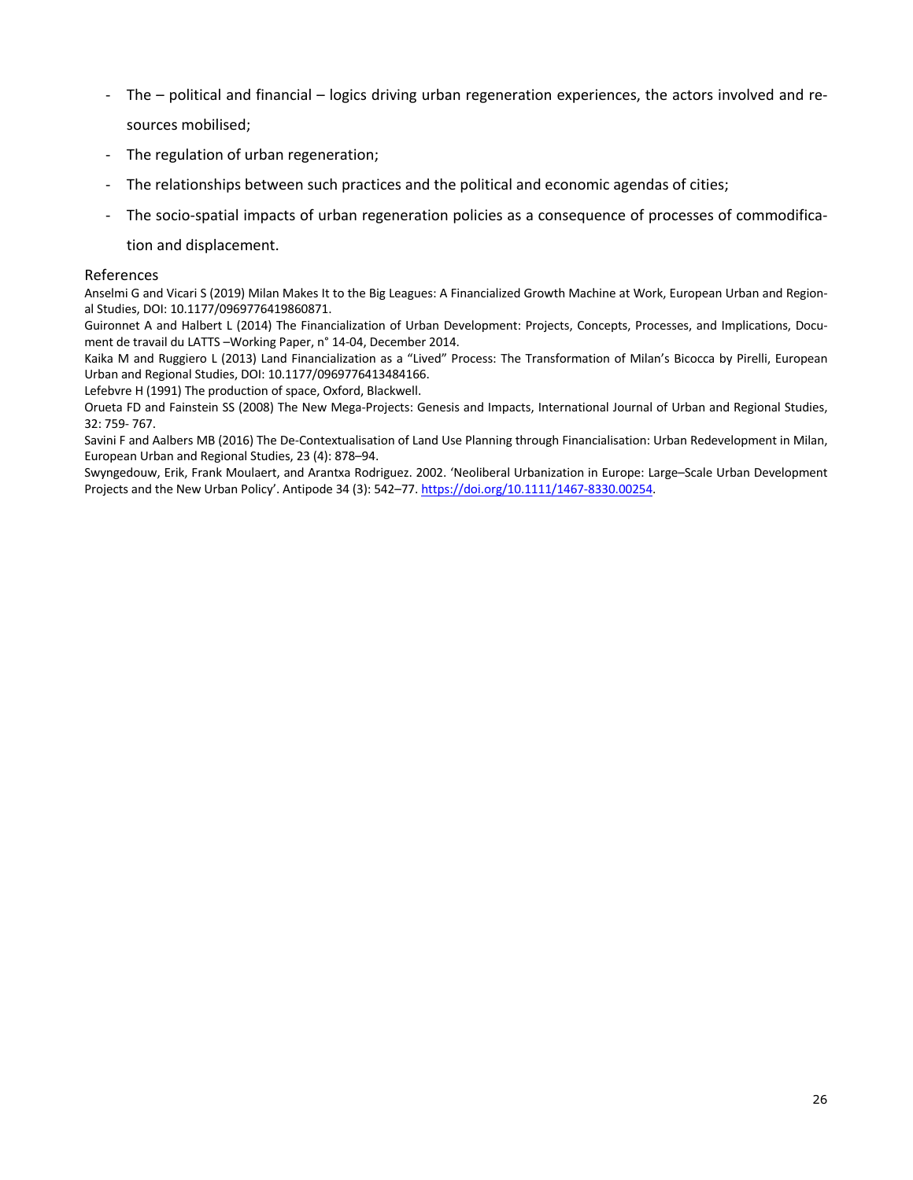- The political and financial logics driving urban regeneration experiences, the actors involved and resources mobilised;
- The regulation of urban regeneration;
- The relationships between such practices and the political and economic agendas of cities;
- The socio-spatial impacts of urban regeneration policies as a consequence of processes of commodifica-

tion and displacement.

#### References

Anselmi G and Vicari S (2019) Milan Makes It to the Big Leagues: A Financialized Growth Machine at Work, European Urban and Regional Studies, DOI: 10.1177/0969776419860871.

Guironnet A and Halbert L (2014) The Financialization of Urban Development: Projects, Concepts, Processes, and Implications, Document de travail du LATTS –Working Paper, n° 14-04, December 2014.

Kaika M and Ruggiero L (2013) Land Financialization as a "Lived" Process: The Transformation of Milan's Bicocca by Pirelli, European Urban and Regional Studies, DOI: 10.1177/0969776413484166.

Lefebvre H (1991) The production of space, Oxford, Blackwell.

Orueta FD and Fainstein SS (2008) The New Mega-Projects: Genesis and Impacts, International Journal of Urban and Regional Studies, 32: 759- 767.

Savini F and Aalbers MB (2016) The De-Contextualisation of Land Use Planning through Financialisation: Urban Redevelopment in Milan, European Urban and Regional Studies, 23 (4): 878–94.

Swyngedouw, Erik, Frank Moulaert, and Arantxa Rodriguez. 2002. 'Neoliberal Urbanization in Europe: Large–Scale Urban Development Projects and the New Urban Policy'. Antipode 34 (3): 542-77. https://doi.org/10.1111/1467-8330.00254.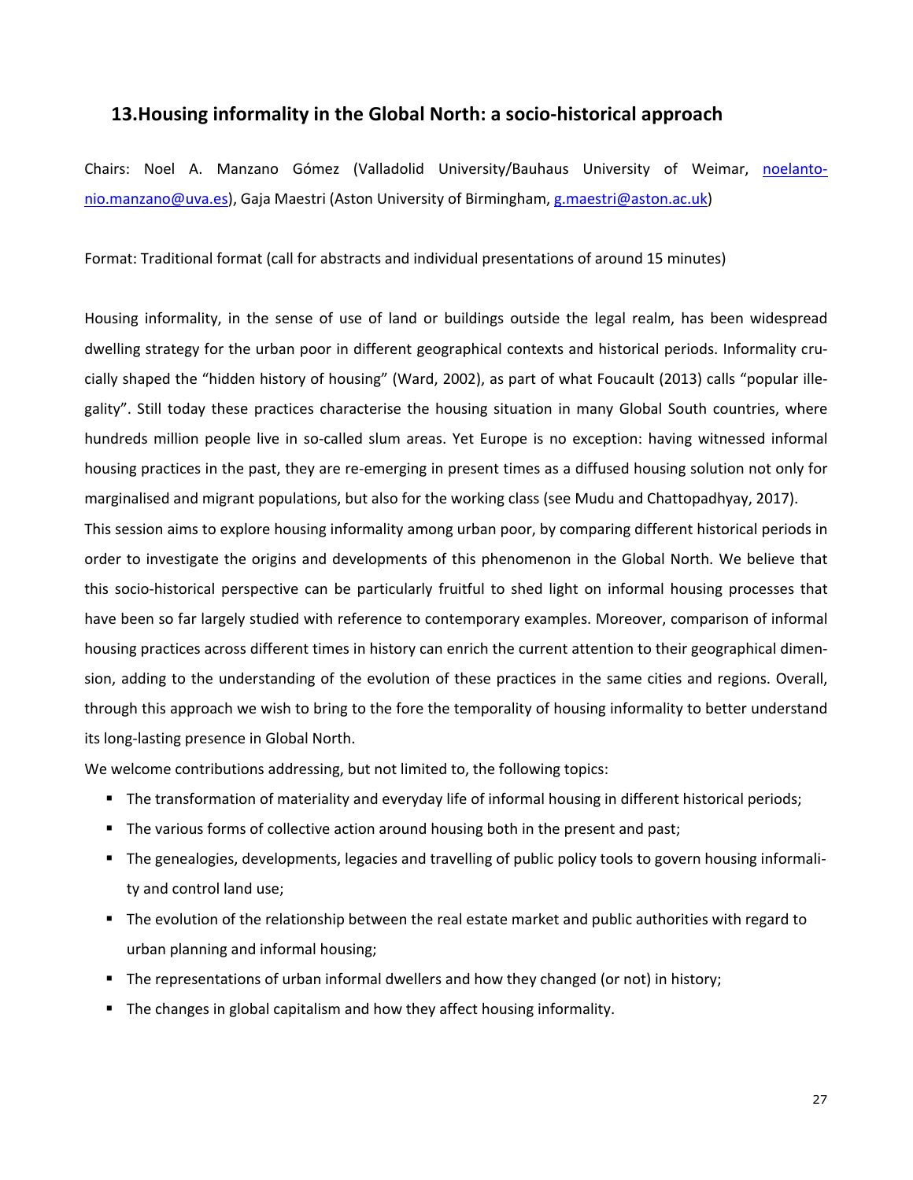## **13.Housing informality in the Global North: a socio-historical approach**

Chairs: Noel A. Manzano Gómez (Valladolid University/Bauhaus University of Weimar, noelantonio.manzano@uva.es), Gaja Maestri (Aston University of Birmingham, g.maestri@aston.ac.uk)

Format: Traditional format (call for abstracts and individual presentations of around 15 minutes)

Housing informality, in the sense of use of land or buildings outside the legal realm, has been widespread dwelling strategy for the urban poor in different geographical contexts and historical periods. Informality crucially shaped the "hidden history of housing" (Ward, 2002), as part of what Foucault (2013) calls "popular illegality". Still today these practices characterise the housing situation in many Global South countries, where hundreds million people live in so-called slum areas. Yet Europe is no exception: having witnessed informal housing practices in the past, they are re-emerging in present times as a diffused housing solution not only for marginalised and migrant populations, but also for the working class (see Mudu and Chattopadhyay, 2017).

This session aims to explore housing informality among urban poor, by comparing different historical periods in order to investigate the origins and developments of this phenomenon in the Global North. We believe that this socio-historical perspective can be particularly fruitful to shed light on informal housing processes that have been so far largely studied with reference to contemporary examples. Moreover, comparison of informal housing practices across different times in history can enrich the current attention to their geographical dimension, adding to the understanding of the evolution of these practices in the same cities and regions. Overall, through this approach we wish to bring to the fore the temporality of housing informality to better understand its long-lasting presence in Global North.

We welcome contributions addressing, but not limited to, the following topics:

- The transformation of materiality and everyday life of informal housing in different historical periods;
- The various forms of collective action around housing both in the present and past;
- § The genealogies, developments, legacies and travelling of public policy tools to govern housing informality and control land use;
- The evolution of the relationship between the real estate market and public authorities with regard to urban planning and informal housing;
- The representations of urban informal dwellers and how they changed (or not) in history;
- The changes in global capitalism and how they affect housing informality.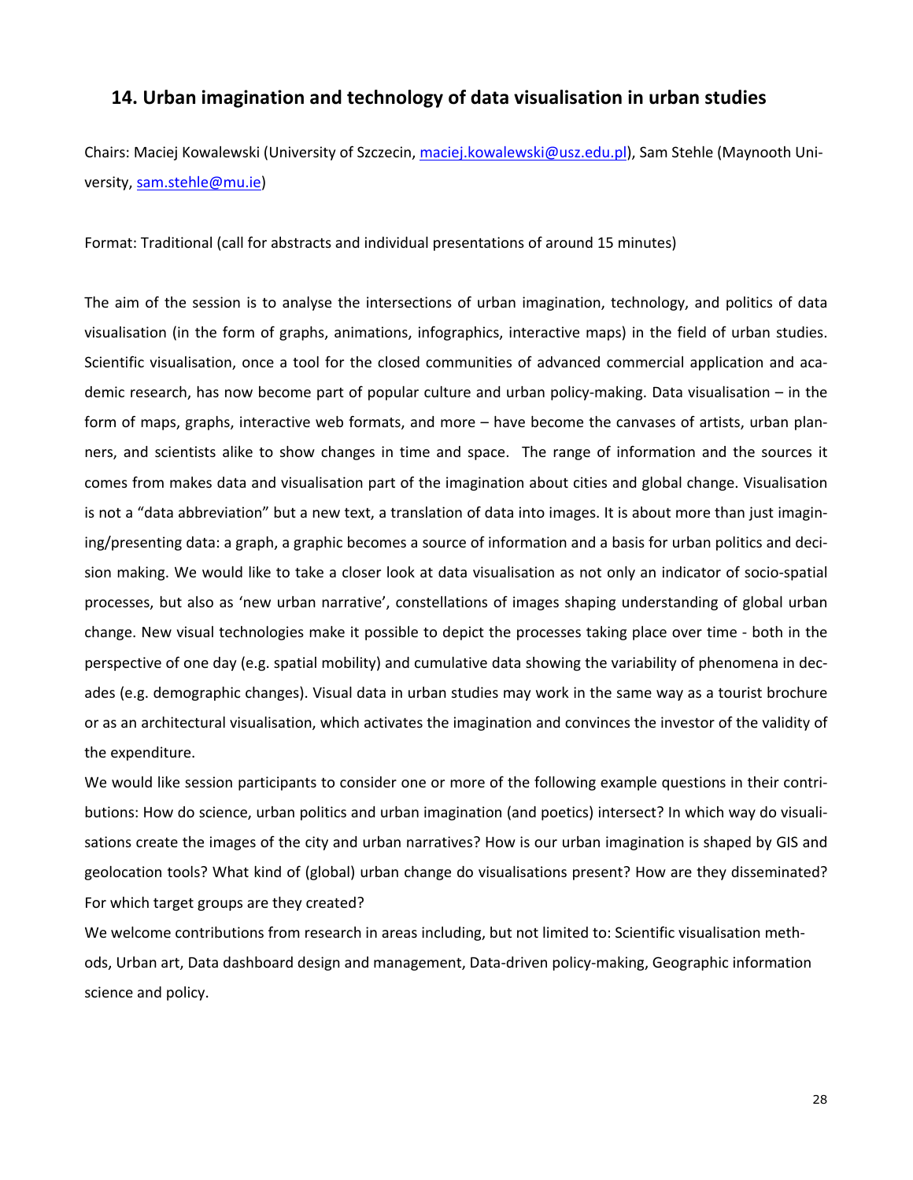# **14. Urban imagination and technology of data visualisation in urban studies**

Chairs: Maciej Kowalewski (University of Szczecin, maciej.kowalewski@usz.edu.pl), Sam Stehle (Maynooth University, sam.stehle@mu.ie)

Format: Traditional (call for abstracts and individual presentations of around 15 minutes)

The aim of the session is to analyse the intersections of urban imagination, technology, and politics of data visualisation (in the form of graphs, animations, infographics, interactive maps) in the field of urban studies. Scientific visualisation, once a tool for the closed communities of advanced commercial application and academic research, has now become part of popular culture and urban policy-making. Data visualisation – in the form of maps, graphs, interactive web formats, and more – have become the canvases of artists, urban planners, and scientists alike to show changes in time and space. The range of information and the sources it comes from makes data and visualisation part of the imagination about cities and global change. Visualisation is not a "data abbreviation" but a new text, a translation of data into images. It is about more than just imagining/presenting data: a graph, a graphic becomes a source of information and a basis for urban politics and decision making. We would like to take a closer look at data visualisation as not only an indicator of socio-spatial processes, but also as 'new urban narrative', constellations of images shaping understanding of global urban change. New visual technologies make it possible to depict the processes taking place over time - both in the perspective of one day (e.g. spatial mobility) and cumulative data showing the variability of phenomena in decades (e.g. demographic changes). Visual data in urban studies may work in the same way as a tourist brochure or as an architectural visualisation, which activates the imagination and convinces the investor of the validity of the expenditure.

We would like session participants to consider one or more of the following example questions in their contributions: How do science, urban politics and urban imagination (and poetics) intersect? In which way do visualisations create the images of the city and urban narratives? How is our urban imagination is shaped by GIS and geolocation tools? What kind of (global) urban change do visualisations present? How are they disseminated? For which target groups are they created?

We welcome contributions from research in areas including, but not limited to: Scientific visualisation methods, Urban art, Data dashboard design and management, Data-driven policy-making, Geographic information science and policy.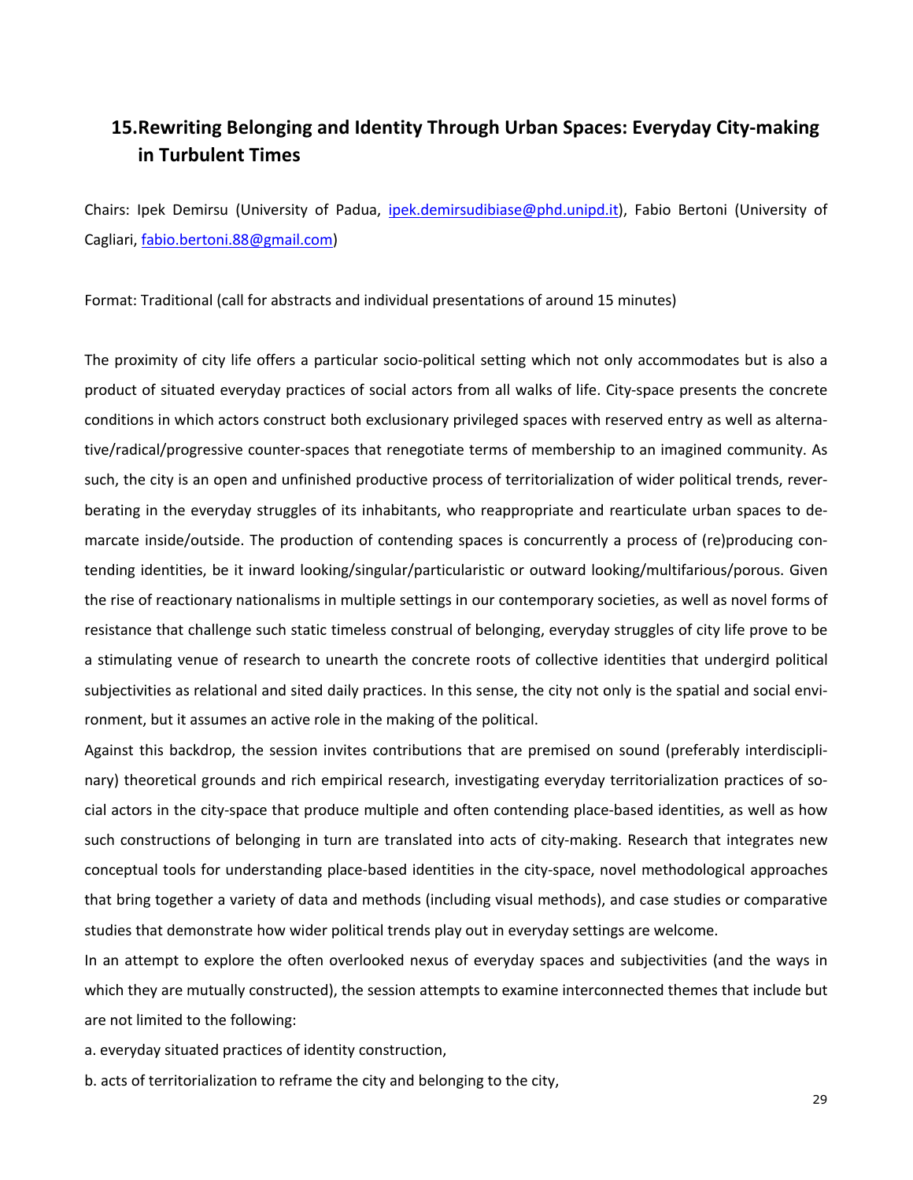# **15.Rewriting Belonging and Identity Through Urban Spaces: Everyday City-making in Turbulent Times**

Chairs: Ipek Demirsu (University of Padua, *ipek.demirsudibiase@phd.unipd.it*), Fabio Bertoni (University of Cagliari, fabio.bertoni.88@gmail.com)

Format: Traditional (call for abstracts and individual presentations of around 15 minutes)

The proximity of city life offers a particular socio-political setting which not only accommodates but is also a product of situated everyday practices of social actors from all walks of life. City-space presents the concrete conditions in which actors construct both exclusionary privileged spaces with reserved entry as well as alternative/radical/progressive counter-spaces that renegotiate terms of membership to an imagined community. As such, the city is an open and unfinished productive process of territorialization of wider political trends, reverberating in the everyday struggles of its inhabitants, who reappropriate and rearticulate urban spaces to demarcate inside/outside. The production of contending spaces is concurrently a process of (re)producing contending identities, be it inward looking/singular/particularistic or outward looking/multifarious/porous. Given the rise of reactionary nationalisms in multiple settings in our contemporary societies, as well as novel forms of resistance that challenge such static timeless construal of belonging, everyday struggles of city life prove to be a stimulating venue of research to unearth the concrete roots of collective identities that undergird political subjectivities as relational and sited daily practices. In this sense, the city not only is the spatial and social environment, but it assumes an active role in the making of the political.

Against this backdrop, the session invites contributions that are premised on sound (preferably interdisciplinary) theoretical grounds and rich empirical research, investigating everyday territorialization practices of social actors in the city-space that produce multiple and often contending place-based identities, as well as how such constructions of belonging in turn are translated into acts of city-making. Research that integrates new conceptual tools for understanding place-based identities in the city-space, novel methodological approaches that bring together a variety of data and methods (including visual methods), and case studies or comparative studies that demonstrate how wider political trends play out in everyday settings are welcome.

In an attempt to explore the often overlooked nexus of everyday spaces and subjectivities (and the ways in which they are mutually constructed), the session attempts to examine interconnected themes that include but are not limited to the following:

a. everyday situated practices of identity construction,

b. acts of territorialization to reframe the city and belonging to the city,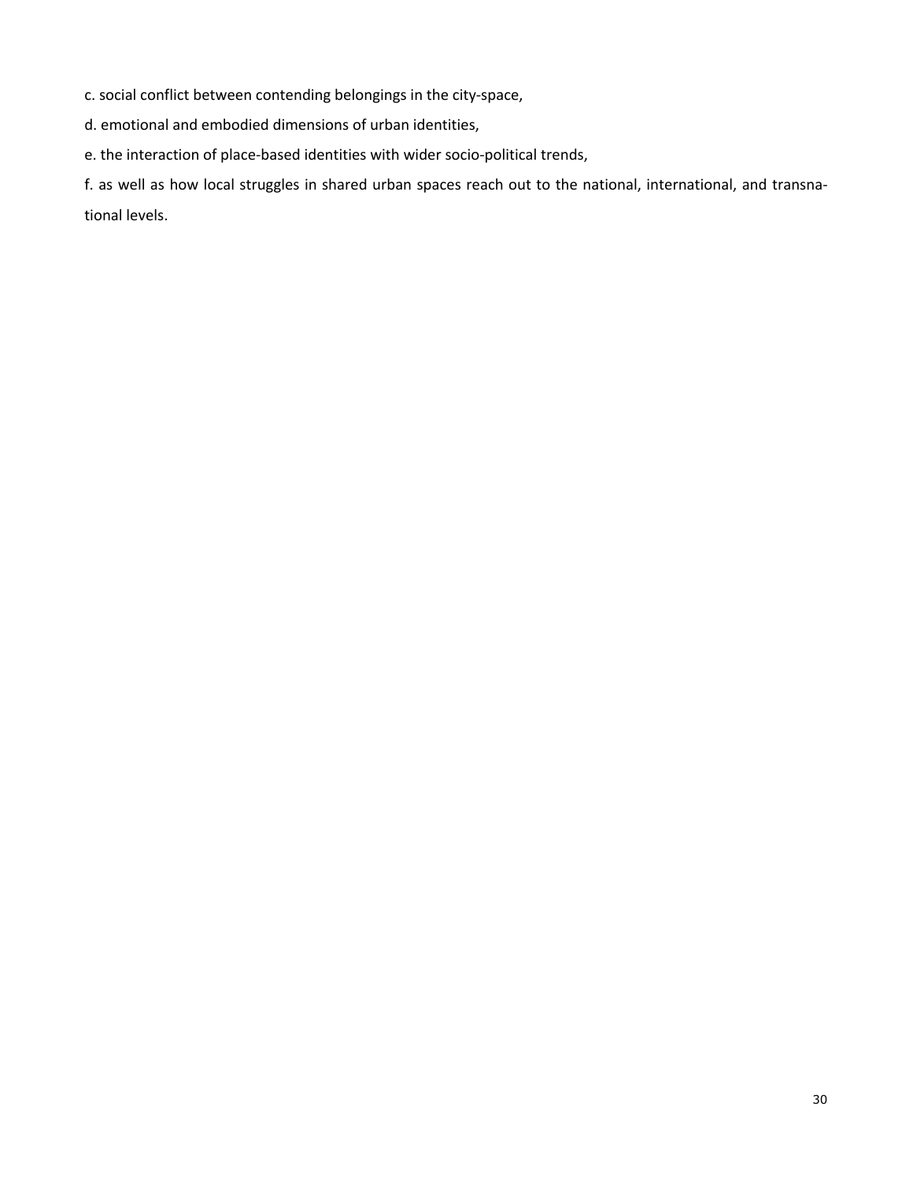c. social conflict between contending belongings in the city-space,

d. emotional and embodied dimensions of urban identities,

e. the interaction of place-based identities with wider socio-political trends,

f. as well as how local struggles in shared urban spaces reach out to the national, international, and transnational levels.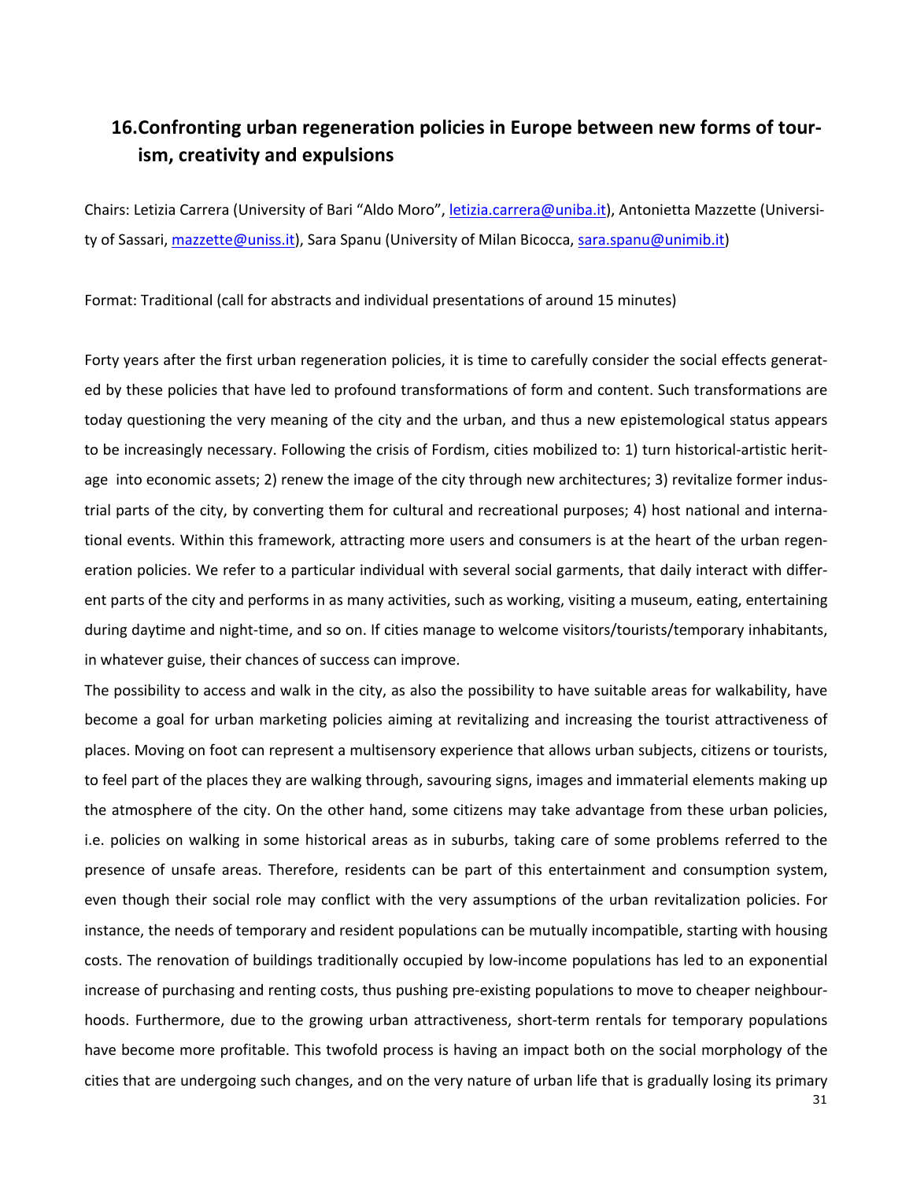# **16.Confronting urban regeneration policies in Europe between new forms of tourism, creativity and expulsions**

Chairs: Letizia Carrera (University of Bari "Aldo Moro", *letizia.carrera@uniba.it*), Antonietta Mazzette (University of Sassari, mazzette@uniss.it), Sara Spanu (University of Milan Bicocca, sara.spanu@unimib.it)

Format: Traditional (call for abstracts and individual presentations of around 15 minutes)

Forty years after the first urban regeneration policies, it is time to carefully consider the social effects generated by these policies that have led to profound transformations of form and content. Such transformations are today questioning the very meaning of the city and the urban, and thus a new epistemological status appears to be increasingly necessary. Following the crisis of Fordism, cities mobilized to: 1) turn historical-artistic heritage into economic assets; 2) renew the image of the city through new architectures; 3) revitalize former industrial parts of the city, by converting them for cultural and recreational purposes; 4) host national and international events. Within this framework, attracting more users and consumers is at the heart of the urban regeneration policies. We refer to a particular individual with several social garments, that daily interact with different parts of the city and performs in as many activities, such as working, visiting a museum, eating, entertaining during daytime and night-time, and so on. If cities manage to welcome visitors/tourists/temporary inhabitants, in whatever guise, their chances of success can improve.

The possibility to access and walk in the city, as also the possibility to have suitable areas for walkability, have become a goal for urban marketing policies aiming at revitalizing and increasing the tourist attractiveness of places. Moving on foot can represent a multisensory experience that allows urban subjects, citizens or tourists, to feel part of the places they are walking through, savouring signs, images and immaterial elements making up the atmosphere of the city. On the other hand, some citizens may take advantage from these urban policies, i.e. policies on walking in some historical areas as in suburbs, taking care of some problems referred to the presence of unsafe areas. Therefore, residents can be part of this entertainment and consumption system, even though their social role may conflict with the very assumptions of the urban revitalization policies. For instance, the needs of temporary and resident populations can be mutually incompatible, starting with housing costs. The renovation of buildings traditionally occupied by low-income populations has led to an exponential increase of purchasing and renting costs, thus pushing pre-existing populations to move to cheaper neighbourhoods. Furthermore, due to the growing urban attractiveness, short-term rentals for temporary populations have become more profitable. This twofold process is having an impact both on the social morphology of the cities that are undergoing such changes, and on the very nature of urban life that is gradually losing its primary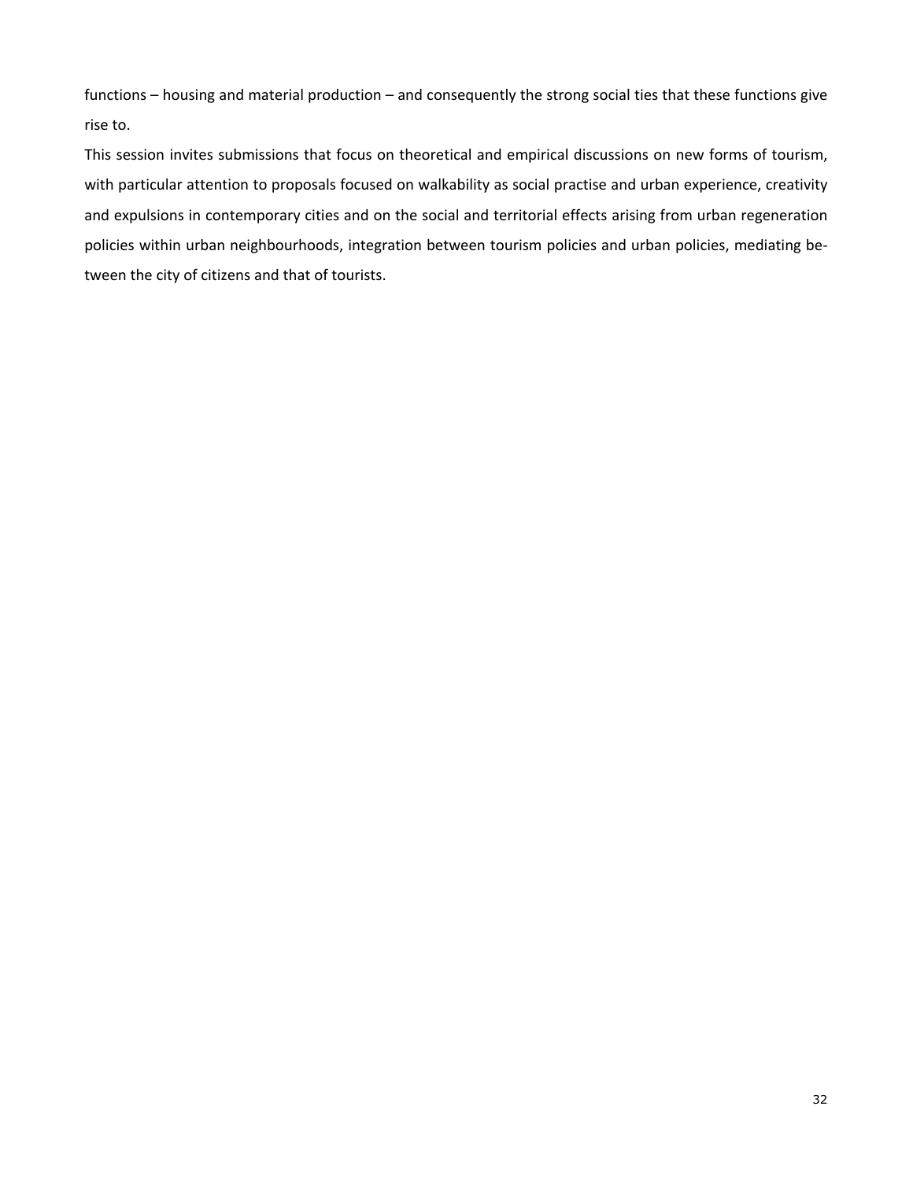functions – housing and material production – and consequently the strong social ties that these functions give rise to.

This session invites submissions that focus on theoretical and empirical discussions on new forms of tourism, with particular attention to proposals focused on walkability as social practise and urban experience, creativity and expulsions in contemporary cities and on the social and territorial effects arising from urban regeneration policies within urban neighbourhoods, integration between tourism policies and urban policies, mediating between the city of citizens and that of tourists.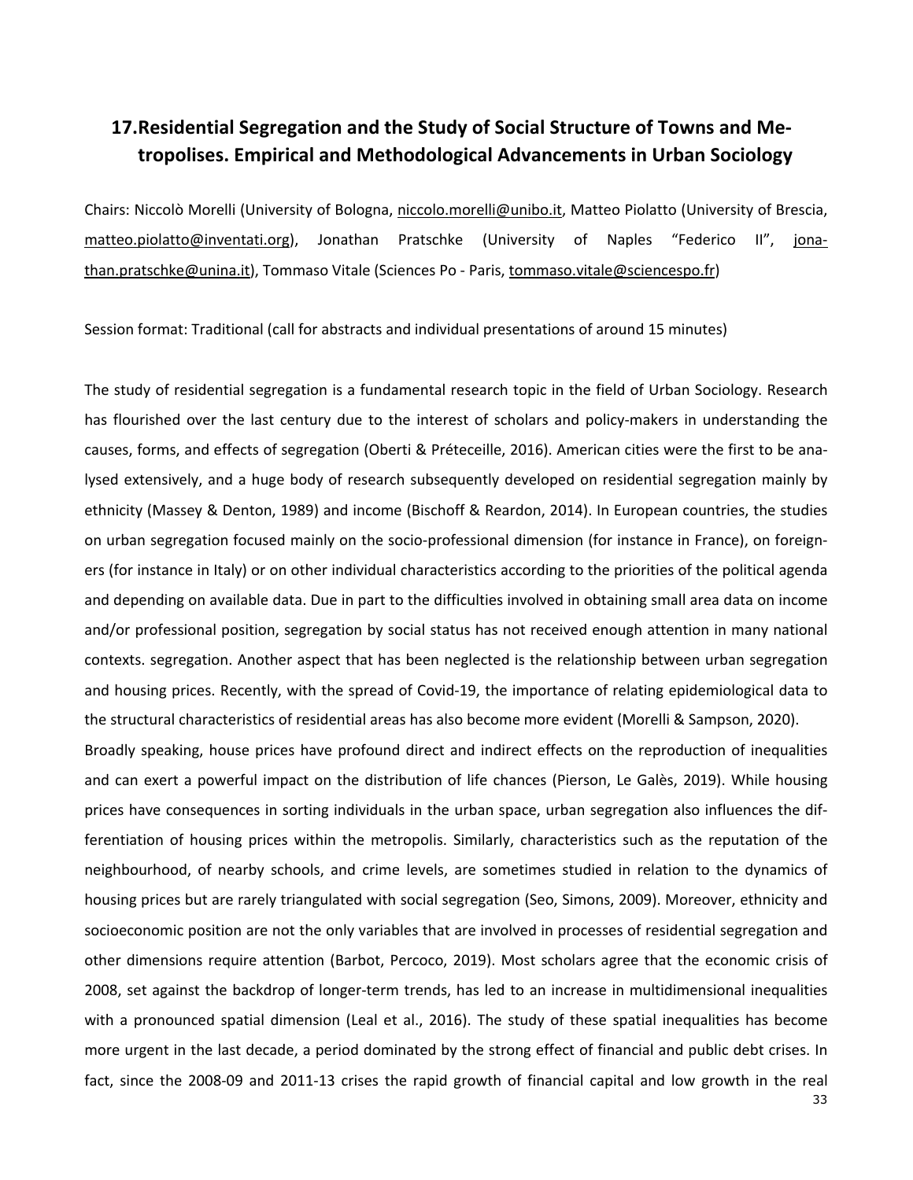# **17.Residential Segregation and the Study of Social Structure of Towns and Metropolises. Empirical and Methodological Advancements in Urban Sociology**

Chairs: Niccolò Morelli (University of Bologna, niccolo.morelli@unibo.it, Matteo Piolatto (University of Brescia, matteo.piolatto@inventati.org), Jonathan Pratschke (University of Naples "Federico II", jonathan.pratschke@unina.it), Tommaso Vitale (Sciences Po - Paris, tommaso.vitale@sciencespo.fr)

Session format: Traditional (call for abstracts and individual presentations of around 15 minutes)

The study of residential segregation is a fundamental research topic in the field of Urban Sociology. Research has flourished over the last century due to the interest of scholars and policy-makers in understanding the causes, forms, and effects of segregation (Oberti & Préteceille, 2016). American cities were the first to be analysed extensively, and a huge body of research subsequently developed on residential segregation mainly by ethnicity (Massey & Denton, 1989) and income (Bischoff & Reardon, 2014). In European countries, the studies on urban segregation focused mainly on the socio-professional dimension (for instance in France), on foreigners (for instance in Italy) or on other individual characteristics according to the priorities of the political agenda and depending on available data. Due in part to the difficulties involved in obtaining small area data on income and/or professional position, segregation by social status has not received enough attention in many national contexts. segregation. Another aspect that has been neglected is the relationship between urban segregation and housing prices. Recently, with the spread of Covid-19, the importance of relating epidemiological data to the structural characteristics of residential areas has also become more evident (Morelli & Sampson, 2020).

Broadly speaking, house prices have profound direct and indirect effects on the reproduction of inequalities and can exert a powerful impact on the distribution of life chances (Pierson, Le Galès, 2019). While housing prices have consequences in sorting individuals in the urban space, urban segregation also influences the differentiation of housing prices within the metropolis. Similarly, characteristics such as the reputation of the neighbourhood, of nearby schools, and crime levels, are sometimes studied in relation to the dynamics of housing prices but are rarely triangulated with social segregation (Seo, Simons, 2009). Moreover, ethnicity and socioeconomic position are not the only variables that are involved in processes of residential segregation and other dimensions require attention (Barbot, Percoco, 2019). Most scholars agree that the economic crisis of 2008, set against the backdrop of longer-term trends, has led to an increase in multidimensional inequalities with a pronounced spatial dimension (Leal et al., 2016). The study of these spatial inequalities has become more urgent in the last decade, a period dominated by the strong effect of financial and public debt crises. In fact, since the 2008-09 and 2011-13 crises the rapid growth of financial capital and low growth in the real

33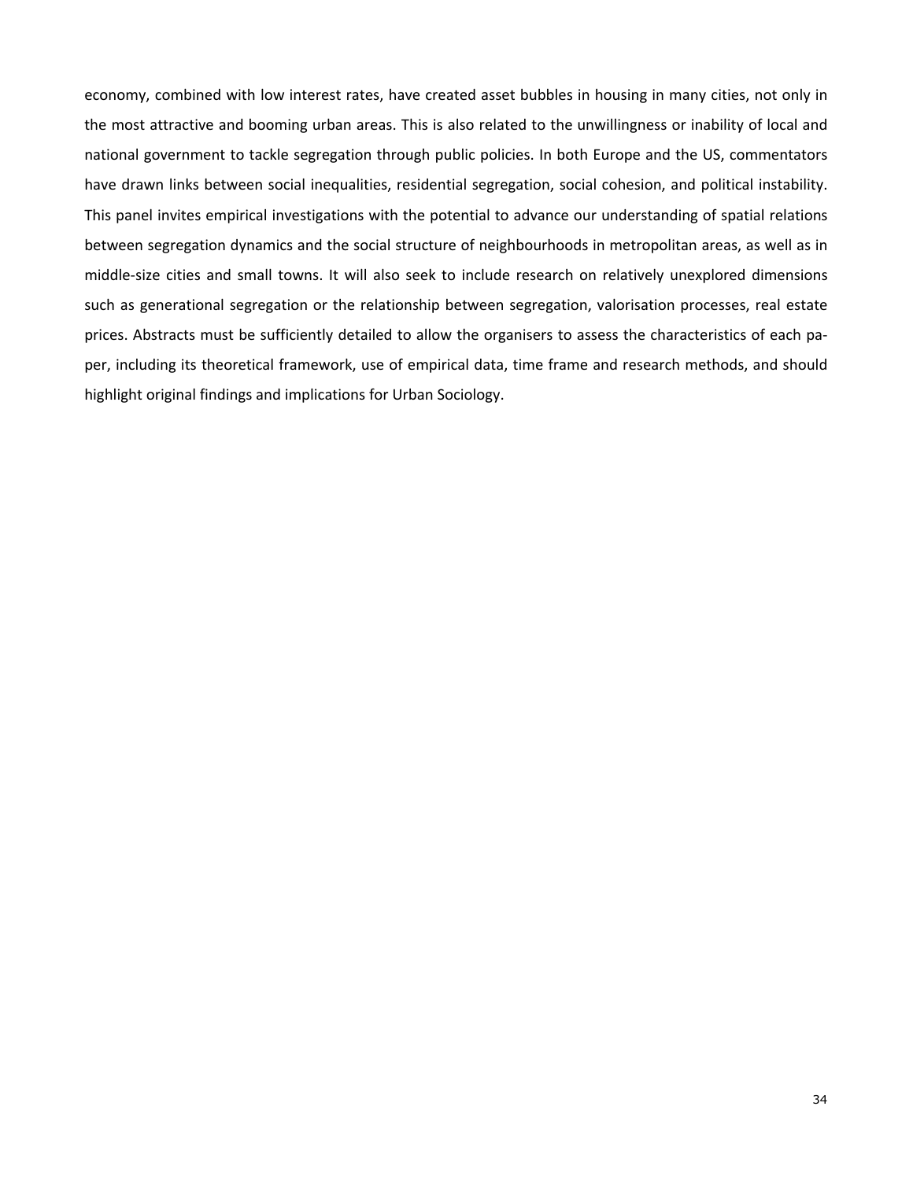economy, combined with low interest rates, have created asset bubbles in housing in many cities, not only in the most attractive and booming urban areas. This is also related to the unwillingness or inability of local and national government to tackle segregation through public policies. In both Europe and the US, commentators have drawn links between social inequalities, residential segregation, social cohesion, and political instability. This panel invites empirical investigations with the potential to advance our understanding of spatial relations between segregation dynamics and the social structure of neighbourhoods in metropolitan areas, as well as in middle-size cities and small towns. It will also seek to include research on relatively unexplored dimensions such as generational segregation or the relationship between segregation, valorisation processes, real estate prices. Abstracts must be sufficiently detailed to allow the organisers to assess the characteristics of each paper, including its theoretical framework, use of empirical data, time frame and research methods, and should highlight original findings and implications for Urban Sociology.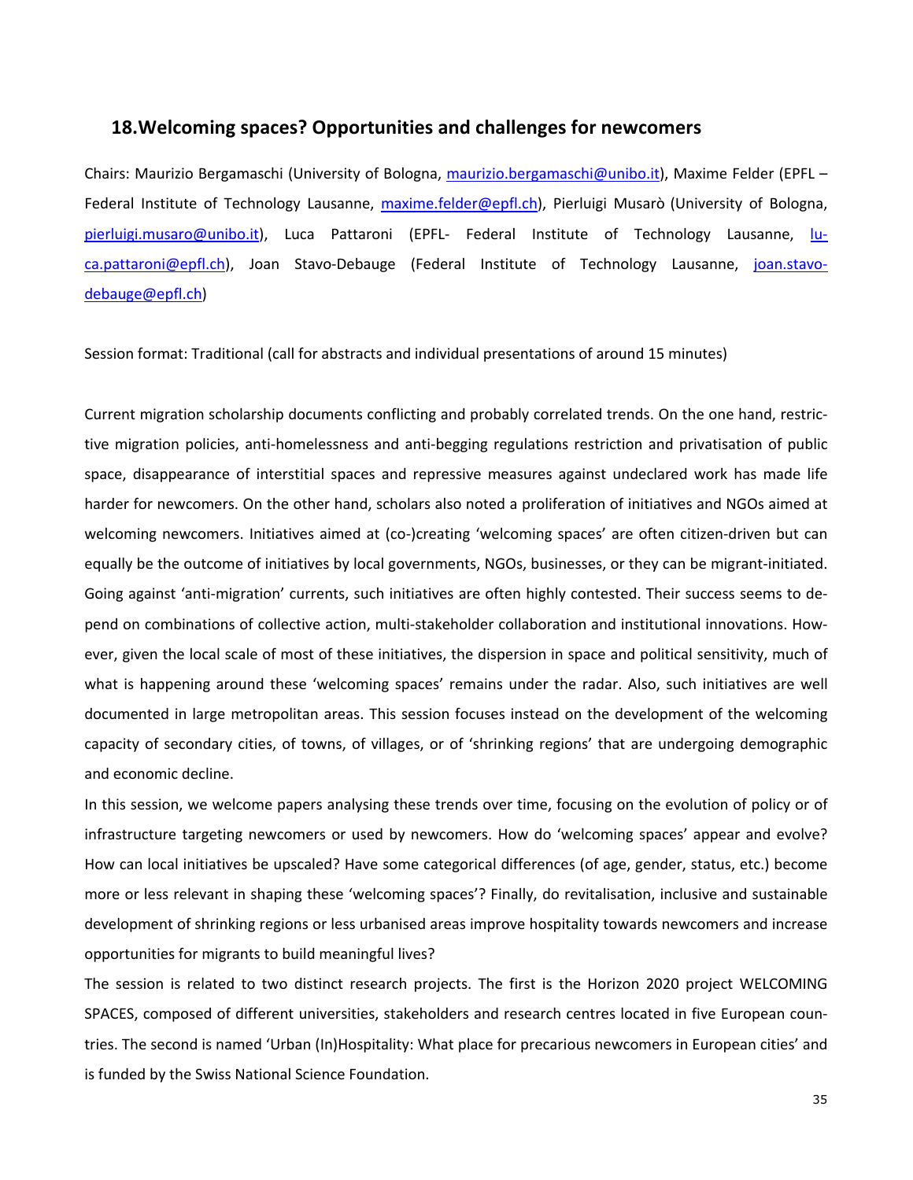## **18.Welcoming spaces? Opportunities and challenges for newcomers**

Chairs: Maurizio Bergamaschi (University of Bologna, maurizio.bergamaschi@unibo.it), Maxime Felder (EPFL – Federal Institute of Technology Lausanne, maxime.felder@epfl.ch), Pierluigi Musarò (University of Bologna, pierluigi.musaro@unibo.it), Luca Pattaroni (EPFL- Federal Institute of Technology Lausanne, luca.pattaroni@epfl.ch), Joan Stavo-Debauge (Federal Institute of Technology Lausanne, joan.stavodebauge@epfl.ch)

Session format: Traditional (call for abstracts and individual presentations of around 15 minutes)

Current migration scholarship documents conflicting and probably correlated trends. On the one hand, restrictive migration policies, anti-homelessness and anti-begging regulations restriction and privatisation of public space, disappearance of interstitial spaces and repressive measures against undeclared work has made life harder for newcomers. On the other hand, scholars also noted a proliferation of initiatives and NGOs aimed at welcoming newcomers. Initiatives aimed at (co-)creating 'welcoming spaces' are often citizen-driven but can equally be the outcome of initiatives by local governments, NGOs, businesses, or they can be migrant-initiated. Going against 'anti-migration' currents, such initiatives are often highly contested. Their success seems to depend on combinations of collective action, multi-stakeholder collaboration and institutional innovations. However, given the local scale of most of these initiatives, the dispersion in space and political sensitivity, much of what is happening around these 'welcoming spaces' remains under the radar. Also, such initiatives are well documented in large metropolitan areas. This session focuses instead on the development of the welcoming capacity of secondary cities, of towns, of villages, or of 'shrinking regions' that are undergoing demographic and economic decline.

In this session, we welcome papers analysing these trends over time, focusing on the evolution of policy or of infrastructure targeting newcomers or used by newcomers. How do 'welcoming spaces' appear and evolve? How can local initiatives be upscaled? Have some categorical differences (of age, gender, status, etc.) become more or less relevant in shaping these 'welcoming spaces'? Finally, do revitalisation, inclusive and sustainable development of shrinking regions or less urbanised areas improve hospitality towards newcomers and increase opportunities for migrants to build meaningful lives?

The session is related to two distinct research projects. The first is the Horizon 2020 project WELCOMING SPACES, composed of different universities, stakeholders and research centres located in five European countries. The second is named 'Urban (In)Hospitality: What place for precarious newcomers in European cities' and is funded by the Swiss National Science Foundation.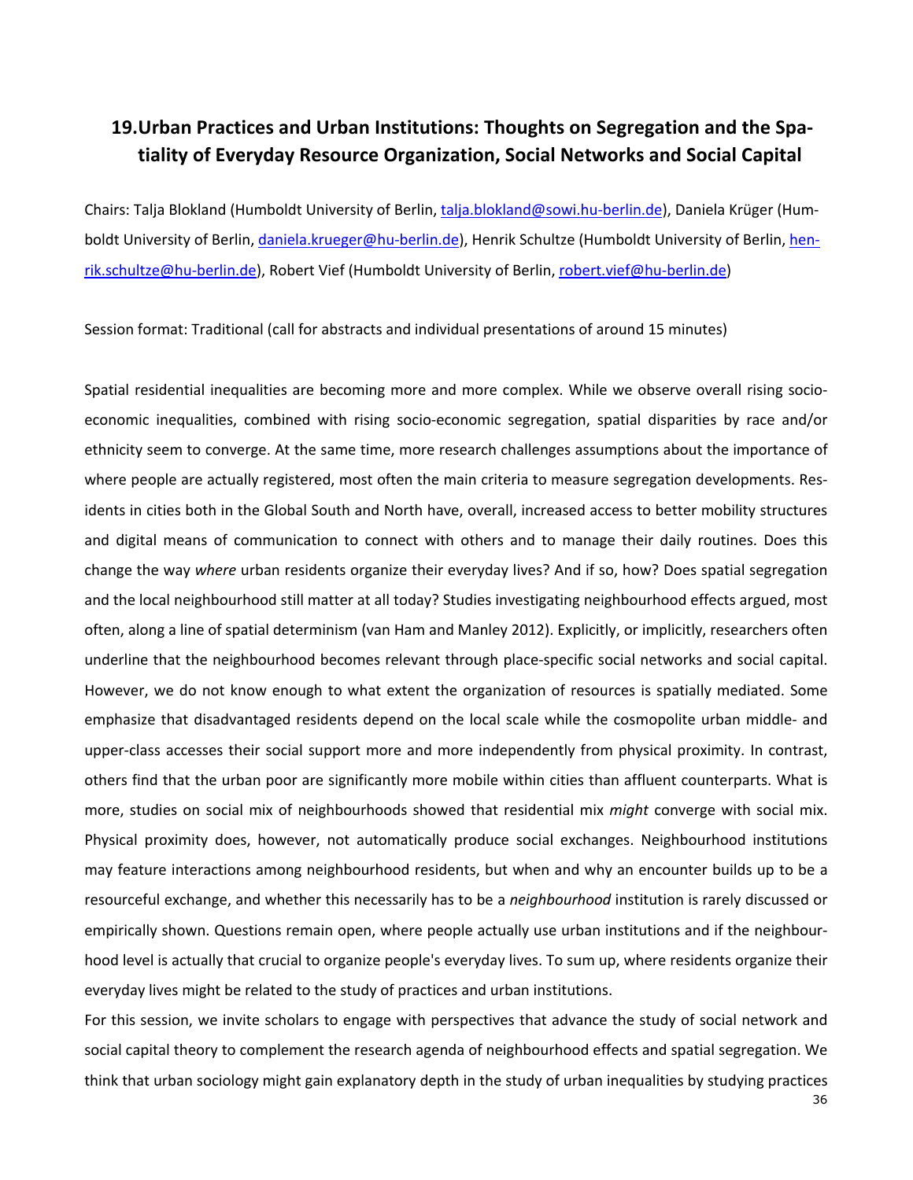# **19.Urban Practices and Urban Institutions: Thoughts on Segregation and the Spatiality of Everyday Resource Organization, Social Networks and Social Capital**

Chairs: Talja Blokland (Humboldt University of Berlin, talja.blokland@sowi.hu-berlin.de), Daniela Krüger (Humboldt University of Berlin, daniela.krueger@hu-berlin.de), Henrik Schultze (Humboldt University of Berlin, henrik.schultze@hu-berlin.de), Robert Vief (Humboldt University of Berlin, robert.vief@hu-berlin.de)

Session format: Traditional (call for abstracts and individual presentations of around 15 minutes)

Spatial residential inequalities are becoming more and more complex. While we observe overall rising socioeconomic inequalities, combined with rising socio-economic segregation, spatial disparities by race and/or ethnicity seem to converge. At the same time, more research challenges assumptions about the importance of where people are actually registered, most often the main criteria to measure segregation developments. Residents in cities both in the Global South and North have, overall, increased access to better mobility structures and digital means of communication to connect with others and to manage their daily routines. Does this change the way *where* urban residents organize their everyday lives? And if so, how? Does spatial segregation and the local neighbourhood still matter at all today? Studies investigating neighbourhood effects argued, most often, along a line of spatial determinism (van Ham and Manley 2012). Explicitly, or implicitly, researchers often underline that the neighbourhood becomes relevant through place-specific social networks and social capital. However, we do not know enough to what extent the organization of resources is spatially mediated. Some emphasize that disadvantaged residents depend on the local scale while the cosmopolite urban middle- and upper-class accesses their social support more and more independently from physical proximity. In contrast, others find that the urban poor are significantly more mobile within cities than affluent counterparts. What is more, studies on social mix of neighbourhoods showed that residential mix *might* converge with social mix. Physical proximity does, however, not automatically produce social exchanges. Neighbourhood institutions may feature interactions among neighbourhood residents, but when and why an encounter builds up to be a resourceful exchange, and whether this necessarily has to be a *neighbourhood* institution is rarely discussed or empirically shown. Questions remain open, where people actually use urban institutions and if the neighbourhood level is actually that crucial to organize people's everyday lives. To sum up, where residents organize their everyday lives might be related to the study of practices and urban institutions.

For this session, we invite scholars to engage with perspectives that advance the study of social network and social capital theory to complement the research agenda of neighbourhood effects and spatial segregation. We think that urban sociology might gain explanatory depth in the study of urban inequalities by studying practices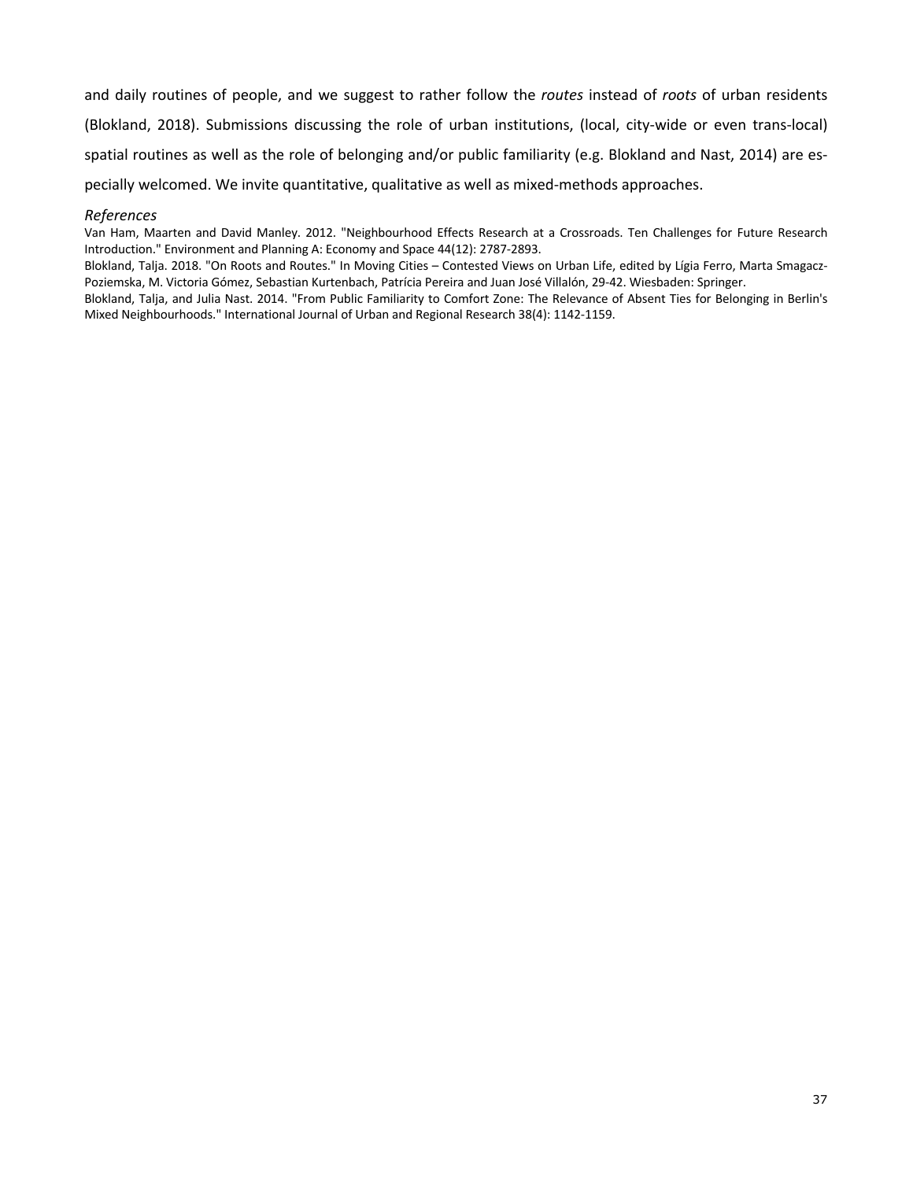and daily routines of people, and we suggest to rather follow the *routes* instead of *roots* of urban residents (Blokland, 2018). Submissions discussing the role of urban institutions, (local, city-wide or even trans-local) spatial routines as well as the role of belonging and/or public familiarity (e.g. Blokland and Nast, 2014) are especially welcomed. We invite quantitative, qualitative as well as mixed-methods approaches.

#### *References*

Van Ham, Maarten and David Manley. 2012. "Neighbourhood Effects Research at a Crossroads. Ten Challenges for Future Research Introduction." Environment and Planning A: Economy and Space 44(12): 2787-2893.

Blokland, Talja. 2018. "On Roots and Routes." In Moving Cities – Contested Views on Urban Life, edited by Lígia Ferro, Marta Smagacz-Poziemska, M. Victoria Gómez, Sebastian Kurtenbach, Patrícia Pereira and Juan José Villalón, 29-42. Wiesbaden: Springer.

Blokland, Talja, and Julia Nast. 2014. "From Public Familiarity to Comfort Zone: The Relevance of Absent Ties for Belonging in Berlin's Mixed Neighbourhoods." International Journal of Urban and Regional Research 38(4): 1142-1159.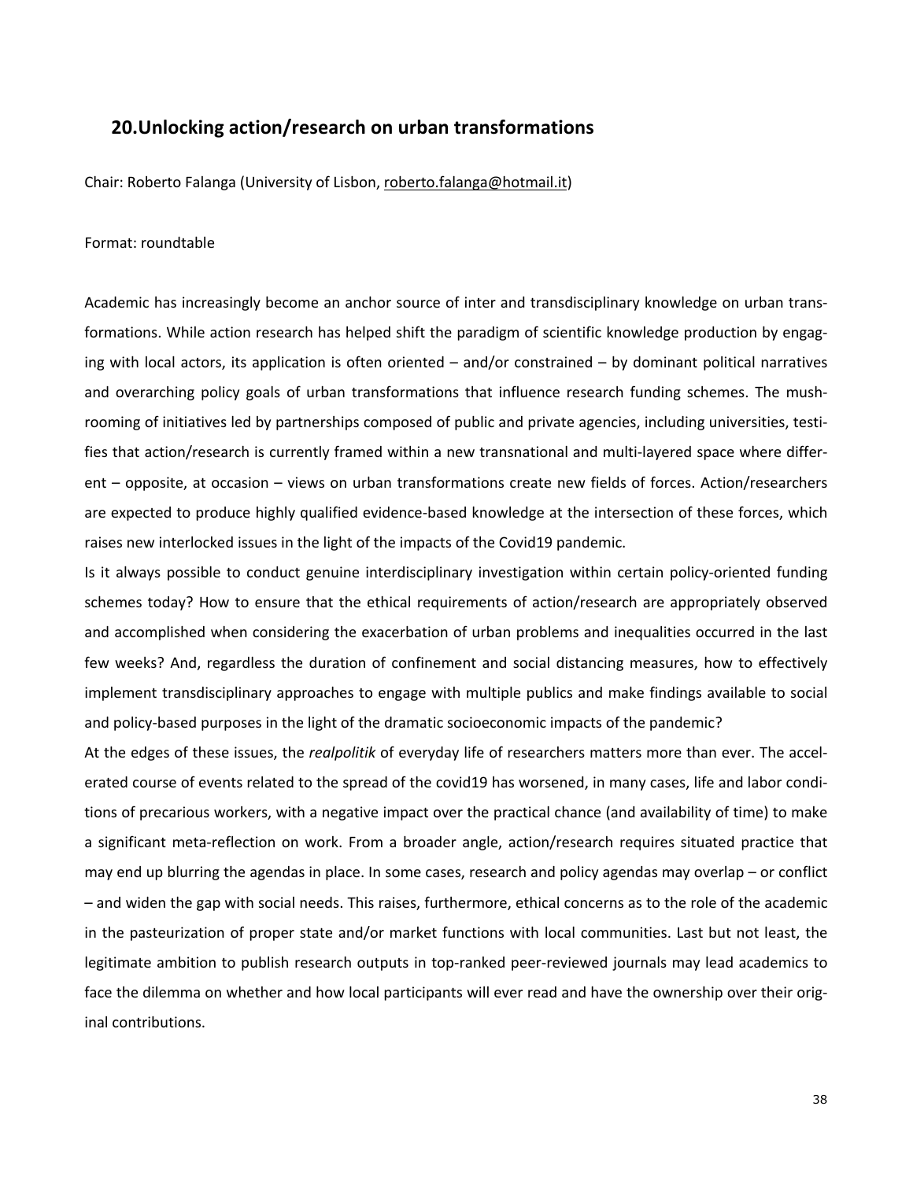# **20.Unlocking action/research on urban transformations**

Chair: Roberto Falanga (University of Lisbon, roberto.falanga@hotmail.it)

#### Format: roundtable

Academic has increasingly become an anchor source of inter and transdisciplinary knowledge on urban transformations. While action research has helped shift the paradigm of scientific knowledge production by engaging with local actors, its application is often oriented – and/or constrained – by dominant political narratives and overarching policy goals of urban transformations that influence research funding schemes. The mushrooming of initiatives led by partnerships composed of public and private agencies, including universities, testifies that action/research is currently framed within a new transnational and multi-layered space where different – opposite, at occasion – views on urban transformations create new fields of forces. Action/researchers are expected to produce highly qualified evidence-based knowledge at the intersection of these forces, which raises new interlocked issues in the light of the impacts of the Covid19 pandemic.

Is it always possible to conduct genuine interdisciplinary investigation within certain policy-oriented funding schemes today? How to ensure that the ethical requirements of action/research are appropriately observed and accomplished when considering the exacerbation of urban problems and inequalities occurred in the last few weeks? And, regardless the duration of confinement and social distancing measures, how to effectively implement transdisciplinary approaches to engage with multiple publics and make findings available to social and policy-based purposes in the light of the dramatic socioeconomic impacts of the pandemic?

At the edges of these issues, the *realpolitik* of everyday life of researchers matters more than ever. The accelerated course of events related to the spread of the covid19 has worsened, in many cases, life and labor conditions of precarious workers, with a negative impact over the practical chance (and availability of time) to make a significant meta-reflection on work. From a broader angle, action/research requires situated practice that may end up blurring the agendas in place. In some cases, research and policy agendas may overlap – or conflict – and widen the gap with social needs. This raises, furthermore, ethical concerns as to the role of the academic in the pasteurization of proper state and/or market functions with local communities. Last but not least, the legitimate ambition to publish research outputs in top-ranked peer-reviewed journals may lead academics to face the dilemma on whether and how local participants will ever read and have the ownership over their original contributions.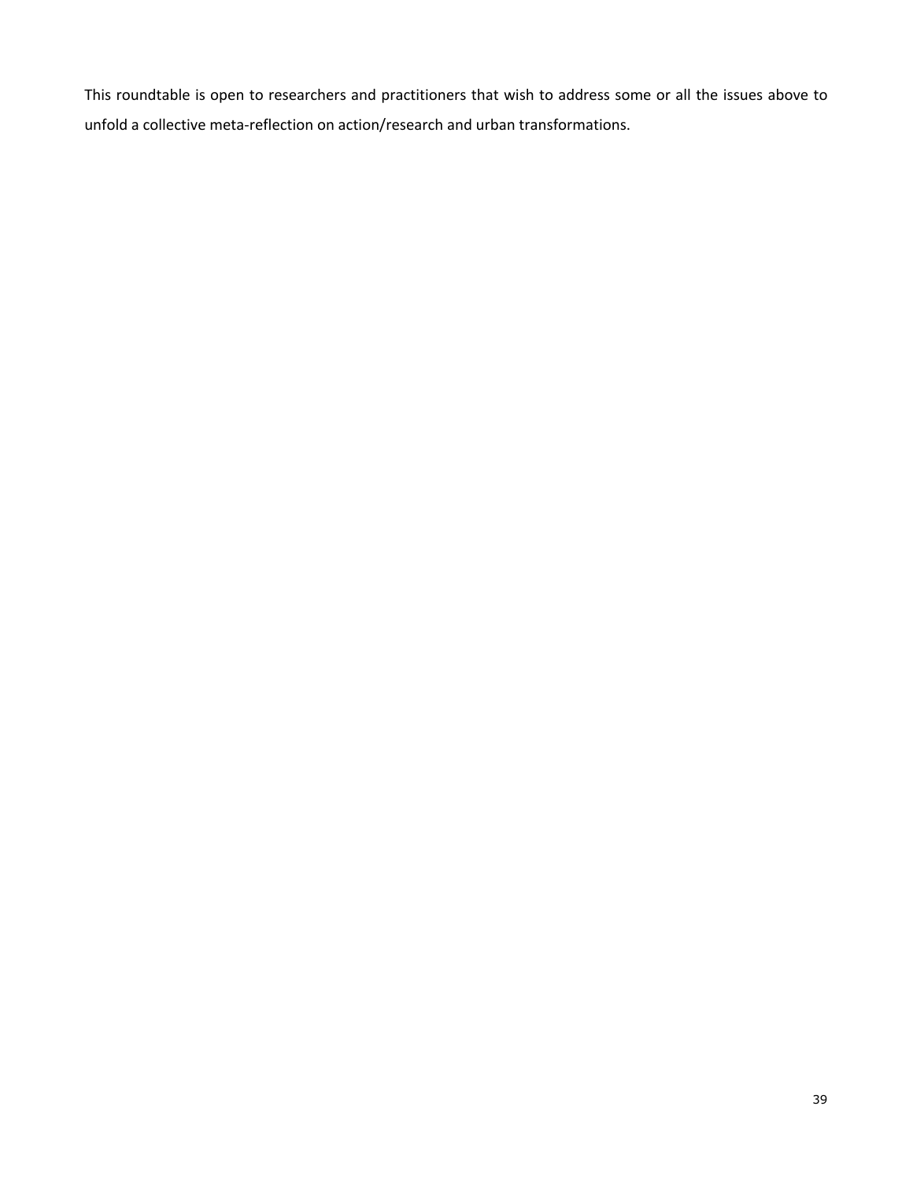This roundtable is open to researchers and practitioners that wish to address some or all the issues above to unfold a collective meta-reflection on action/research and urban transformations.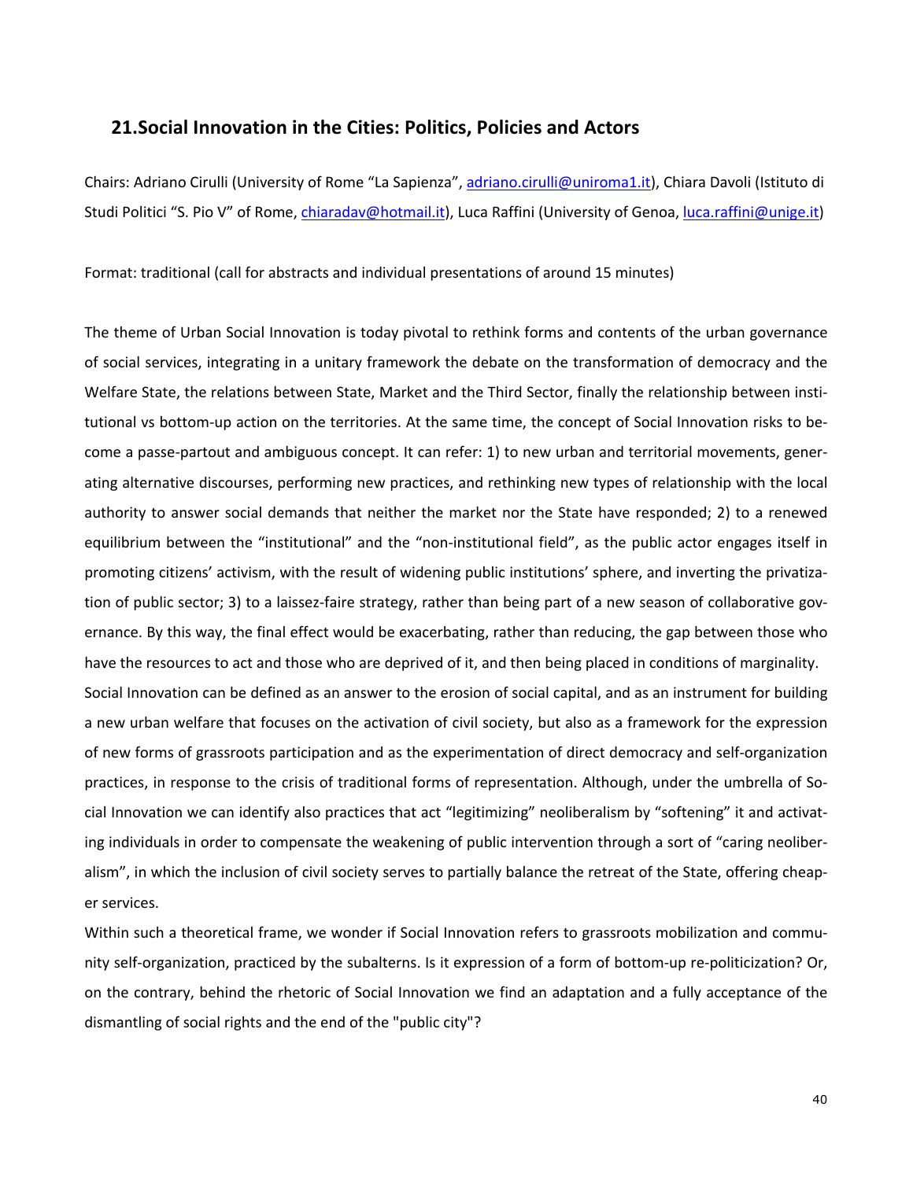## **21.Social Innovation in the Cities: Politics, Policies and Actors**

Chairs: Adriano Cirulli (University of Rome "La Sapienza", adriano.cirulli@uniroma1.it), Chiara Davoli (Istituto di Studi Politici "S. Pio V" of Rome, *chiaradav@hotmail.it*), Luca Raffini (University of Genoa, luca.raffini@unige.it)

Format: traditional (call for abstracts and individual presentations of around 15 minutes)

The theme of Urban Social Innovation is today pivotal to rethink forms and contents of the urban governance of social services, integrating in a unitary framework the debate on the transformation of democracy and the Welfare State, the relations between State, Market and the Third Sector, finally the relationship between institutional vs bottom-up action on the territories. At the same time, the concept of Social Innovation risks to become a passe-partout and ambiguous concept. It can refer: 1) to new urban and territorial movements, generating alternative discourses, performing new practices, and rethinking new types of relationship with the local authority to answer social demands that neither the market nor the State have responded; 2) to a renewed equilibrium between the "institutional" and the "non-institutional field", as the public actor engages itself in promoting citizens' activism, with the result of widening public institutions' sphere, and inverting the privatization of public sector; 3) to a laissez-faire strategy, rather than being part of a new season of collaborative governance. By this way, the final effect would be exacerbating, rather than reducing, the gap between those who have the resources to act and those who are deprived of it, and then being placed in conditions of marginality. Social Innovation can be defined as an answer to the erosion of social capital, and as an instrument for building a new urban welfare that focuses on the activation of civil society, but also as a framework for the expression of new forms of grassroots participation and as the experimentation of direct democracy and self-organization practices, in response to the crisis of traditional forms of representation. Although, under the umbrella of Social Innovation we can identify also practices that act "legitimizing" neoliberalism by "softening" it and activating individuals in order to compensate the weakening of public intervention through a sort of "caring neoliberalism", in which the inclusion of civil society serves to partially balance the retreat of the State, offering cheaper services.

Within such a theoretical frame, we wonder if Social Innovation refers to grassroots mobilization and community self-organization, practiced by the subalterns. Is it expression of a form of bottom-up re-politicization? Or, on the contrary, behind the rhetoric of Social Innovation we find an adaptation and a fully acceptance of the dismantling of social rights and the end of the "public city"?

40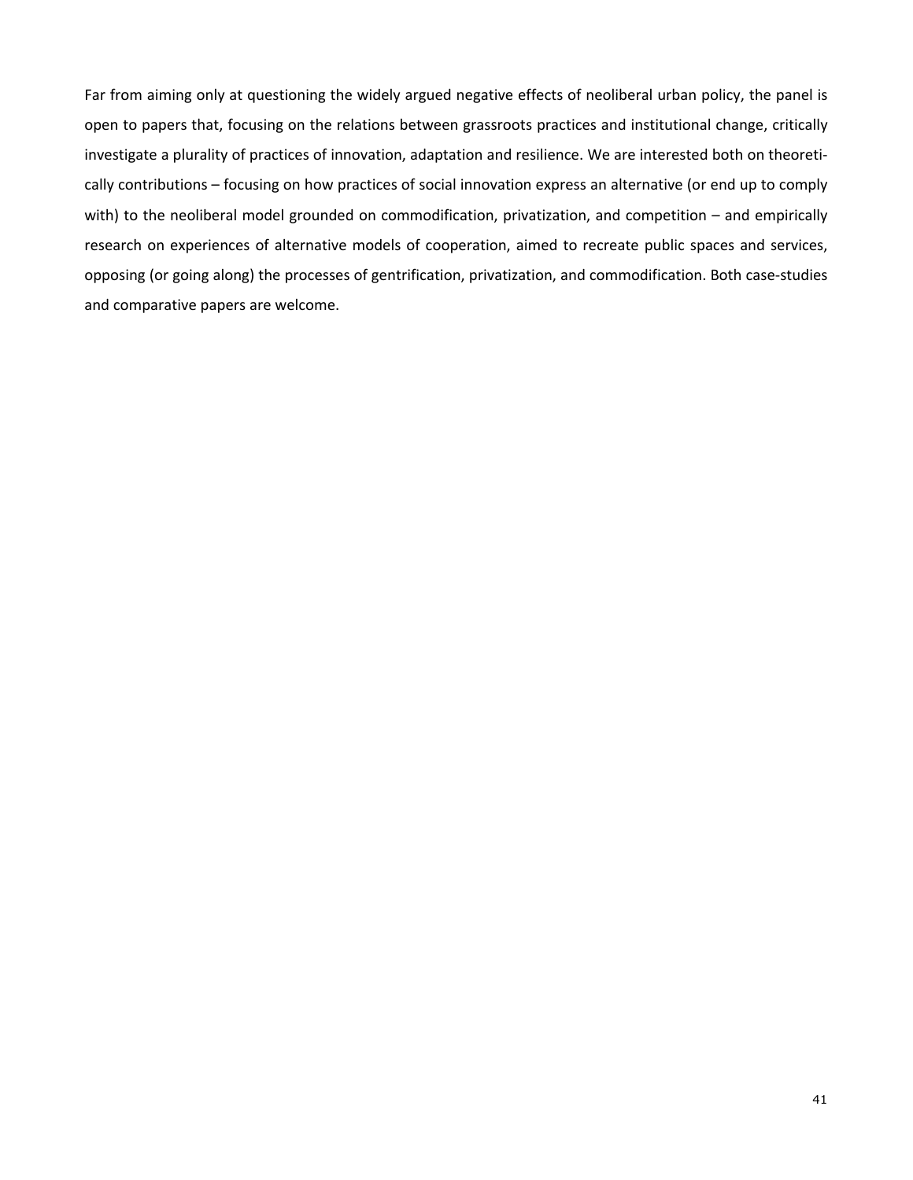Far from aiming only at questioning the widely argued negative effects of neoliberal urban policy, the panel is open to papers that, focusing on the relations between grassroots practices and institutional change, critically investigate a plurality of practices of innovation, adaptation and resilience. We are interested both on theoretically contributions – focusing on how practices of social innovation express an alternative (or end up to comply with) to the neoliberal model grounded on commodification, privatization, and competition – and empirically research on experiences of alternative models of cooperation, aimed to recreate public spaces and services, opposing (or going along) the processes of gentrification, privatization, and commodification. Both case-studies and comparative papers are welcome.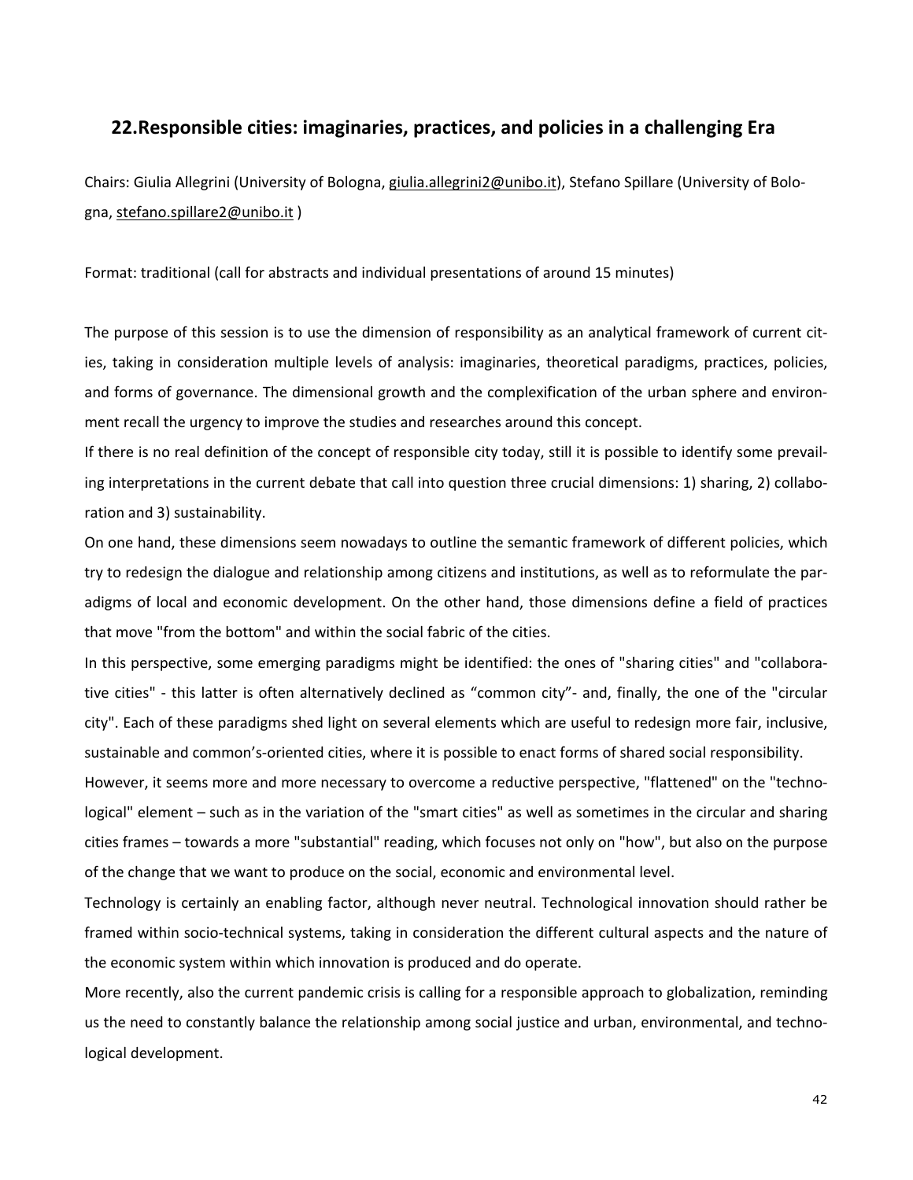## **22.Responsible cities: imaginaries, practices, and policies in a challenging Era**

Chairs: Giulia Allegrini (University of Bologna, giulia.allegrini2@unibo.it), Stefano Spillare (University of Bologna, stefano.spillare2@unibo.it )

Format: traditional (call for abstracts and individual presentations of around 15 minutes)

The purpose of this session is to use the dimension of responsibility as an analytical framework of current cities, taking in consideration multiple levels of analysis: imaginaries, theoretical paradigms, practices, policies, and forms of governance. The dimensional growth and the complexification of the urban sphere and environment recall the urgency to improve the studies and researches around this concept.

If there is no real definition of the concept of responsible city today, still it is possible to identify some prevailing interpretations in the current debate that call into question three crucial dimensions: 1) sharing, 2) collaboration and 3) sustainability.

On one hand, these dimensions seem nowadays to outline the semantic framework of different policies, which try to redesign the dialogue and relationship among citizens and institutions, as well as to reformulate the paradigms of local and economic development. On the other hand, those dimensions define a field of practices that move "from the bottom" and within the social fabric of the cities.

In this perspective, some emerging paradigms might be identified: the ones of "sharing cities" and "collaborative cities" - this latter is often alternatively declined as "common city"- and, finally, the one of the "circular city". Each of these paradigms shed light on several elements which are useful to redesign more fair, inclusive, sustainable and common's-oriented cities, where it is possible to enact forms of shared social responsibility.

However, it seems more and more necessary to overcome a reductive perspective, "flattened" on the "technological" element – such as in the variation of the "smart cities" as well as sometimes in the circular and sharing cities frames – towards a more "substantial" reading, which focuses not only on "how", but also on the purpose of the change that we want to produce on the social, economic and environmental level.

Technology is certainly an enabling factor, although never neutral. Technological innovation should rather be framed within socio-technical systems, taking in consideration the different cultural aspects and the nature of the economic system within which innovation is produced and do operate.

More recently, also the current pandemic crisis is calling for a responsible approach to globalization, reminding us the need to constantly balance the relationship among social justice and urban, environmental, and technological development.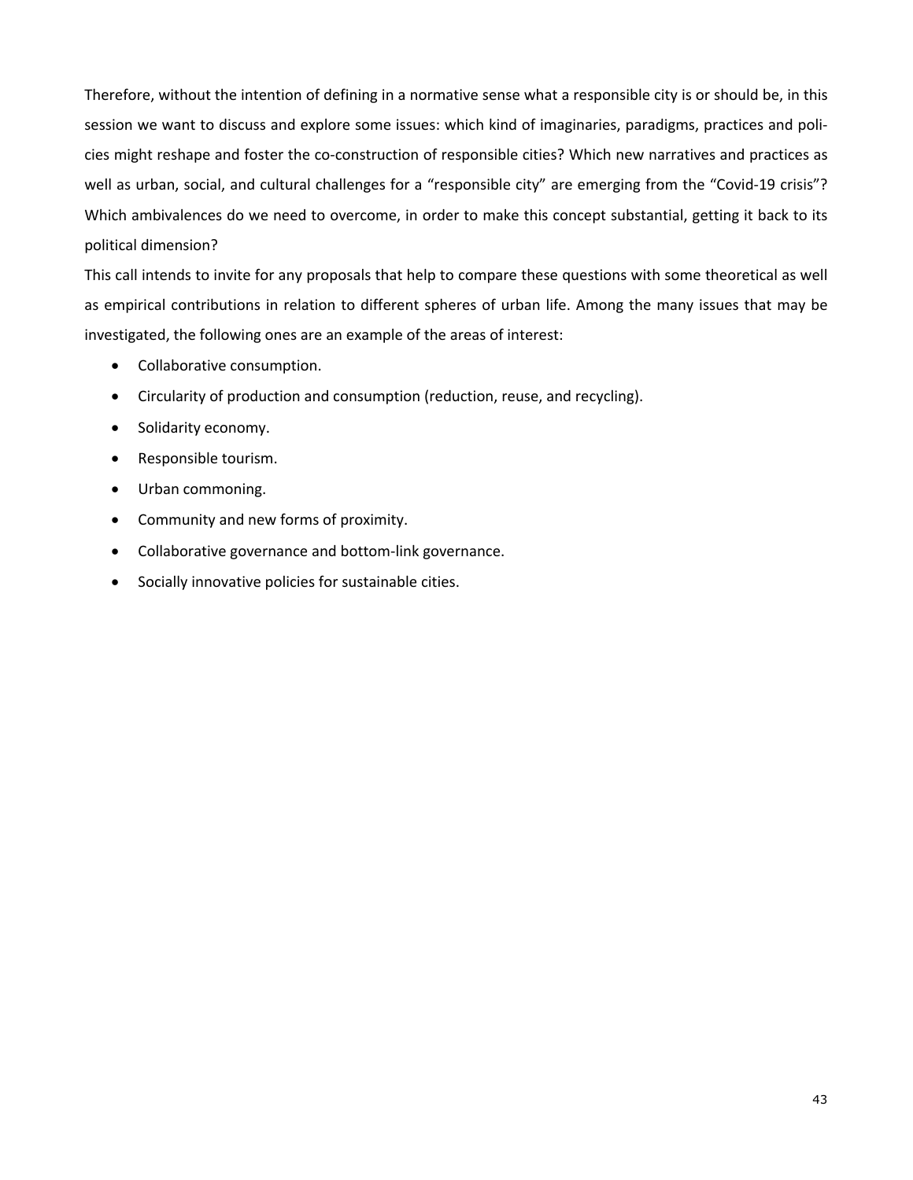Therefore, without the intention of defining in a normative sense what a responsible city is or should be, in this session we want to discuss and explore some issues: which kind of imaginaries, paradigms, practices and policies might reshape and foster the co-construction of responsible cities? Which new narratives and practices as well as urban, social, and cultural challenges for a "responsible city" are emerging from the "Covid-19 crisis"? Which ambivalences do we need to overcome, in order to make this concept substantial, getting it back to its political dimension?

This call intends to invite for any proposals that help to compare these questions with some theoretical as well as empirical contributions in relation to different spheres of urban life. Among the many issues that may be investigated, the following ones are an example of the areas of interest:

- Collaborative consumption.
- Circularity of production and consumption (reduction, reuse, and recycling).
- Solidarity economy.
- Responsible tourism.
- Urban commoning.
- Community and new forms of proximity.
- Collaborative governance and bottom-link governance.
- Socially innovative policies for sustainable cities.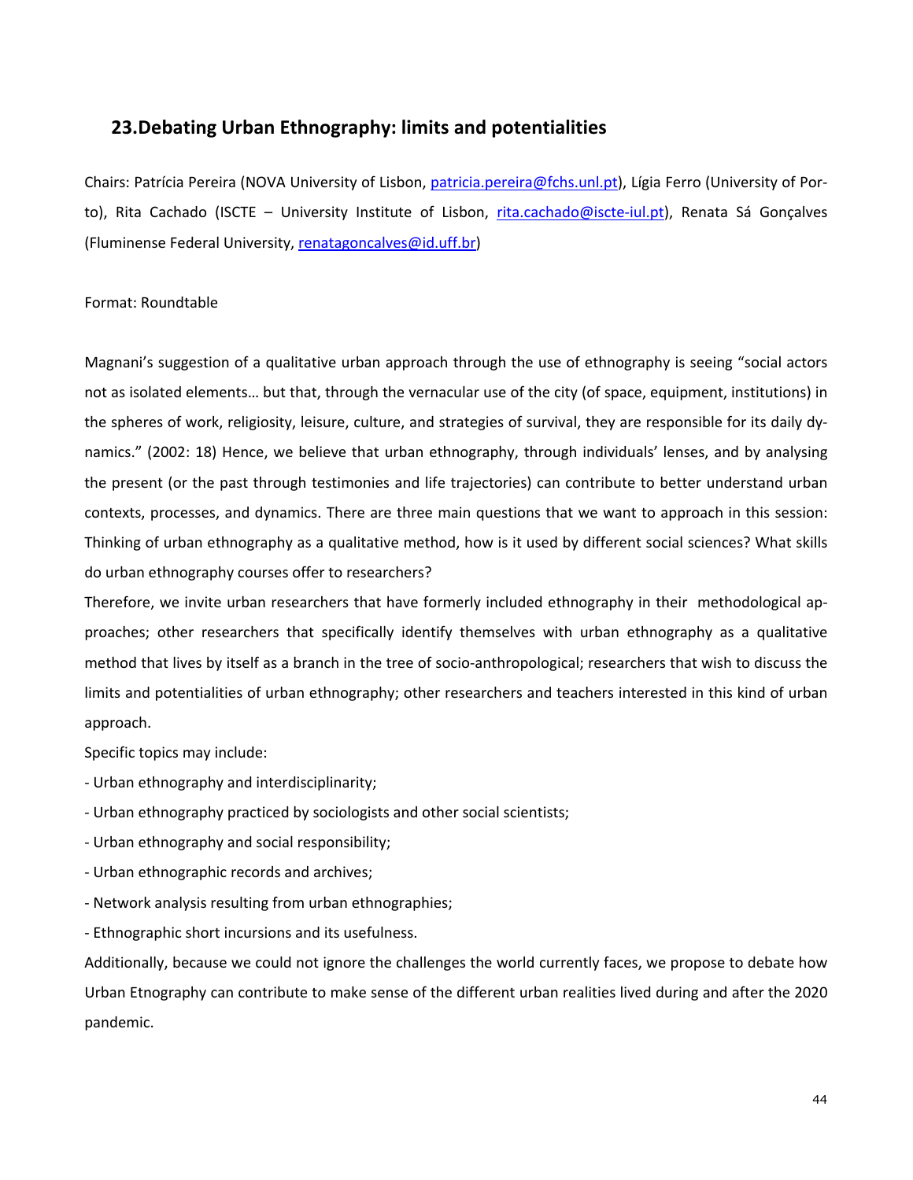## **23.Debating Urban Ethnography: limits and potentialities**

Chairs: Patrícia Pereira (NOVA University of Lisbon, patricia.pereira@fchs.unl.pt), Lígia Ferro (University of Porto), Rita Cachado (ISCTE - University Institute of Lisbon, rita.cachado@iscte-iul.pt), Renata Sá Gonçalves (Fluminense Federal University, renatagoncalves@id.uff.br)

### Format: Roundtable

Magnani's suggestion of a qualitative urban approach through the use of ethnography is seeing "social actors not as isolated elements… but that, through the vernacular use of the city (of space, equipment, institutions) in the spheres of work, religiosity, leisure, culture, and strategies of survival, they are responsible for its daily dynamics." (2002: 18) Hence, we believe that urban ethnography, through individuals' lenses, and by analysing the present (or the past through testimonies and life trajectories) can contribute to better understand urban contexts, processes, and dynamics. There are three main questions that we want to approach in this session: Thinking of urban ethnography as a qualitative method, how is it used by different social sciences? What skills do urban ethnography courses offer to researchers?

Therefore, we invite urban researchers that have formerly included ethnography in their methodological approaches; other researchers that specifically identify themselves with urban ethnography as a qualitative method that lives by itself as a branch in the tree of socio-anthropological; researchers that wish to discuss the limits and potentialities of urban ethnography; other researchers and teachers interested in this kind of urban approach.

Specific topics may include:

- Urban ethnography and interdisciplinarity;
- Urban ethnography practiced by sociologists and other social scientists;
- Urban ethnography and social responsibility;
- Urban ethnographic records and archives;
- Network analysis resulting from urban ethnographies;

- Ethnographic short incursions and its usefulness.

Additionally, because we could not ignore the challenges the world currently faces, we propose to debate how Urban Etnography can contribute to make sense of the different urban realities lived during and after the 2020 pandemic.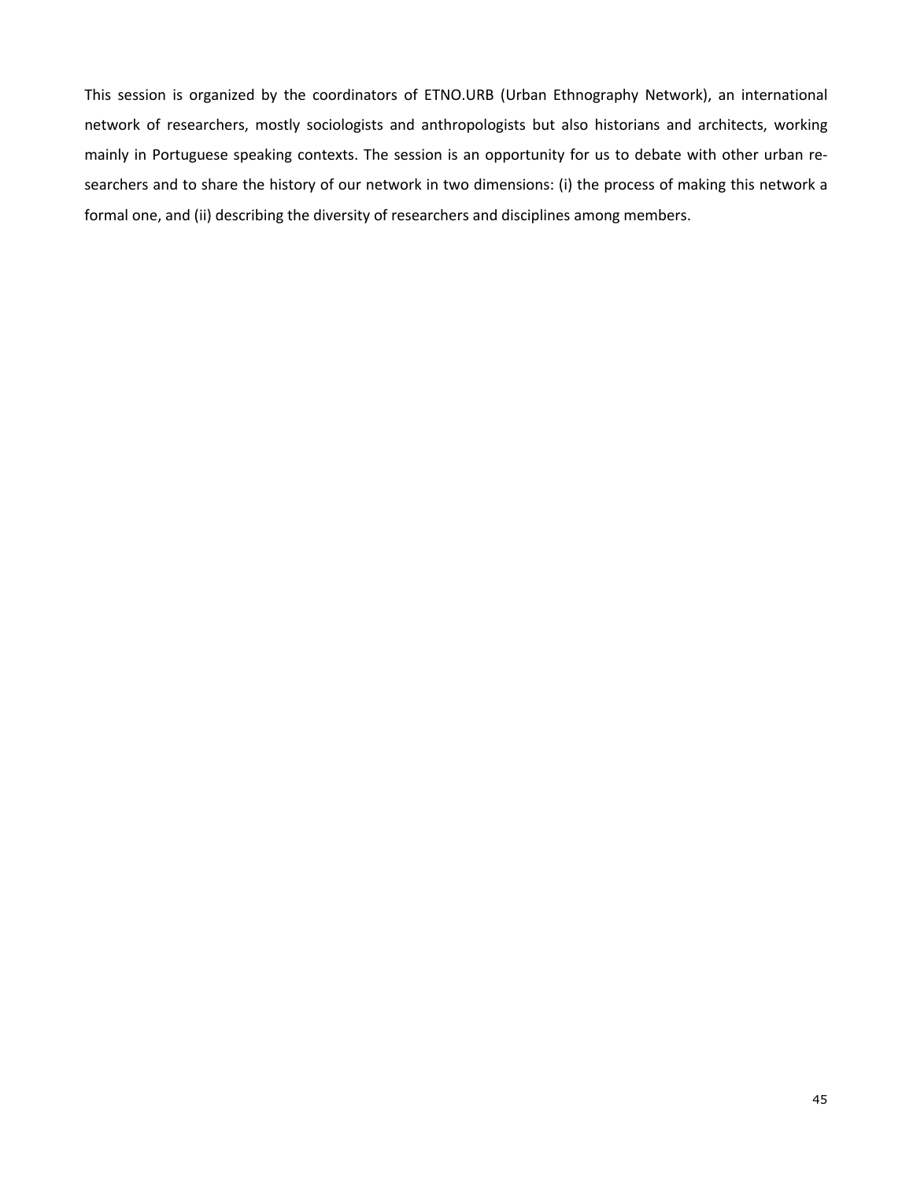This session is organized by the coordinators of ETNO.URB (Urban Ethnography Network), an international network of researchers, mostly sociologists and anthropologists but also historians and architects, working mainly in Portuguese speaking contexts. The session is an opportunity for us to debate with other urban researchers and to share the history of our network in two dimensions: (i) the process of making this network a formal one, and (ii) describing the diversity of researchers and disciplines among members.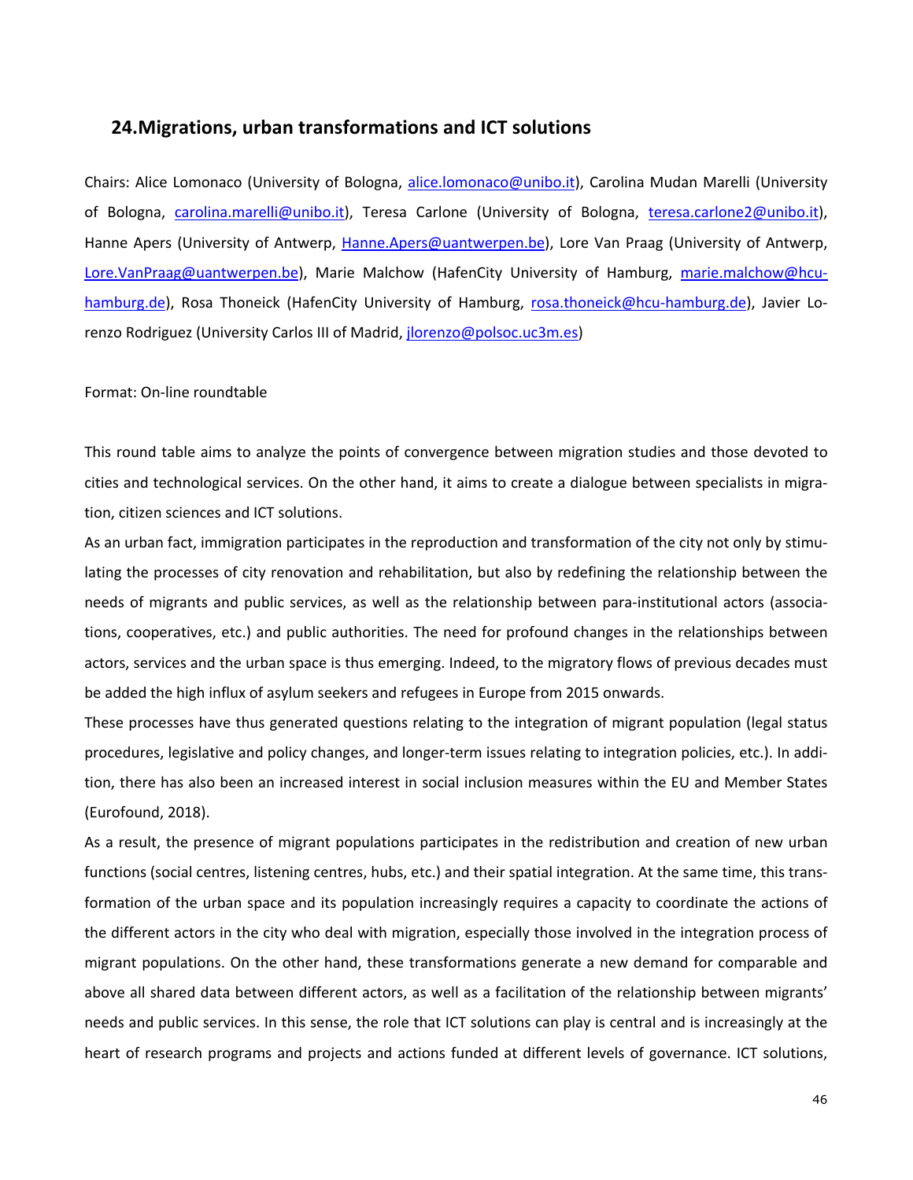### **24.Migrations, urban transformations and ICT solutions**

Chairs: Alice Lomonaco (University of Bologna, alice.lomonaco@unibo.it), Carolina Mudan Marelli (University of Bologna, carolina.marelli@unibo.it), Teresa Carlone (University of Bologna, teresa.carlone2@unibo.it), Hanne Apers (University of Antwerp, Hanne.Apers@uantwerpen.be), Lore Van Praag (University of Antwerp, Lore.VanPraag@uantwerpen.be), Marie Malchow (HafenCity University of Hamburg, marie.malchow@hcuhamburg.de), Rosa Thoneick (HafenCity University of Hamburg, rosa.thoneick@hcu-hamburg.de), Javier Lorenzo Rodriguez (University Carlos III of Madrid, jlorenzo@polsoc.uc3m.es)

#### Format: On-line roundtable

This round table aims to analyze the points of convergence between migration studies and those devoted to cities and technological services. On the other hand, it aims to create a dialogue between specialists in migration, citizen sciences and ICT solutions.

As an urban fact, immigration participates in the reproduction and transformation of the city not only by stimulating the processes of city renovation and rehabilitation, but also by redefining the relationship between the needs of migrants and public services, as well as the relationship between para-institutional actors (associations, cooperatives, etc.) and public authorities. The need for profound changes in the relationships between actors, services and the urban space is thus emerging. Indeed, to the migratory flows of previous decades must be added the high influx of asylum seekers and refugees in Europe from 2015 onwards.

These processes have thus generated questions relating to the integration of migrant population (legal status procedures, legislative and policy changes, and longer-term issues relating to integration policies, etc.). In addition, there has also been an increased interest in social inclusion measures within the EU and Member States (Eurofound, 2018).

As a result, the presence of migrant populations participates in the redistribution and creation of new urban functions (social centres, listening centres, hubs, etc.) and their spatial integration. At the same time, this transformation of the urban space and its population increasingly requires a capacity to coordinate the actions of the different actors in the city who deal with migration, especially those involved in the integration process of migrant populations. On the other hand, these transformations generate a new demand for comparable and above all shared data between different actors, as well as a facilitation of the relationship between migrants' needs and public services. In this sense, the role that ICT solutions can play is central and is increasingly at the heart of research programs and projects and actions funded at different levels of governance. ICT solutions,